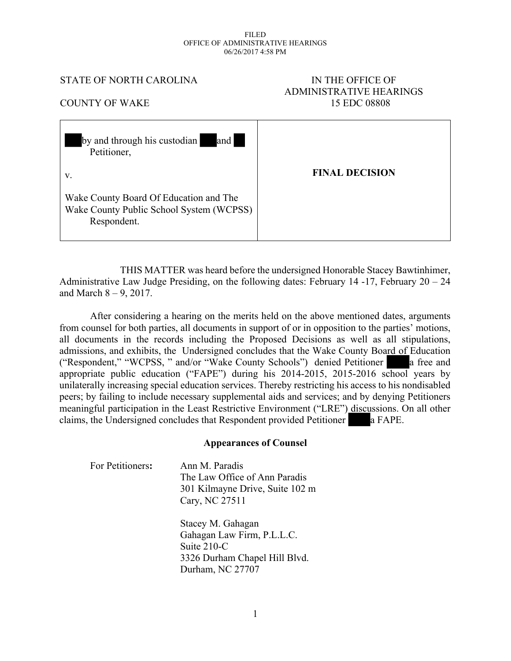#### FILED OFFICE OF ADMINISTRATIVE HEARINGS 06/26/2017 4:58 PM

#### STATE OF NORTH CAROLINA IN THE OFFICE OF

# ADMINISTRATIVE HEARINGS COUNTY OF WAKE 15 EDC 08808

| and<br>by and through his custodian<br>Petitioner,                                                |                       |
|---------------------------------------------------------------------------------------------------|-----------------------|
| V.                                                                                                | <b>FINAL DECISION</b> |
| Wake County Board Of Education and The<br>Wake County Public School System (WCPSS)<br>Respondent. |                       |

THIS MATTER was heard before the undersigned Honorable Stacey Bawtinhimer, Administrative Law Judge Presiding, on the following dates: February 14 -17, February 20 – 24 and March  $8 - 9$ , 2017.

After considering a hearing on the merits held on the above mentioned dates, arguments from counsel for both parties, all documents in support of or in opposition to the parties' motions, all documents in the records including the Proposed Decisions as well as all stipulations, admissions, and exhibits, the Undersigned concludes that the Wake County Board of Education ("Respondent," "WCPSS, " and/or "Wake County Schools") denied Petitioner a free and appropriate public education ("FAPE") during his 2014-2015, 2015-2016 school years by unilaterally increasing special education services. Thereby restricting his access to his nondisabled peers; by failing to include necessary supplemental aids and services; and by denying Petitioners meaningful participation in the Least Restrictive Environment ("LRE") discussions. On all other claims, the Undersigned concludes that Respondent provided Petitioner a FAPE.

#### **Appearances of Counsel**

| For Petitioners: | Ann M. Paradis<br>The Law Office of Ann Paradis<br>301 Kilmayne Drive, Suite 102 m<br>Cary, NC 27511                |
|------------------|---------------------------------------------------------------------------------------------------------------------|
|                  | Stacey M. Gahagan<br>Gahagan Law Firm, P.L.L.C.<br>Suite 210-C<br>3326 Durham Chapel Hill Blvd.<br>Durham, NC 27707 |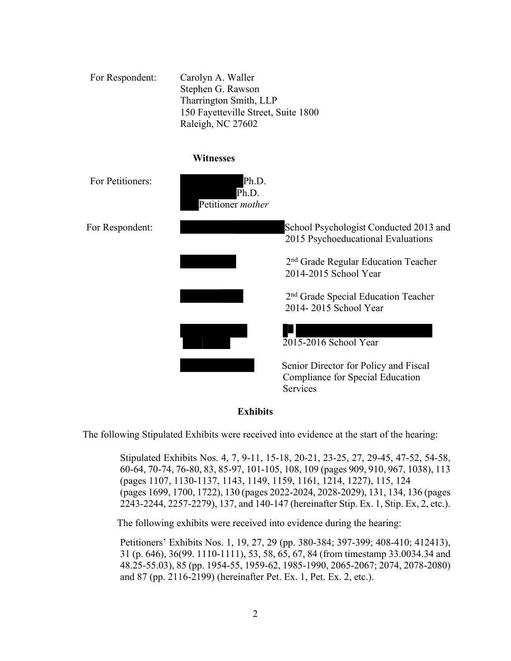| For Respondent:  | Carolyn A. Waller<br>Stephen G. Rawson<br>Tharrington Smith, LLP<br>150 Fayetteville Street, Suite 1800<br>Raleigh, NC 27602 |                                                                                       |  |
|------------------|------------------------------------------------------------------------------------------------------------------------------|---------------------------------------------------------------------------------------|--|
|                  | <b>Witnesses</b>                                                                                                             |                                                                                       |  |
| For Petitioners: | Ph.D.<br>Ph.D.<br>Petitioner mother                                                                                          |                                                                                       |  |
| For Respondent:  |                                                                                                                              | School Psychologist Conducted 2013 and<br>2015 Psychoeducational Evaluations          |  |
|                  |                                                                                                                              | 2 <sup>nd</sup> Grade Regular Education Teacher<br>2014-2015 School Year              |  |
|                  |                                                                                                                              | 2 <sup>nd</sup> Grade Special Education Teacher<br>2014-2015 School Year              |  |
|                  |                                                                                                                              | 2015-2016 School Year                                                                 |  |
|                  |                                                                                                                              | Senior Director for Policy and Fiscal<br>Compliance for Special Education<br>Services |  |



The following Stipulated Exhibits were received into evidence at the start of the hearing:

Stipulated Exhibits Nos. 4, 7, 9-11, 15-18, 20-21, 23-25, 27, 29-45, 47-52, 54-58, 60-64, 70-74, 76-80, 83, 85-97, 101-105, 108, 109 (pages 909, 910, 967, 1038), 113 (pages 1107, 1130-1137, 1143, 1149, 1159, 1161, 1214, 1227), 115, 124 (pages 1699, 1700, 1722), 130 (pages 2022-2024, 2028-2029), 131, 134, 136 (pages 2243-2244, 2257-2279), 137, and 140-147 (hereinafter Stip. Ex. 1, Stip. Ex, 2, etc.).

The following exhibits were received into evidence during the hearing:

Petitioners' Exhibits Nos. 1, 19, 27, 29 (pp. 380-384; 397-399; 408-410; 412413), 31 (p. 646), 36(99. 1110-1111), 53, 58, 65, 67, 84 (from timestamp 33.0034.34 and 48.25-55.03), 85 (pp. 1954-55, 1959-62, 1985-1990, 2065-2067; 2074, 2078-2080) and 87 (pp. 2116-2199) (hereinafter Pet. Ex. 1, Pet. Ex. 2, etc.).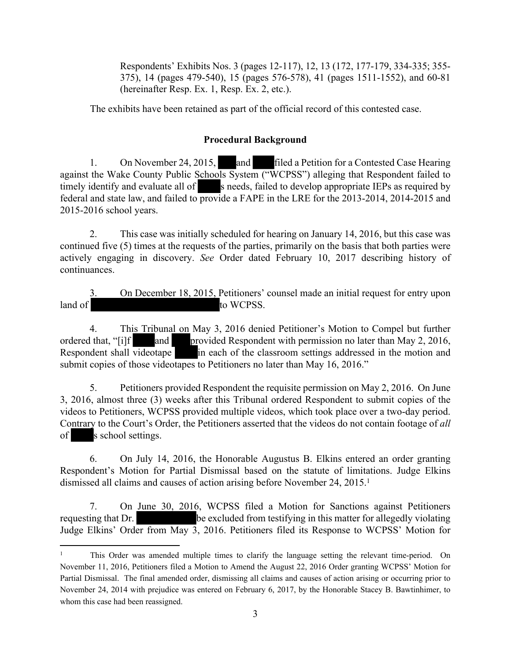Respondents' Exhibits Nos. 3 (pages 12-117), 12, 13 (172, 177-179, 334-335; 355- 375), 14 (pages 479-540), 15 (pages 576-578), 41 (pages 1511-1552), and 60-81 (hereinafter Resp. Ex. 1, Resp. Ex. 2, etc.).

The exhibits have been retained as part of the official record of this contested case.

#### **Procedural Background**

1. On November 24, 2015, and filed a Petition for a Contested Case Hearing against the Wake County Public Schools System ("WCPSS") alleging that Respondent failed to timely identify and evaluate all of s needs, failed to develop appropriate IEPs as required by federal and state law, and failed to provide a FAPE in the LRE for the 2013-2014, 2014-2015 and 2015-2016 school years.

2. This case was initially scheduled for hearing on January 14, 2016, but this case was continued five (5) times at the requests of the parties, primarily on the basis that both parties were actively engaging in discovery. *See* Order dated February 10, 2017 describing history of continuances.

3. On December 18, 2015, Petitioners' counsel made an initial request for entry upon land of to WCPSS.

4. This Tribunal on May 3, 2016 denied Petitioner's Motion to Compel but further ordered that, "[i]f and provided Respondent with permission no later than May 2, 2016, Respondent shall videotape in each of the classroom settings addressed in the motion and submit copies of those videotapes to Petitioners no later than May 16, 2016."

5. Petitioners provided Respondent the requisite permission on May 2, 2016. On June 3, 2016, almost three (3) weeks after this Tribunal ordered Respondent to submit copies of the videos to Petitioners, WCPSS provided multiple videos, which took place over a two-day period. Contrary to the Court's Order, the Petitioners asserted that the videos do not contain footage of *all*  of s school settings.

6. On July 14, 2016, the Honorable Augustus B. Elkins entered an order granting Respondent's Motion for Partial Dismissal based on the statute of limitations. Judge Elkins dismissed all claims and causes of action arising before November 24, 2015.<sup>1</sup>

7. On June 30, 2016, WCPSS filed a Motion for Sanctions against Petitioners requesting that Dr. be excluded from testifying in this matter for allegedly violating Judge Elkins' Order from May 3, 2016. Petitioners filed its Response to WCPSS' Motion for

<sup>&</sup>lt;sup>1</sup> This Order was amended multiple times to clarify the language setting the relevant time-period. On November 11, 2016, Petitioners filed a Motion to Amend the August 22, 2016 Order granting WCPSS' Motion for Partial Dismissal. The final amended order, dismissing all claims and causes of action arising or occurring prior to November 24, 2014 with prejudice was entered on February 6, 2017, by the Honorable Stacey B. Bawtinhimer, to whom this case had been reassigned.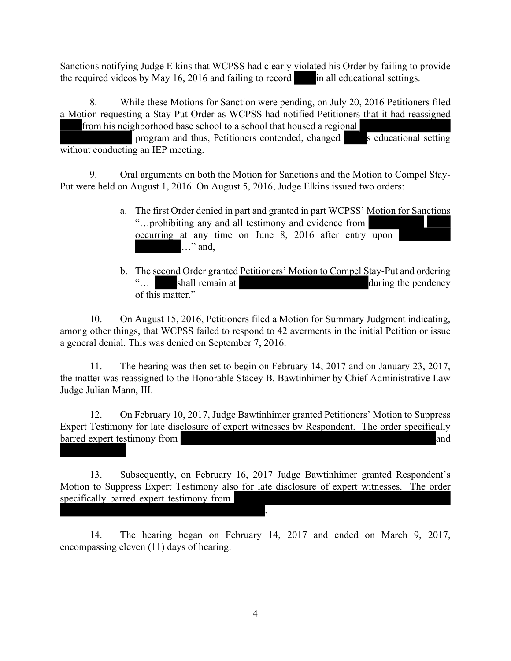Sanctions notifying Judge Elkins that WCPSS had clearly violated his Order by failing to provide the required videos by May  $16$ ,  $2016$  and failing to record in all educational settings.

8. While these Motions for Sanction were pending, on July 20, 2016 Petitioners filed a Motion requesting a Stay-Put Order as WCPSS had notified Petitioners that it had reassigned from his neighborhood base school to a school that housed a regional

program and thus, Petitioners contended, changed s educational setting without conducting an IEP meeting.

9. Oral arguments on both the Motion for Sanctions and the Motion to Compel Stay-Put were held on August 1, 2016. On August 5, 2016, Judge Elkins issued two orders:

- a. The first Order denied in part and granted in part WCPSS' Motion for Sanctions "…prohibiting any and all testimony and evidence from occurring at any time on June 8, 2016 after entry upon ..." and,
- b. The second Order granted Petitioners' Motion to Compel Stay-Put and ordering "... shall remain at during the pendency of this matter."

10. On August 15, 2016, Petitioners filed a Motion for Summary Judgment indicating, among other things, that WCPSS failed to respond to 42 averments in the initial Petition or issue a general denial. This was denied on September 7, 2016.

11. The hearing was then set to begin on February 14, 2017 and on January 23, 2017, the matter was reassigned to the Honorable Stacey B. Bawtinhimer by Chief Administrative Law Judge Julian Mann, III.

12. On February 10, 2017, Judge Bawtinhimer granted Petitioners' Motion to Suppress Expert Testimony for late disclosure of expert witnesses by Respondent. The order specifically barred expert testimony from  $\blacksquare$ 

13. Subsequently, on February 16, 2017 Judge Bawtinhimer granted Respondent's Motion to Suppress Expert Testimony also for late disclosure of expert witnesses. The order specifically barred expert testimony from

.

14. The hearing began on February 14, 2017 and ended on March 9, 2017, encompassing eleven (11) days of hearing.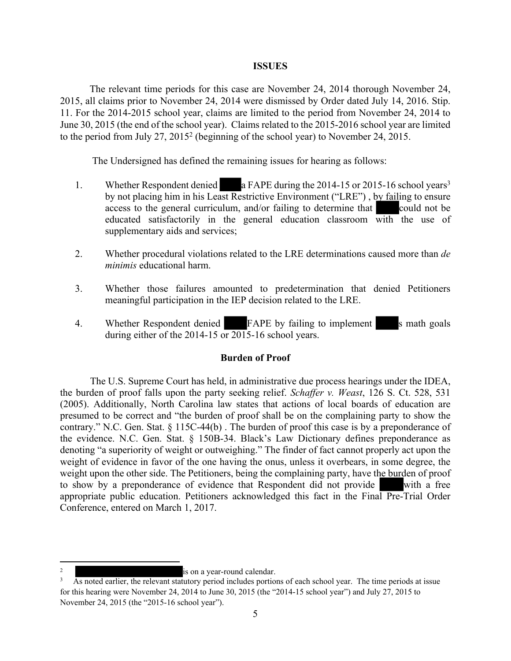#### **ISSUES**

The relevant time periods for this case are November 24, 2014 thorough November 24, 2015, all claims prior to November 24, 2014 were dismissed by Order dated July 14, 2016. Stip. 11. For the 2014-2015 school year, claims are limited to the period from November 24, 2014 to June 30, 2015 (the end of the school year). Claims related to the 2015-2016 school year are limited to the period from July 27, 2015<sup>2</sup> (beginning of the school year) to November 24, 2015.

The Undersigned has defined the remaining issues for hearing as follows:

- 1. Whether Respondent denied a FAPE during the 2014-15 or 2015-16 school years<sup>3</sup> by not placing him in his Least Restrictive Environment ("LRE") , by failing to ensure access to the general curriculum, and/or failing to determine that could not be educated satisfactorily in the general education classroom with the use of supplementary aids and services;
- 2. Whether procedural violations related to the LRE determinations caused more than *de minimis* educational harm.
- 3. Whether those failures amounted to predetermination that denied Petitioners meaningful participation in the IEP decision related to the LRE.
- 4. Whether Respondent denied FAPE by failing to implement s math goals during either of the 2014-15 or 2015-16 school years.

#### **Burden of Proof**

The U.S. Supreme Court has held, in administrative due process hearings under the IDEA, the burden of proof falls upon the party seeking relief. *Schaffer v. Weast*, 126 S. Ct. 528, 531 (2005). Additionally, North Carolina law states that actions of local boards of education are presumed to be correct and "the burden of proof shall be on the complaining party to show the contrary." N.C. Gen. Stat. § 115C-44(b) . The burden of proof this case is by a preponderance of the evidence. N.C. Gen. Stat. § 150B-34. Black's Law Dictionary defines preponderance as denoting "a superiority of weight or outweighing." The finder of fact cannot properly act upon the weight of evidence in favor of the one having the onus, unless it overbears, in some degree, the weight upon the other side. The Petitioners, being the complaining party, have the burden of proof to show by a preponderance of evidence that Respondent did not provide with a free appropriate public education. Petitioners acknowledged this fact in the Final Pre-Trial Order Conference, entered on March 1, 2017.

<sup>2</sup> is on a year-round calendar.

<sup>3</sup> As noted earlier, the relevant statutory period includes portions of each school year. The time periods at issue for this hearing were November 24, 2014 to June 30, 2015 (the "2014-15 school year") and July 27, 2015 to November 24, 2015 (the "2015-16 school year").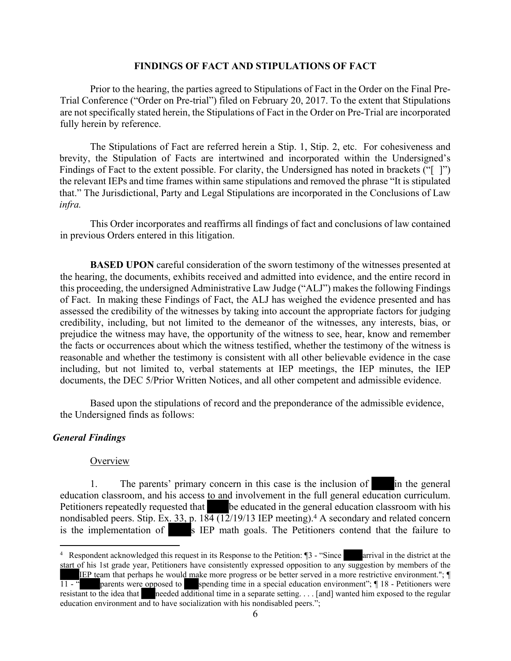#### **FINDINGS OF FACT AND STIPULATIONS OF FACT**

Prior to the hearing, the parties agreed to Stipulations of Fact in the Order on the Final Pre-Trial Conference ("Order on Pre-trial") filed on February 20, 2017. To the extent that Stipulations are not specifically stated herein, the Stipulations of Fact in the Order on Pre-Trial are incorporated fully herein by reference.

The Stipulations of Fact are referred herein a Stip. 1, Stip. 2, etc. For cohesiveness and brevity, the Stipulation of Facts are intertwined and incorporated within the Undersigned's Findings of Fact to the extent possible. For clarity, the Undersigned has noted in brackets ("[ ]") the relevant IEPs and time frames within same stipulations and removed the phrase "It is stipulated that." The Jurisdictional, Party and Legal Stipulations are incorporated in the Conclusions of Law *infra.*

This Order incorporates and reaffirms all findings of fact and conclusions of law contained in previous Orders entered in this litigation.

**BASED UPON** careful consideration of the sworn testimony of the witnesses presented at the hearing, the documents, exhibits received and admitted into evidence, and the entire record in this proceeding, the undersigned Administrative Law Judge ("ALJ") makes the following Findings of Fact. In making these Findings of Fact, the ALJ has weighed the evidence presented and has assessed the credibility of the witnesses by taking into account the appropriate factors for judging credibility, including, but not limited to the demeanor of the witnesses, any interests, bias, or prejudice the witness may have, the opportunity of the witness to see, hear, know and remember the facts or occurrences about which the witness testified, whether the testimony of the witness is reasonable and whether the testimony is consistent with all other believable evidence in the case including, but not limited to, verbal statements at IEP meetings, the IEP minutes, the IEP documents, the DEC 5/Prior Written Notices, and all other competent and admissible evidence.

Based upon the stipulations of record and the preponderance of the admissible evidence, the Undersigned finds as follows:

#### *General Findings*

#### **Overview**

1. The parents' primary concern in this case is the inclusion of in the general education classroom, and his access to and involvement in the full general education curriculum. Petitioners repeatedly requested that be educated in the general education classroom with his nondisabled peers. Stip. Ex.  $33$ , p.  $184$  ( $12$ / $19$ / $13$  IEP meeting).<sup>4</sup> A secondary and related concern is the implementation of s IEP math goals. The Petitioners contend that the failure to

<sup>4</sup> Respondent acknowledged this request in its Response to the Petition: ¶3 - "Since arrival in the district at the start of his 1st grade year, Petitioners have consistently expressed opposition to any suggestion by members of the IEP team that perhaps he would make more progress or be better served in a more restrictive environment."; ¶ 11 - " parents were opposed to spending time in a special education environment"; ¶ 18 - Petitioners were resistant to the idea that needed additional time in a separate setting. . . . [and] wanted him exposed to the regular education environment and to have socialization with his nondisabled peers.";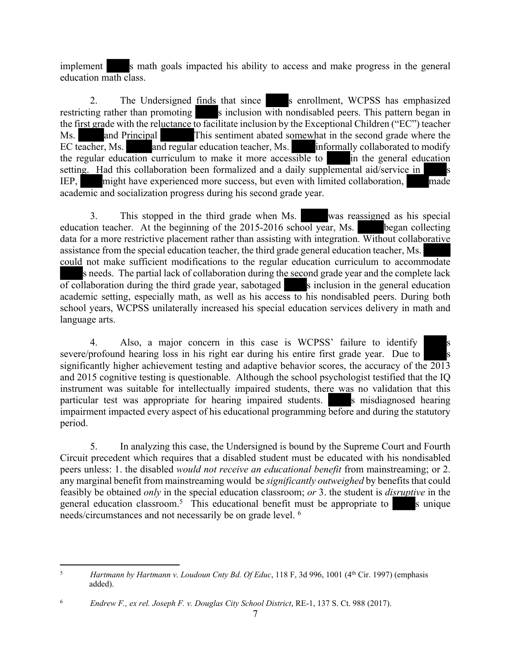implement s math goals impacted his ability to access and make progress in the general education math class.

2. The Undersigned finds that since s enrollment, WCPSS has emphasized restricting rather than promoting s inclusion with nondisabled peers. This pattern began in the first grade with the reluctance to facilitate inclusion by the Exceptional Children ("EC") teacher Ms. and Principal This sentiment abated somewhat in the second grade where the EC teacher, Ms. and regular education teacher, Ms. informally collaborated to modify the regular education curriculum to make it more accessible to in the general education setting. Had this collaboration been formalized and a daily supplemental aid/service in IEP, might have experienced more success, but even with limited collaboration, made academic and socialization progress during his second grade year.

3. This stopped in the third grade when Ms. was reassigned as his special education teacher. At the beginning of the 2015-2016 school year, Ms. began collecting data for a more restrictive placement rather than assisting with integration. Without collaborative assistance from the special education teacher, the third grade general education teacher, Ms. could not make sufficient modifications to the regular education curriculum to accommodate s needs. The partial lack of collaboration during the second grade year and the complete lack  $\overline{\text{of}}$  collaboration during the third grade year, sabotaged  $\overline{\text{S}}$  inclusion in the general education academic setting, especially math, as well as his access to his nondisabled peers. During both school years, WCPSS unilaterally increased his special education services delivery in math and language arts.

4. Also, a major concern in this case is WCPSS' failure to identify severe/profound hearing loss in his right ear during his entire first grade year. Due to significantly higher achievement testing and adaptive behavior scores, the accuracy of the  $\overline{2013}$ and 2015 cognitive testing is questionable. Although the school psychologist testified that the IQ instrument was suitable for intellectually impaired students, there was no validation that this particular test was appropriate for hearing impaired students. Somisdiagnosed hearing impairment impacted every aspect of his educational programming before and during the statutory period.

5. In analyzing this case, the Undersigned is bound by the Supreme Court and Fourth Circuit precedent which requires that a disabled student must be educated with his nondisabled peers unless: 1. the disabled *would not receive an educational benefit* from mainstreaming; or 2. any marginal benefit from mainstreaming would be *significantly outweighed* by benefits that could feasibly be obtained *only* in the special education classroom; *or* 3. the student is *disruptive* in the general education classroom.<sup>5</sup> This educational benefit must be appropriate to sunique needs/circumstances and not necessarily be on grade level. <sup>6</sup>

<sup>&</sup>lt;sup>5</sup> *Hartmann by Hartmann v. Loudoun Cnty Bd. Of Educ*, 118 F, 3d 996, 1001 (4<sup>th</sup> Cir. 1997) (emphasis added).

<sup>6</sup> *Endrew F., ex rel. Joseph F. v. Douglas City School District*, RE-1, 137 S. Ct. 988 (2017).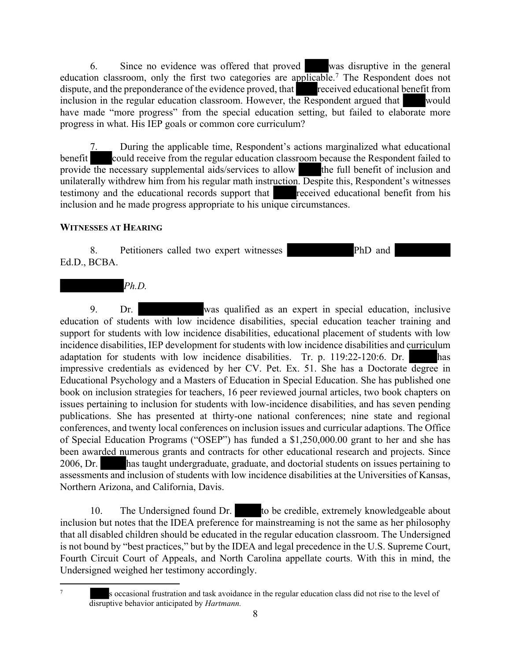6. Since no evidence was offered that proved was disruptive in the general education classroom, only the first two categories are applicable.<sup>7</sup> The Respondent does not dispute, and the preponderance of the evidence proved, that received educational benefit from inclusion in the regular education classroom. However, the Respondent argued that would have made "more progress" from the special education setting, but failed to elaborate more progress in what. His IEP goals or common core curriculum?

During the applicable time, Respondent's actions marginalized what educational benefit could receive from the regular education classroom because the Respondent failed to provide the necessary supplemental aids/services to allow the full benefit of inclusion and unilaterally withdrew him from his regular math instruction. Despite this, Respondent's witnesses testimony and the educational records support that received educational benefit from his inclusion and he made progress appropriate to his unique circumstances.

# **WITNESSES AT HEARING**

8. Petitioners called two expert witnesses PhD and Ed.D., BCBA.



9. Dr. was qualified as an expert in special education, inclusive education of students with low incidence disabilities, special education teacher training and support for students with low incidence disabilities, educational placement of students with low incidence disabilities, IEP development for students with low incidence disabilities and curriculum adaptation for students with low incidence disabilities. Tr. p. 119:22-120:6. Dr. has impressive credentials as evidenced by her CV. Pet. Ex. 51. She has a Doctorate degree in Educational Psychology and a Masters of Education in Special Education. She has published one book on inclusion strategies for teachers, 16 peer reviewed journal articles, two book chapters on issues pertaining to inclusion for students with low-incidence disabilities, and has seven pending publications. She has presented at thirty-one national conferences; nine state and regional conferences, and twenty local conferences on inclusion issues and curricular adaptions. The Office of Special Education Programs ("OSEP") has funded a \$1,250,000.00 grant to her and she has been awarded numerous grants and contracts for other educational research and projects. Since 2006, Dr. has taught undergraduate, graduate, and doctorial students on issues pertaining to assessments and inclusion of students with low incidence disabilities at the Universities of Kansas, Northern Arizona, and California, Davis.

10. The Undersigned found Dr. to be credible, extremely knowledgeable about inclusion but notes that the IDEA preference for mainstreaming is not the same as her philosophy that all disabled children should be educated in the regular education classroom. The Undersigned is not bound by "best practices," but by the IDEA and legal precedence in the U.S. Supreme Court, Fourth Circuit Court of Appeals, and North Carolina appellate courts. With this in mind, the Undersigned weighed her testimony accordingly.

7

s occasional frustration and task avoidance in the regular education class did not rise to the level of disruptive behavior anticipated by *Hartmann.*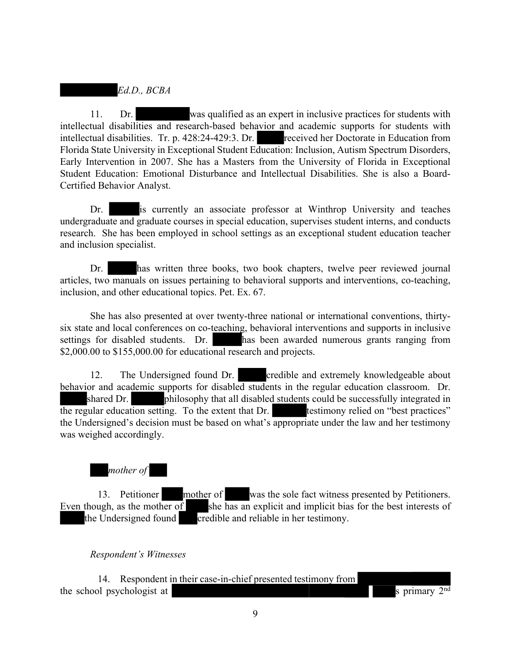*Ed.D., BCBA*

11. Dr. was qualified as an expert in inclusive practices for students with intellectual disabilities and research-based behavior and academic supports for students with intellectual disabilities. Tr. p. 428:24-429:3. Dr. received her Doctorate in Education from Florida State University in Exceptional Student Education: Inclusion, Autism Spectrum Disorders, Early Intervention in 2007. She has a Masters from the University of Florida in Exceptional Student Education: Emotional Disturbance and Intellectual Disabilities. She is also a Board-Certified Behavior Analyst.

Dr. is currently an associate professor at Winthrop University and teaches undergraduate and graduate courses in special education, supervises student interns, and conducts research. She has been employed in school settings as an exceptional student education teacher and inclusion specialist.

Dr. has written three books, two book chapters, twelve peer reviewed journal articles, two manuals on issues pertaining to behavioral supports and interventions, co-teaching, inclusion, and other educational topics. Pet. Ex. 67.

She has also presented at over twenty-three national or international conventions, thirtysix state and local conferences on co-teaching, behavioral interventions and supports in inclusive settings for disabled students. Dr. has been awarded numerous grants ranging from \$2,000.00 to \$155,000.00 for educational research and projects.

12. The Undersigned found Dr. credible and extremely knowledgeable about behavior and academic supports for disabled students in the regular education classroom. Dr. shared Dr. philosophy that all disabled students could be successfully integrated in the regular education setting. To the extent that Dr. testimony relied on "best practices" the Undersigned's decision must be based on what's appropriate under the law and her testimony was weighed accordingly.

# *mother of*

13. Petitioner mother of was the sole fact witness presented by Petitioners. Even though, as the mother of she has an explicit and implicit bias for the best interests of the Undersigned found credible and reliable in her testimony.

#### *Respondent's Witnesses*

14. Respondent in their case-in-chief presented testimony from the school psychologist at s primary  $2<sup>nd</sup>$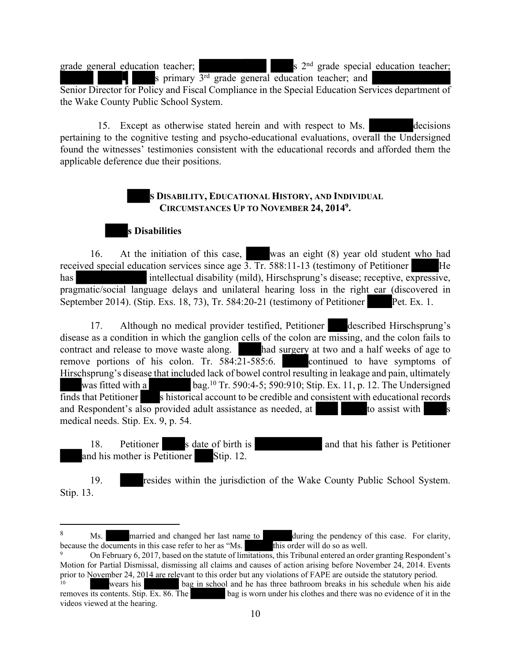s  $2<sup>nd</sup>$  grade special education teacher;

grade general education teacher;

s primary 3<sup>rd</sup> grade general education teacher; and Senior Director for Policy and Fiscal Compliance in the Special Education Services department of the Wake County Public School System.

15. Except as otherwise stated herein and with respect to Ms. decisions pertaining to the cognitive testing and psycho-educational evaluations, overall the Undersigned found the witnesses' testimonies consistent with the educational records and afforded them the applicable deference due their positions.

# **S DISABILITY, EDUCATIONAL HISTORY, AND INDIVIDUAL CIRCUMSTANCES UP TO NOVEMBER 24, 2014<sup>9</sup> .**



16. At the initiation of this case, was an eight (8) year old student who had received special education services since age 3. Tr. 588:11-13 (testimony of Petitioner He has intellectual disability (mild), Hirschsprung's disease; receptive, expressive, pragmatic/social language delays and unilateral hearing loss in the right ear (discovered in September 2014). (Stip. Exs. 18, 73), Tr. 584:20-21 (testimony of Petitioner Pet. Ex. 1.

17. Although no medical provider testified, Petitioner described Hirschsprung's disease as a condition in which the ganglion cells of the colon are missing, and the colon fails to contract and release to move waste along. had surgery at two and a half weeks of age to remove portions of his colon. Tr. 584:21-585:6. remove portions of his colon. Tr.  $584:21-585:6$ . Hirschsprung's disease that included lack of bowel control resulting in leakage and pain, ultimately was fitted with a **bag.**<sup>10</sup> Tr. 590:4-5; 590:910; Stip. Ex. 11, p. 12. The Undersigned finds that Petitioner s historical account to be credible and consistent with educational records and Respondent's also provided adult assistance as needed, at to assist with medical needs. Stip. Ex. 9, p. 54.

18. Petitioner s date of birth is and that his father is Petitioner and his mother is Petitioner Stip. 12.

19. resides within the jurisdiction of the Wake County Public School System. Stip. 13.

<sup>&</sup>lt;sup>8</sup> Ms. married and changed her last name to during the pendency of this case. For clarity, because the documents in this case refer to her as "Ms. this order will do so as well.

<sup>9</sup> On February 6, 2017, based on the statute of limitations, this Tribunal entered an order granting Respondent's Motion for Partial Dismissal, dismissing all claims and causes of action arising before November 24, 2014. Events prior to November 24, 2014 are relevant to this order but any violations of FAPE are outside the statutory period.

<sup>&</sup>lt;sup>10</sup> wears his bag in school and he has three bathroom breaks in his schedule when his aide removes its contents. Stip. Ex. 86. The bag is worn under his clothes and there was no evidence of it in the bag is worn under his clothes and there was no evidence of it in the videos viewed at the hearing.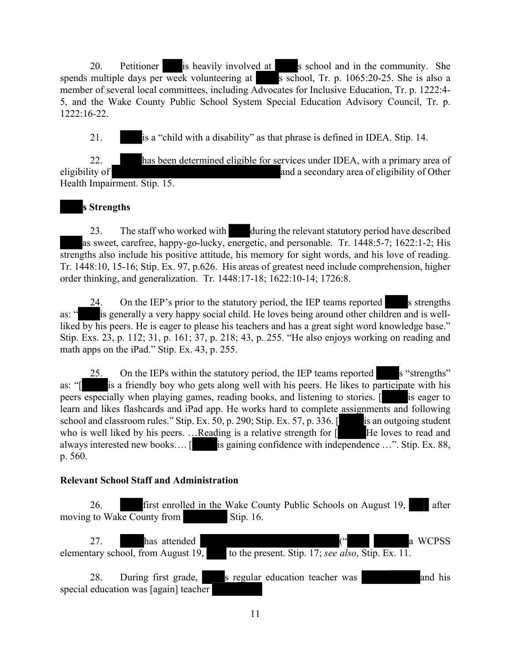20. Petitioner is heavily involved at s school and in the community. She spends multiple days per week volunteering at s school, Tr. p. 1065:20-25. She is also a member of several local committees, including Advocates for Inclusive Education, Tr. p. 1222:4- 5, and the Wake County Public School System Special Education Advisory Council, Tr. p. 1222:16-22.

21. is a "child with a disability" as that phrase is defined in IDEA. Stip. 14.

22. has been determined eligible for services under IDEA, with a primary area of eligibility of and a secondary area of eligibility of Other Health Impairment. Stip. 15.

# **s Strengths**

23. The staff who worked with during the relevant statutory period have described as sweet, carefree, happy-go-lucky, energetic, and personable. Tr. 1448:5-7; 1622:1-2; His strengths also include his positive attitude, his memory for sight words, and his love of reading. Tr. 1448:10, 15-16; Stip. Ex. 97, p.626. His areas of greatest need include comprehension, higher order thinking, and generalization. Tr. 1448:17-18; 1622:10-14; 1726:8.

24. On the IEP's prior to the statutory period, the IEP teams reported s strengths as: " is generally a very happy social child. He loves being around other children and is wellliked by his peers. He is eager to please his teachers and has a great sight word knowledge base." Stip. Exs. 23, p. 112; 31, p. 161; 37, p. 218; 43, p. 255. "He also enjoys working on reading and math apps on the iPad." Stip. Ex. 43, p. 255.

25. On the IEPs within the statutory period, the IEP teams reported s "strengths" as: "[ is a friendly boy who gets along well with his peers. He likes to participate with his peers especially when playing games, reading books, and listening to stories. [ is eager to learn and likes flashcards and iPad app. He works hard to complete assignments and following school and classroom rules." Stip. Ex. 50, p. 290; Stip. Ex. 57, p. 336.  $\left[\right]$  is an outgoing student who is well liked by his peers. ...Reading is a relative strength for  $\begin{bmatrix} 1 \end{bmatrix}$  He loves to read and always interested new books.... [ is gaining confidence with independence ...". Stip. Ex. 88, p. 560.

# **Relevant School Staff and Administration**

26. first enrolled in the Wake County Public Schools on August 19, after moving to Wake County from Stip. 16.

27. has attended  $($ " a WCPSS elementary school, from August 19, to the present. Stip. 17; *see also*, Stip. Ex. 11.

28. During first grade, s regular education teacher was and his special education was [again] teacher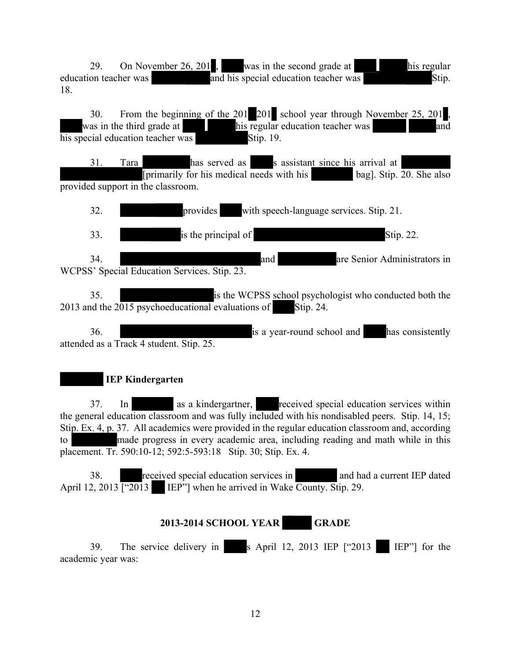29. On November 26, 201, was in the second grade at his regular education teacher was and his special education teacher was Stip. 18. 30. From the beginning of the 201 201 school year through November 25, 201 , was in the third grade at his regular education teacher was and  $\overline{\text{his special education teacher was}}$  Stip. 19. 31. Tara has served as s assistant since his arrival at [primarily for his medical needs with his bag]. Stip. 20. She also provided support in the classroom. 32. provides with speech-language services. Stip. 21. 33. Stip. 22. 34. and are Senior Administrators in WCPSS' Special Education Services. Stip. 23. 35. is the WCPSS school psychologist who conducted both the 2013 and the  $2015$  psychoeducational evaluations of Stip. 24. 36. is a year-round school and has consistently attended as a Track 4 student. Stip. 25.  **IEP Kindergarten**

37. In as a kindergartner, received special education services within the general education classroom and was fully included with his nondisabled peers. Stip. 14, 15; Stip. Ex. 4, p. 37. All academics were provided in the regular education classroom and, according to made progress in every academic area, including reading and math while in this placement. Tr. 590:10-12; 592:5-593:18 Stip. 30; Stip. Ex. 4.

38. received special education services in and had a current IEP dated April 12, 2013  $\boxed{\text{``2013}}$  IEP"] when he arrived in Wake County. Stip. 29.

# **2013-2014 SCHOOL YEAR GRADE**

39. The service delivery in s April 12, 2013 IEP ["2013 IEP"] for the academic year was: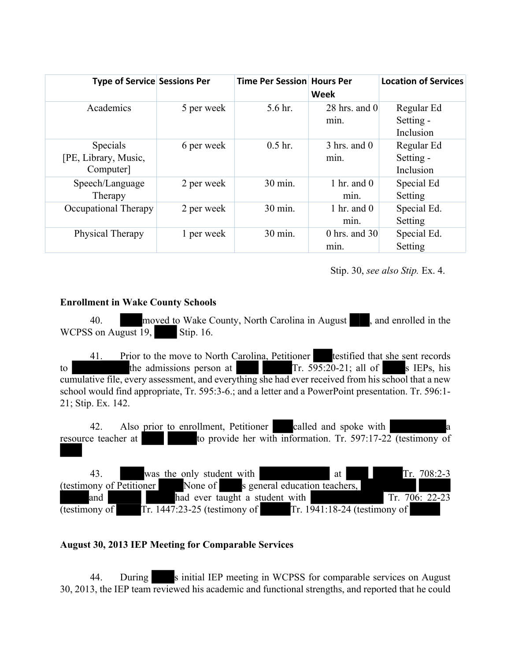| <b>Type of Service Sessions Per</b>           |            | Time Per Session Hours Per | Week                                       | <b>Location of Services</b>          |
|-----------------------------------------------|------------|----------------------------|--------------------------------------------|--------------------------------------|
| Academics                                     | 5 per week | 5.6 hr.                    | $28$ hrs. and $0$<br>min.                  | Regular Ed<br>Setting -<br>Inclusion |
| Specials<br>[PE, Library, Music,<br>Computer] | 6 per week | $0.5$ hr.                  | $3 \text{ hrs.}$ and $0 \text{ s}$<br>min. | Regular Ed<br>Setting -<br>Inclusion |
| Speech/Language<br>Therapy                    | 2 per week | 30 min.                    | 1 hr. and $0$<br>min.                      | Special Ed<br>Setting                |
| Occupational Therapy                          | 2 per week | 30 min.                    | 1 hr. and $0$<br>min.                      | Special Ed.<br>Setting               |
| Physical Therapy                              | 1 per week | 30 min.                    | 0 hrs. and $30$<br>min.                    | Special Ed.<br>Setting               |

Stip. 30, *see also Stip.* Ex. 4.

#### **Enrollment in Wake County Schools**

40. moved to Wake County, North Carolina in August, and enrolled in the WCPSS on August 19, Stip. 16.

41. Prior to the move to North Carolina, Petitioner testified that she sent records to the admissions person at Tr.  $595:20-21$ ; all of s IEPs, his cumulative file, every assessment, and everything she had ever received from his school that a new school would find appropriate, Tr. 595:3-6.; and a letter and a PowerPoint presentation. Tr. 596:1- 21; Stip. Ex. 142.

42. Also prior to enrollment, Petitioner called and spoke with resource teacher at to provide her with information. Tr. 597:17-22 (testimony of  $\overline{\phantom{a}}$ 

43. was the only student with  $\frac{at}{17}$  at Tr. 708:2-3 (testimony of Petitioner None of s general education teachers, and had ever taught a student with Tr. 706: 22-23 (testimony of Tr. 1447:23-25 (testimony of Tr. 1941:18-24 (testimony of

# **August 30, 2013 IEP Meeting for Comparable Services**

44. During s initial IEP meeting in WCPSS for comparable services on August 30, 2013, the IEP team reviewed his academic and functional strengths, and reported that he could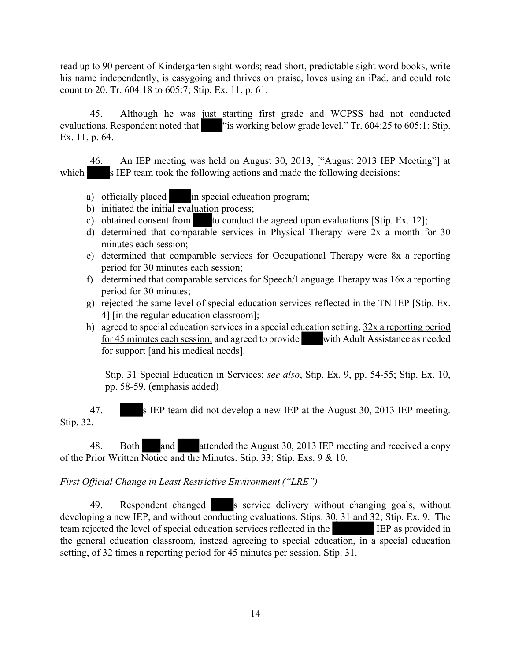read up to 90 percent of Kindergarten sight words; read short, predictable sight word books, write his name independently, is easygoing and thrives on praise, loves using an iPad, and could rote count to 20. Tr. 604:18 to 605:7; Stip. Ex. 11, p. 61.

45. Although he was just starting first grade and WCPSS had not conducted evaluations, Respondent noted that "is working below grade level." Tr. 604:25 to 605:1; Stip. Ex. 11, p. 64.

46. An IEP meeting was held on August 30, 2013, ["August 2013 IEP Meeting"] at which s IEP team took the following actions and made the following decisions:

- a) officially placed in special education program;
- b) initiated the initial evaluation process;
- c) obtained consent from to conduct the agreed upon evaluations [Stip. Ex. 12];
- d) determined that comparable services in Physical Therapy were 2x a month for 30 minutes each session;
- e) determined that comparable services for Occupational Therapy were 8x a reporting period for 30 minutes each session;
- f) determined that comparable services for Speech/Language Therapy was 16x a reporting period for 30 minutes;
- g) rejected the same level of special education services reflected in the TN IEP [Stip. Ex. 4] [in the regular education classroom];
- h) agreed to special education services in a special education setting, 32x a reporting period for 45 minutes each session; and agreed to provide with Adult Assistance as needed for support [and his medical needs].

Stip. 31 Special Education in Services; *see also*, Stip. Ex. 9, pp. 54-55; Stip. Ex. 10, pp. 58-59. (emphasis added)

47. s IEP team did not develop a new IEP at the August 30, 2013 IEP meeting. Stip. 32.

48. Both and attended the August 30, 2013 IEP meeting and received a copy of the Prior Written Notice and the Minutes. Stip. 33; Stip. Exs. 9 & 10.

# *First Official Change in Least Restrictive Environment ("LRE")*

49. Respondent changed s service delivery without changing goals, without developing a new IEP, and without conducting evaluations. Stips. 30, 31 and 32; Stip. Ex. 9. The team rejected the level of special education services reflected in the IEP as provided in the general education classroom, instead agreeing to special education, in a special education setting, of 32 times a reporting period for 45 minutes per session. Stip. 31.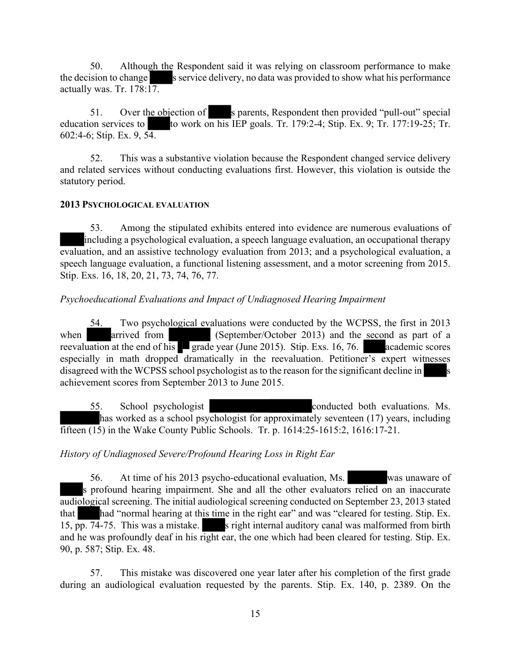50. Although the Respondent said it was relying on classroom performance to make the decision to change s service delivery, no data was provided to show what his performance actually was. Tr. 178:17.

51. Over the objection of s parents, Respondent then provided "pull-out" special education services to to work on his IEP goals. Tr. 179:2-4; Stip. Ex. 9; Tr. 177:19-25; Tr. 602:4-6; Stip. Ex. 9, 54.

52. This was a substantive violation because the Respondent changed service delivery and related services without conducting evaluations first. However, this violation is outside the statutory period.

#### **2013 PSYCHOLOGICAL EVALUATION**

53. Among the stipulated exhibits entered into evidence are numerous evaluations of including a psychological evaluation, a speech language evaluation, an occupational therapy evaluation, and an assistive technology evaluation from 2013; and a psychological evaluation, a speech language evaluation, a functional listening assessment, and a motor screening from 2015. Stip. Exs. 16, 18, 20, 21, 73, 74, 76, 77.

# *Psychoeducational Evaluations and Impact of Undiagnosed Hearing Impairment*

54. Two psychological evaluations were conducted by the WCPSS, the first in 2013 when arrived from (September/October 2013) and the second as part of a reevaluation at the end of his grade year (June 2015). Stip. Exs. 16, 76. academic scores especially in math dropped dramatically in the reevaluation. Petitioner's expert witnesses disagreed with the WCPSS school psychologist as to the reason for the significant decline in achievement scores from September 2013 to June 2015.

55. School psychologist conducted both evaluations. Ms. has worked as a school psychologist for approximately seventeen (17) years, including fifteen (15) in the Wake County Public Schools. Tr. p. 1614:25-1615:2, 1616:17-21.

# *History of Undiagnosed Severe/Profound Hearing Loss in Right Ear*

56. At time of his 2013 psycho-educational evaluation, Ms. was unaware of s profound hearing impairment. She and all the other evaluators relied on an inaccurate audiological screening. The initial audiological screening conducted on September 23, 2013 stated that had "normal hearing at this time in the right ear" and was "cleared for testing. Stip. Ex. 15, pp. 74-75. This was a mistake. s right internal auditory canal was malformed from birth and he was profoundly deaf in his right ear, the one which had been cleared for testing. Stip. Ex. 90, p. 587; Stip. Ex. 48.

57. This mistake was discovered one year later after his completion of the first grade during an audiological evaluation requested by the parents. Stip. Ex. 140, p. 2389. On the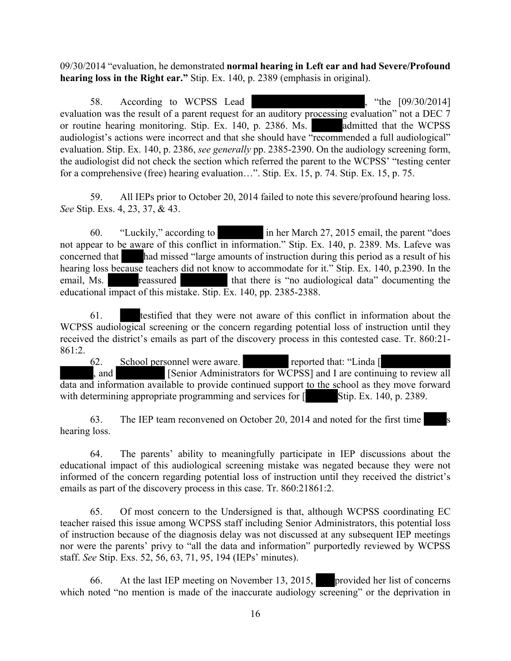09/30/2014 "evaluation, he demonstrated **normal hearing in Left ear and had Severe/Profound hearing loss in the Right ear."** Stip. Ex. 140, p. 2389 (emphasis in original).

58. According to WCPSS Lead (30), "the [09/30/2014] evaluation was the result of a parent request for an auditory processing evaluation" not a DEC 7 or routine hearing monitoring. Stip. Ex. 140, p. 2386. Ms. admitted that the WCPSS audiologist's actions were incorrect and that she should have "recommended a full audiological" evaluation. Stip. Ex. 140, p. 2386, *see generally* pp. 2385-2390. On the audiology screening form, the audiologist did not check the section which referred the parent to the WCPSS' "testing center for a comprehensive (free) hearing evaluation…". Stip. Ex. 15, p. 74. Stip. Ex. 15, p. 75.

59. All IEPs prior to October 20, 2014 failed to note this severe/profound hearing loss. *See* Stip. Exs. 4, 23, 37, & 43.

60. "Luckily," according to in her March 27, 2015 email, the parent "does not appear to be aware of this conflict in information." Stip. Ex. 140, p. 2389. Ms. Lafeve was concerned that had missed "large amounts of instruction during this period as a result of his hearing loss because teachers did not know to accommodate for it." Stip. Ex. 140, p.2390. In the email, Ms. reassured that there is "no audiological data" documenting the educational impact of this mistake. Stip. Ex. 140, pp. 2385-2388.

61. testified that they were not aware of this conflict in information about the WCPSS audiological screening or the concern regarding potential loss of instruction until they received the district's emails as part of the discovery process in this contested case. Tr. 860:21- 861:2.

62. School personnel were aware. reported that: "Linda [ , and [Senior Administrators for WCPSS] and I are continuing to review all data and information available to provide continued support to the school as they move forward with determining appropriate programming and services for  $\lceil$  Stip. Ex. 140, p. 2389.

63. The IEP team reconvened on October 20, 2014 and noted for the first time s hearing loss.

64. The parents' ability to meaningfully participate in IEP discussions about the educational impact of this audiological screening mistake was negated because they were not informed of the concern regarding potential loss of instruction until they received the district's emails as part of the discovery process in this case. Tr. 860:21861:2.

65. Of most concern to the Undersigned is that, although WCPSS coordinating EC teacher raised this issue among WCPSS staff including Senior Administrators, this potential loss of instruction because of the diagnosis delay was not discussed at any subsequent IEP meetings nor were the parents' privy to "all the data and information" purportedly reviewed by WCPSS staff. *See* Stip. Exs. 52, 56, 63, 71, 95, 194 (IEPs' minutes).

66. At the last IEP meeting on November 13, 2015, provided her list of concerns which noted "no mention is made of the inaccurate audiology screening" or the deprivation in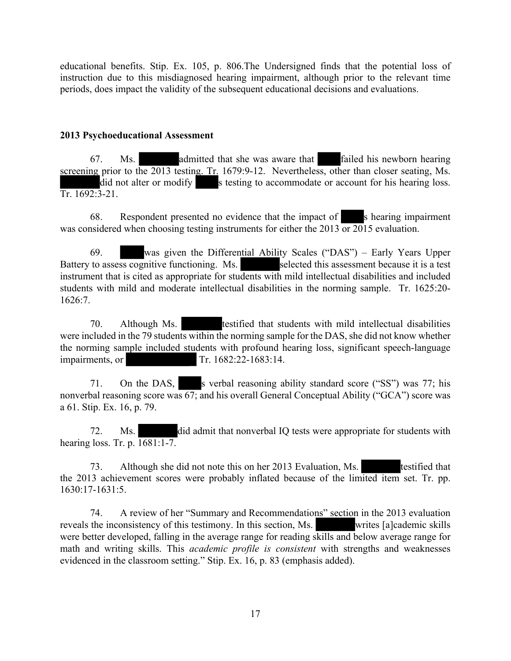educational benefits. Stip. Ex. 105, p. 806.The Undersigned finds that the potential loss of instruction due to this misdiagnosed hearing impairment, although prior to the relevant time periods, does impact the validity of the subsequent educational decisions and evaluations.

#### **2013 Psychoeducational Assessment**

67. Ms. admitted that she was aware that failed his newborn hearing screening prior to the 2013 testing. Tr. 1679:9-12. Nevertheless, other than closer seating, Ms. did not alter or modify s testing to accommodate or account for his hearing loss. Tr. 1692:3-21.

68. Respondent presented no evidence that the impact of s hearing impairment was considered when choosing testing instruments for either the 2013 or 2015 evaluation.

69. was given the Differential Ability Scales ("DAS") – Early Years Upper Battery to assess cognitive functioning. Ms. selected this assessment because it is a test instrument that is cited as appropriate for students with mild intellectual disabilities and included students with mild and moderate intellectual disabilities in the norming sample. Tr. 1625:20-  $1626.7$ 

70. Although Ms. testified that students with mild intellectual disabilities were included in the 79 students within the norming sample for the DAS, she did not know whether the norming sample included students with profound hearing loss, significant speech-language impairments, or Tr. 1682:22-1683:14.

71. On the DAS, s verbal reasoning ability standard score ("SS") was 77; his nonverbal reasoning score was  $\overline{67}$ ; and his overall General Conceptual Ability ("GCA") score was a 61. Stip. Ex. 16, p. 79.

72. Ms. did admit that nonverbal IQ tests were appropriate for students with hearing loss. Tr. p. 1681:1-7.

73. Although she did not note this on her 2013 Evaluation, Ms. testified that the 2013 achievement scores were probably inflated because of the limited item set. Tr. pp. 1630:17-1631:5.

74. A review of her "Summary and Recommendations" section in the 2013 evaluation the inconsistency of this testimony. In this section, Ms. reveals the inconsistency of this testimony. In this section, Ms. were better developed, falling in the average range for reading skills and below average range for math and writing skills. This *academic profile is consistent* with strengths and weaknesses evidenced in the classroom setting." Stip. Ex. 16, p. 83 (emphasis added).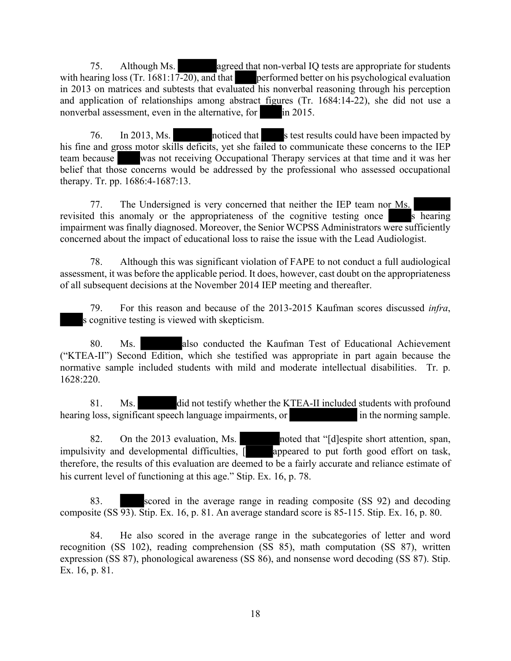75. Although Ms. **agreed that non-verbal IQ tests are appropriate for students** with hearing loss (Tr. 1681:17-20), and that performed better on his psychological evaluation in 2013 on matrices and subtests that evaluated his nonverbal reasoning through his perception and application of relationships among abstract figures (Tr. 1684:14-22), she did not use a nonverbal assessment, even in the alternative, for in 2015.

76. In 2013, Ms. noticed that s test results could have been impacted by his fine and gross motor skills deficits, yet she failed to communicate these concerns to the IEP team because was not receiving Occupational Therapy services at that time and it was her belief that those concerns would be addressed by the professional who assessed occupational therapy. Tr. pp. 1686:4-1687:13.

77. The Undersigned is very concerned that neither the IEP team nor Ms. revisited this anomaly or the appropriateness of the cognitive testing once  $\overline{s}$  hearing impairment was finally diagnosed. Moreover, the Senior WCPSS Administrators were sufficiently concerned about the impact of educational loss to raise the issue with the Lead Audiologist.

78. Although this was significant violation of FAPE to not conduct a full audiological assessment, it was before the applicable period. It does, however, cast doubt on the appropriateness of all subsequent decisions at the November 2014 IEP meeting and thereafter.

79. For this reason and because of the 2013-2015 Kaufman scores discussed *infra*, s cognitive testing is viewed with skepticism.

80. Ms. also conducted the Kaufman Test of Educational Achievement ("KTEA-II") Second Edition, which she testified was appropriate in part again because the normative sample included students with mild and moderate intellectual disabilities. Tr. p. 1628:220.

81. Ms. did not testify whether the KTEA-II included students with profound hearing loss, significant speech language impairments, or in the norming sample.

82. On the 2013 evaluation, Ms. noted that "[d]espite short attention, span, impulsivity and developmental difficulties,  $\sqrt{ }$  appeared to put forth good effort on task, therefore, the results of this evaluation are deemed to be a fairly accurate and reliance estimate of his current level of functioning at this age." Stip. Ex. 16, p. 78.

83. scored in the average range in reading composite (SS 92) and decoding composite (SS 93). Stip. Ex. 16, p. 81. An average standard score is 85-115. Stip. Ex. 16, p. 80.

84. He also scored in the average range in the subcategories of letter and word recognition (SS 102), reading comprehension (SS 85), math computation (SS 87), written expression (SS 87), phonological awareness (SS 86), and nonsense word decoding (SS 87). Stip. Ex. 16, p. 81.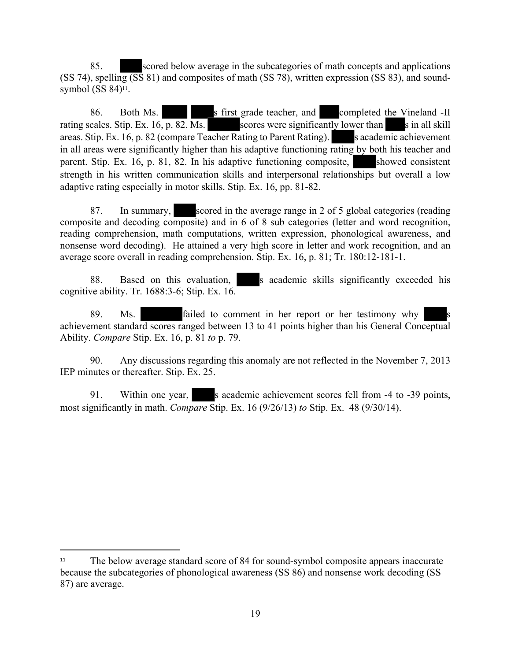85. scored below average in the subcategories of math concepts and applications (SS 74), spelling (SS 81) and composites of math (SS 78), written expression (SS 83), and soundsymbol  $(SS 84)$ <sup>11</sup>.

86. Both Ms. s first grade teacher, and completed the Vineland -II rating scales. Stip. Ex. 16, p. 82. Ms. scores were significantly lower than s in all skill areas. Stip. Ex. 16, p. 82 (compare Teacher Rating to Parent Rating). S academic achievement in all areas were significantly higher than his adaptive functioning rating by both his teacher and parent. Stip. Ex. 16, p. 81, 82. In his adaptive functioning composite, showed consistent strength in his written communication skills and interpersonal relationships but overall a low adaptive rating especially in motor skills. Stip. Ex. 16, pp. 81-82.

87. In summary, scored in the average range in 2 of 5 global categories (reading composite and decoding composite) and in 6 of 8 sub categories (letter and word recognition, reading comprehension, math computations, written expression, phonological awareness, and nonsense word decoding). He attained a very high score in letter and work recognition, and an average score overall in reading comprehension. Stip. Ex. 16, p. 81; Tr. 180:12-181-1.

88. Based on this evaluation, s academic skills significantly exceeded his cognitive ability. Tr. 1688:3-6; Stip. Ex. 16.

89. Ms. **failed to comment in her report or her testimony why** achievement standard scores ranged between 13 to 41 points higher than his General Conceptual Ability. *Compare* Stip. Ex. 16, p. 81 *to* p. 79.

90. Any discussions regarding this anomaly are not reflected in the November 7, 2013 IEP minutes or thereafter. Stip. Ex. 25.

91. Within one year, s academic achievement scores fell from -4 to -39 points, most significantly in math. *Compare* Stip. Ex. 16 (9/26/13) *to* Stip. Ex. 48 (9/30/14).

<sup>&</sup>lt;sup>11</sup> The below average standard score of 84 for sound-symbol composite appears inaccurate because the subcategories of phonological awareness (SS 86) and nonsense work decoding (SS 87) are average.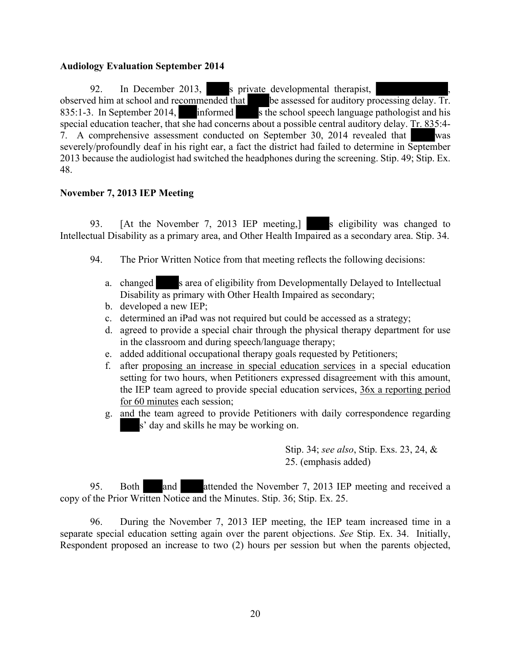#### **Audiology Evaluation September 2014**

92. In December 2013, s private developmental therapist, observed him at school and recommended that be assessed for auditory processing delay. Tr. 835:1-3. In September 2014, informed s the school speech language pathologist and his special education teacher, that she had concerns about a possible central auditory delay. Tr. 835:4- 7. A comprehensive assessment conducted on September 30, 2014 revealed that was severely/profoundly deaf in his right ear, a fact the district had failed to determine in September 2013 because the audiologist had switched the headphones during the screening. Stip. 49; Stip. Ex. 48.

# **November 7, 2013 IEP Meeting**

93. [At the November 7, 2013 IEP meeting,] s eligibility was changed to Intellectual Disability as a primary area, and Other Health Impaired as a secondary area. Stip. 34.

- 94. The Prior Written Notice from that meeting reflects the following decisions:
	- a. changed s area of eligibility from Developmentally Delayed to Intellectual Disability as primary with Other Health Impaired as secondary;
	- b. developed a new IEP;
	- c. determined an iPad was not required but could be accessed as a strategy;
	- d. agreed to provide a special chair through the physical therapy department for use in the classroom and during speech/language therapy;
	- e. added additional occupational therapy goals requested by Petitioners;
	- f. after proposing an increase in special education services in a special education setting for two hours, when Petitioners expressed disagreement with this amount, the IEP team agreed to provide special education services, 36x a reporting period for 60 minutes each session;
	- g. and the team agreed to provide Petitioners with daily correspondence regarding s' day and skills he may be working on.

Stip. 34; *see also*, Stip. Exs. 23, 24, & 25. (emphasis added)

95. Both and attended the November 7, 2013 IEP meeting and received a copy of the Prior Written Notice and the Minutes. Stip. 36; Stip. Ex. 25.

96. During the November 7, 2013 IEP meeting, the IEP team increased time in a separate special education setting again over the parent objections. *See* Stip. Ex. 34. Initially, Respondent proposed an increase to two (2) hours per session but when the parents objected,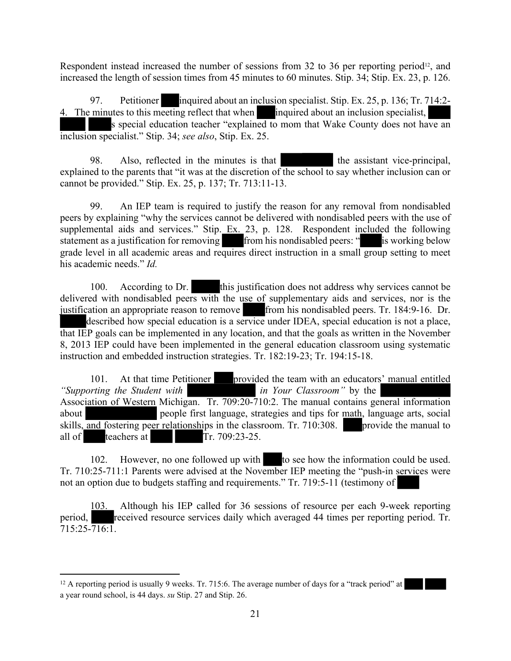Respondent instead increased the number of sessions from 32 to 36 per reporting period<sup>12</sup>, and increased the length of session times from 45 minutes to 60 minutes. Stip. 34; Stip. Ex. 23, p. 126.

97. Petitioner inquired about an inclusion specialist. Stip. Ex. 25, p. 136; Tr. 714:2-4. The minutes to this meeting reflect that when inquired about an inclusion specialist, s special education teacher "explained to mom that Wake County does not have an inclusion specialist." Stip. 34; *see also*, Stip. Ex. 25.

98. Also, reflected in the minutes is that the assistant vice-principal, explained to the parents that "it was at the discretion of the school to say whether inclusion can or cannot be provided." Stip. Ex. 25, p. 137; Tr. 713:11-13.

99. An IEP team is required to justify the reason for any removal from nondisabled peers by explaining "why the services cannot be delivered with nondisabled peers with the use of supplemental aids and services." Stip. Ex. 23, p. 128. Respondent included the following statement as a justification for removing from his nondisabled peers: " is working below grade level in all academic areas and requires direct instruction in a small group setting to meet his academic needs." *Id.*

100. According to Dr. this justification does not address why services cannot be delivered with nondisabled peers with the use of supplementary aids and services, nor is the justification an appropriate reason to remove from his nondisabled peers. Tr. 184:9-16. Dr. described how special education is a service under IDEA, special education is not a place, that IEP goals can be implemented in any location, and that the goals as written in the November 8, 2013 IEP could have been implemented in the general education classroom using systematic instruction and embedded instruction strategies. Tr. 182:19-23; Tr. 194:15-18.

101. At that time Petitioner provided the team with an educators' manual entitled *"Supporting the Student with in Your Classroom"* by the Association of Western Michigan. Tr. 709:20-710:2. The manual contains general information about people first language, strategies and tips for math, language arts, social skills, and fostering peer relationships in the classroom. Tr. 710:308. provide the manual to all of teachers at Tr. 709:23-25.

102. However, no one followed up with to see how the information could be used. Tr. 710:25-711:1 Parents were advised at the November IEP meeting the "push-in services were not an option due to budgets staffing and requirements." Tr. 719:5-11 (testimony of

103. Although his IEP called for 36 sessions of resource per each 9-week reporting period, received resource services daily which averaged 44 times per reporting period. Tr.  $715:25 - 716:1$ .

<sup>&</sup>lt;sup>12</sup> A reporting period is usually 9 weeks. Tr. 715:6. The average number of days for a "track period" at a year round school, is 44 days. *su* Stip. 27 and Stip. 26.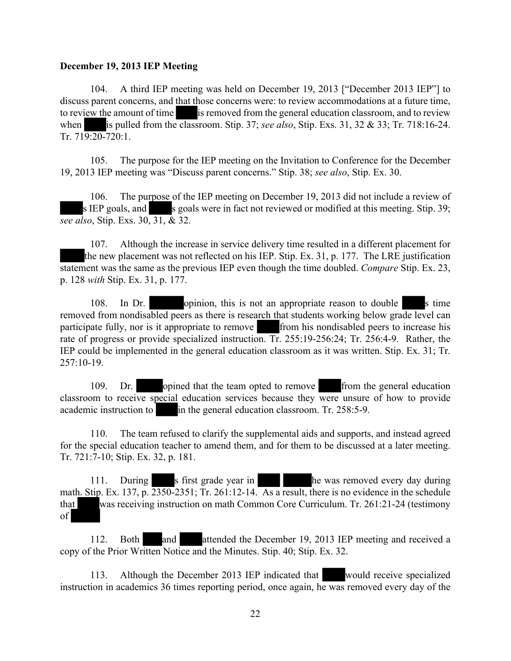#### **December 19, 2013 IEP Meeting**

104. A third IEP meeting was held on December 19, 2013 ["December 2013 IEP"] to discuss parent concerns, and that those concerns were: to review accommodations at a future time, to review the amount of time is removed from the general education classroom, and to review when is pulled from the classroom. Stip. 37; *see also*, Stip. Exs. 31, 32 & 33; Tr. 718:16-24. Tr. 719:20-720:1.

105. The purpose for the IEP meeting on the Invitation to Conference for the December 19, 2013 IEP meeting was "Discuss parent concerns." Stip. 38; *see also*, Stip. Ex. 30.

106. The purpose of the IEP meeting on December 19, 2013 did not include a review of s IEP goals, and s goals were in fact not reviewed or modified at this meeting. Stip. 39; *see also*, Stip. Exs. 30, 31, & 32.

107. Although the increase in service delivery time resulted in a different placement for the new placement was not reflected on his IEP. Stip. Ex. 31, p. 177. The LRE justification statement was the same as the previous IEP even though the time doubled. *Compare* Stip. Ex. 23, p. 128 *with* Stip. Ex. 31, p. 177.

108. In Dr. opinion, this is not an appropriate reason to double s time removed from nondisabled peers as there is research that students working below grade level can participate fully, nor is it appropriate to remove from his nondisabled peers to increase his rate of progress or provide specialized instruction. Tr. 255:19-256:24; Tr. 256:4-9. Rather, the IEP could be implemented in the general education classroom as it was written. Stip. Ex. 31; Tr. 257:10-19.

109. Dr. opined that the team opted to remove from the general education classroom to receive special education services because they were unsure of how to provide academic instruction to in the general education classroom. Tr. 258:5-9.

110. The team refused to clarify the supplemental aids and supports, and instead agreed for the special education teacher to amend them, and for them to be discussed at a later meeting. Tr. 721:7-10; Stip. Ex. 32, p. 181.

111. During s first grade year in he was removed every day during math. Stip. Ex. 137, p. 2350-2351; Tr. 261:12-14. As a result, there is no evidence in the schedule that was receiving instruction on math Common Core Curriculum. Tr. 261:21-24 (testimony of

112. Both and attended the December 19, 2013 IEP meeting and received a copy of the Prior Written Notice and the Minutes. Stip. 40; Stip. Ex. 32.

113. Although the December 2013 IEP indicated that would receive specialized instruction in academics 36 times reporting period, once again, he was removed every day of the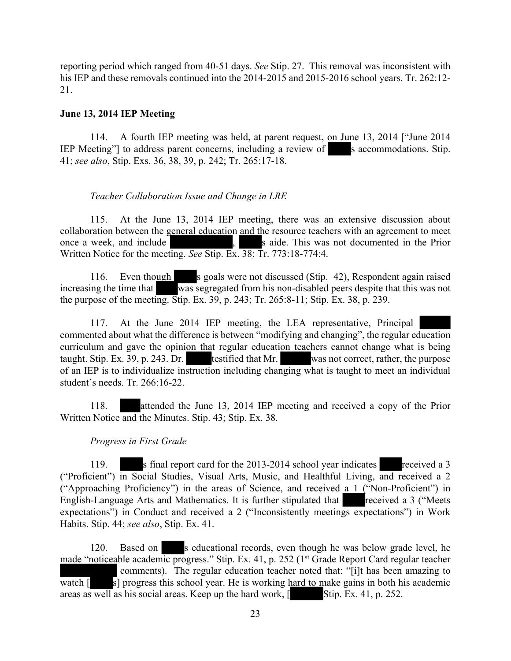reporting period which ranged from 40-51 days. *See* Stip. 27. This removal was inconsistent with his IEP and these removals continued into the 2014-2015 and 2015-2016 school years. Tr. 262:12-21.

#### **June 13, 2014 IEP Meeting**

114. A fourth IEP meeting was held, at parent request, on June 13, 2014 ["June 2014 IEP Meeting" to address parent concerns, including a review of s accommodations. Stip. 41; *see also*, Stip. Exs. 36, 38, 39, p. 242; Tr. 265:17-18.

#### *Teacher Collaboration Issue and Change in LRE*

115. At the June 13, 2014 IEP meeting, there was an extensive discussion about collaboration between the general education and the resource teachers with an agreement to meet once a week, and include , saide. This was not documented in the Prior Written Notice for the meeting. *See* Stip. Ex. 38; Tr. 773:18-774:4.

116. Even though s goals were not discussed (Stip. 42), Respondent again raised increasing the time that was segregated from his non-disabled peers despite that this was not the purpose of the meeting. Stip. Ex. 39, p. 243; Tr. 265:8-11; Stip. Ex. 38, p. 239.

117. At the June 2014 IEP meeting, the LEA representative, Principal commented about what the difference is between "modifying and changing", the regular education curriculum and gave the opinion that regular education teachers cannot change what is being taught. Stip. Ex. 39, p. 243. Dr. testified that Mr. was not correct, rather, the purpose of an IEP is to individualize instruction including changing what is taught to meet an individual student's needs. Tr. 266:16-22.

118. attended the June 13, 2014 IEP meeting and received a copy of the Prior Written Notice and the Minutes. Stip. 43; Stip. Ex. 38.

#### *Progress in First Grade*

119. s final report card for the 2013-2014 school year indicates received a 3 ("Proficient") in Social Studies, Visual Arts, Music, and Healthful Living, and received a 2 ("Approaching Proficiency") in the areas of Science, and received a 1 ("Non-Proficient") in English-Language Arts and Mathematics. It is further stipulated that received a 3 ("Meets expectations") in Conduct and received a 2 ("Inconsistently meetings expectations") in Work Habits. Stip. 44; *see also*, Stip. Ex. 41.

120. Based on s educational records, even though he was below grade level, he made "noticeable academic progress." Stip. Ex. 41, p. 252 (1st Grade Report Card regular teacher comments). The regular education teacher noted that: "[i]t has been amazing to watch  $\lceil$  s] progress this school year. He is working hard to make gains in both his academic areas as well as his social areas. Keep up the hard work,  $\lceil$  Stip. Ex. 41, p. 252.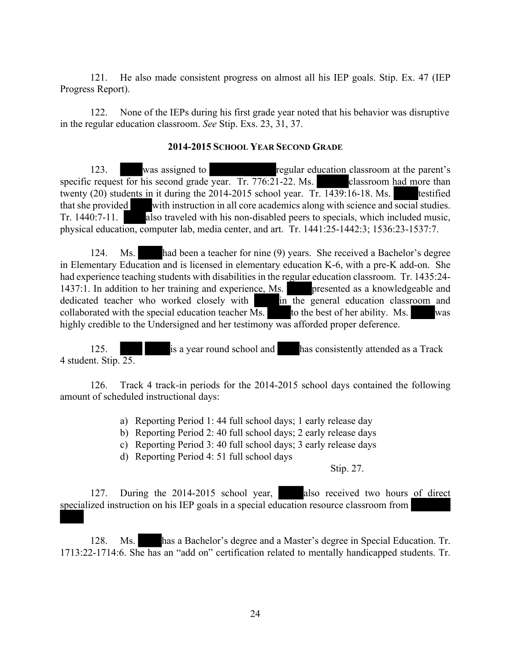121. He also made consistent progress on almost all his IEP goals. Stip. Ex. 47 (IEP Progress Report).

122. None of the IEPs during his first grade year noted that his behavior was disruptive in the regular education classroom. *See* Stip. Exs. 23, 31, 37.

#### **2014-2015 SCHOOL YEAR SECOND GRADE**

123. was assigned to regular education classroom at the parent's specific request for his second grade year. Tr. 776:21-22. Ms. classroom had more than twenty (20) students in it during the 2014-2015 school year. Tr. 1439:16-18. Ms. testified that she provided with instruction in all core academics along with science and social studies. Tr. 1440:7-11. also traveled with his non-disabled peers to specials, which included music, physical education, computer lab, media center, and art. Tr. 1441:25-1442:3; 1536:23-1537:7.

124. Ms. had been a teacher for nine (9) years. She received a Bachelor's degree in Elementary Education and is licensed in elementary education K-6, with a pre-K add-on. She had experience teaching students with disabilities in the regular education classroom. Tr. 1435:24- 1437:1. In addition to her training and experience, Ms. presented as a knowledgeable and dedicated teacher who worked closely with in the general education classroom and collaborated with the special education teacher  $\overline{Ms}$ . to the best of her ability. Ms. was highly credible to the Undersigned and her testimony was afforded proper deference.

125. **is a year round school and** has consistently attended as a Track 4 student. Stip. 25.

126. Track 4 track-in periods for the 2014-2015 school days contained the following amount of scheduled instructional days:

a) Reporting Period 1: 44 full school days; 1 early release day

b) Reporting Period 2: 40 full school days; 2 early release days

c) Reporting Period 3: 40 full school days; 3 early release days

d) Reporting Period 4: 51 full school days

Stip. 27.

127. During the 2014-2015 school year, also received two hours of direct specialized instruction on his IEP goals in a special education resource classroom from

128. Ms. has a Bachelor's degree and a Master's degree in Special Education. Tr. 1713:22-1714:6. She has an "add on" certification related to mentally handicapped students. Tr.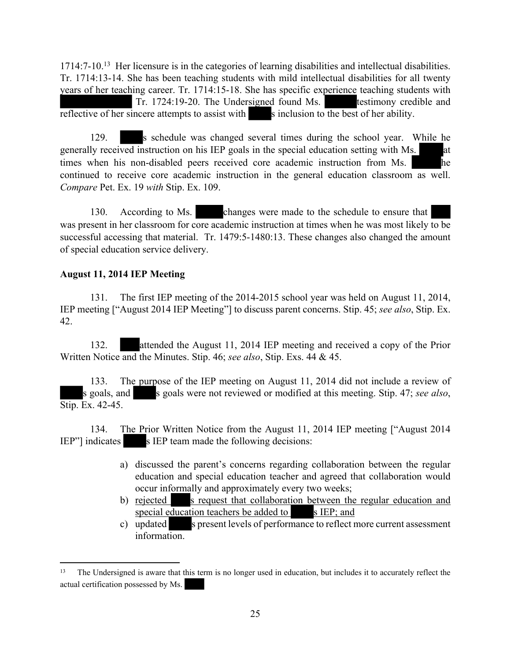1714:7-10.<sup>13</sup> Her licensure is in the categories of learning disabilities and intellectual disabilities. Tr. 1714:13-14. She has been teaching students with mild intellectual disabilities for all twenty years of her teaching career. Tr. 1714:15-18. She has specific experience teaching students with Tr. 1724:19-20. The Undersigned found Ms. testimony credible and reflective of her sincere attempts to assist with s inclusion to the best of her ability.

129. s schedule was changed several times during the school year. While he generally received instruction on his IEP goals in the special education setting with Ms. at times when his non-disabled peers received core academic instruction from Ms. he continued to receive core academic instruction in the general education classroom as well. *Compare* Pet. Ex. 19 *with* Stip. Ex. 109.

130. According to Ms. changes were made to the schedule to ensure that was present in her classroom for core academic instruction at times when he was most likely to be successful accessing that material. Tr. 1479:5-1480:13. These changes also changed the amount of special education service delivery.

# **August 11, 2014 IEP Meeting**

131. The first IEP meeting of the 2014-2015 school year was held on August 11, 2014, IEP meeting ["August 2014 IEP Meeting"] to discuss parent concerns. Stip. 45; *see also*, Stip. Ex. 42.

132. attended the August 11, 2014 IEP meeting and received a copy of the Prior Written Notice and the Minutes. Stip. 46; *see also*, Stip. Exs. 44 & 45.

133. The purpose of the IEP meeting on August 11, 2014 did not include a review of s goals, and s goals were not reviewed or modified at this meeting. Stip. 47; *see also*, Stip. Ex. 42-45.

134. The Prior Written Notice from the August 11, 2014 IEP meeting ["August 2014 IEP"] indicates s IEP team made the following decisions:

- a) discussed the parent's concerns regarding collaboration between the regular education and special education teacher and agreed that collaboration would occur informally and approximately every two weeks;
- b) rejected s request that collaboration between the regular education and special education teachers be added to  $\blacksquare$  s IEP; and
- c) updated s present levels of performance to reflect more current assessment information.

<sup>13</sup> The Undersigned is aware that this term is no longer used in education, but includes it to accurately reflect the actual certification possessed by Ms.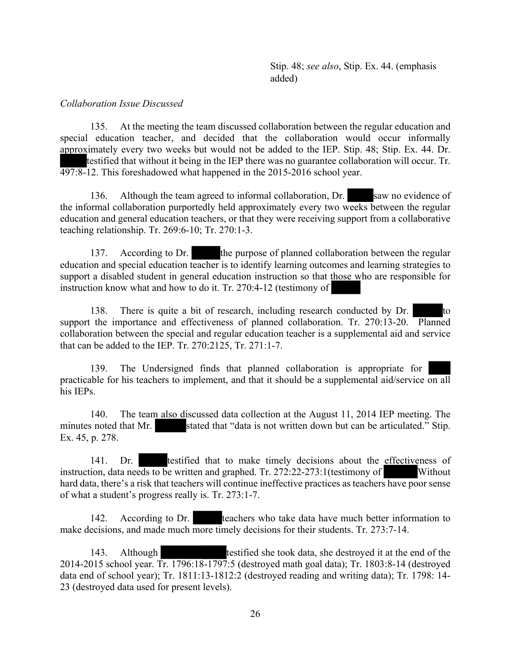#### *Collaboration Issue Discussed*

135. At the meeting the team discussed collaboration between the regular education and special education teacher, and decided that the collaboration would occur informally approximately every two weeks but would not be added to the IEP. Stip. 48; Stip. Ex. 44. Dr. testified that without it being in the IEP there was no guarantee collaboration will occur. Tr. 497:8-12. This foreshadowed what happened in the 2015-2016 school year.

136. Although the team agreed to informal collaboration, Dr. saw no evidence of the informal collaboration purportedly held approximately every two weeks between the regular education and general education teachers, or that they were receiving support from a collaborative teaching relationship. Tr. 269:6-10; Tr. 270:1-3.

137. According to Dr. the purpose of planned collaboration between the regular education and special education teacher is to identify learning outcomes and learning strategies to support a disabled student in general education instruction so that those who are responsible for instruction know what and how to do it. Tr. 270:4-12 (testimony of

138. There is quite a bit of research, including research conducted by Dr. to support the importance and effectiveness of planned collaboration. Tr. 270:13-20. Planned collaboration between the special and regular education teacher is a supplemental aid and service that can be added to the IEP. Tr. 270:2125, Tr. 271:1-7.

139. The Undersigned finds that planned collaboration is appropriate for practicable for his teachers to implement, and that it should be a supplemental aid/service on all his IEPs.

140. The team also discussed data collection at the August 11, 2014 IEP meeting. The minutes noted that Mr. stated that "data is not written down but can be articulated." Stip. Ex. 45, p. 278.

141. Dr. testified that to make timely decisions about the effectiveness of instruction, data needs to be written and graphed. Tr. 272:22-273:1(testimony of Without hard data, there's a risk that teachers will continue ineffective practices as teachers have poor sense of what a student's progress really is. Tr. 273:1-7.

142. According to Dr. teachers who take data have much better information to make decisions, and made much more timely decisions for their students. Tr. 273:7-14.

143. Although testified she took data, she destroyed it at the end of the 2014-2015 school year. Tr. 1796:18-1797:5 (destroyed math goal data); Tr. 1803:8-14 (destroyed data end of school year); Tr. 1811:13-1812:2 (destroyed reading and writing data); Tr. 1798: 14- 23 (destroyed data used for present levels).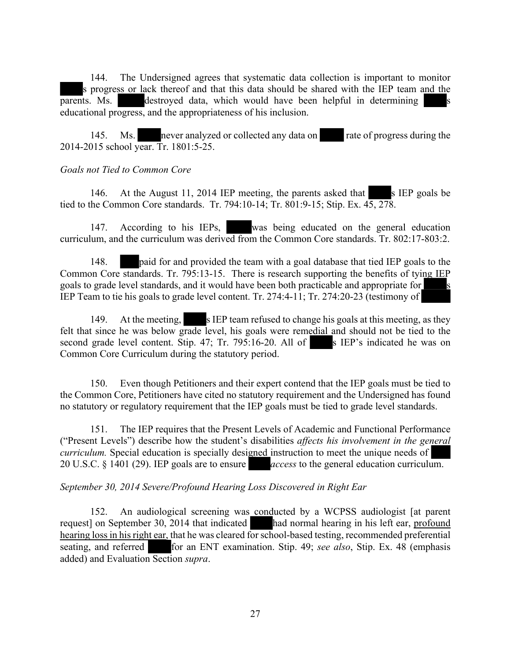144. The Undersigned agrees that systematic data collection is important to monitor s progress or lack thereof and that this data should be shared with the IEP team and the parents. Ms. destroyed data, which would have been helpful in determining educational progress, and the appropriateness of his inclusion.

145. Ms. never analyzed or collected any data on rate of progress during the 2014-2015 school year. Tr. 1801:5-25.

#### *Goals not Tied to Common Core*

146. At the August 11, 2014 IEP meeting, the parents asked that  $\blacksquare$  s IEP goals be tied to the Common Core standards. Tr. 794:10-14; Tr. 801:9-15; Stip. Ex. 45, 278.

147. According to his IEPs, was being educated on the general education curriculum, and the curriculum was derived from the Common Core standards. Tr. 802:17-803:2.

148. paid for and provided the team with a goal database that tied IEP goals to the Common Core standards. Tr. 795:13-15. There is research supporting the benefits of tying IEP goals to grade level standards, and it would have been both practicable and appropriate for s IEP Team to tie his goals to grade level content. Tr. 274:4-11; Tr. 274:20-23 (testimony of

149. At the meeting, s IEP team refused to change his goals at this meeting, as they felt that since he was below grade level, his goals were remedial and should not be tied to the second grade level content. Stip.  $47$ ; Tr. 795:16-20. All of s IEP's indicated he was on Common Core Curriculum during the statutory period.

150. Even though Petitioners and their expert contend that the IEP goals must be tied to the Common Core, Petitioners have cited no statutory requirement and the Undersigned has found no statutory or regulatory requirement that the IEP goals must be tied to grade level standards.

151. The IEP requires that the Present Levels of Academic and Functional Performance ("Present Levels") describe how the student's disabilities *affects his involvement in the general curriculum.* Special education is specially designed instruction to meet the unique needs of 20 U.S.C. § 1401 (29). IEP goals are to ensure *access* to the general education curriculum.

#### *September 30, 2014 Severe/Profound Hearing Loss Discovered in Right Ear*

152. An audiological screening was conducted by a WCPSS audiologist [at parent request] on September 30, 2014 that indicated had normal hearing in his left ear, profound hearing loss in his right ear, that he was cleared for school-based testing, recommended preferential seating, and referred for an ENT examination. Stip. 49; *see also*, Stip. Ex. 48 (emphasis added) and Evaluation Section *supra*.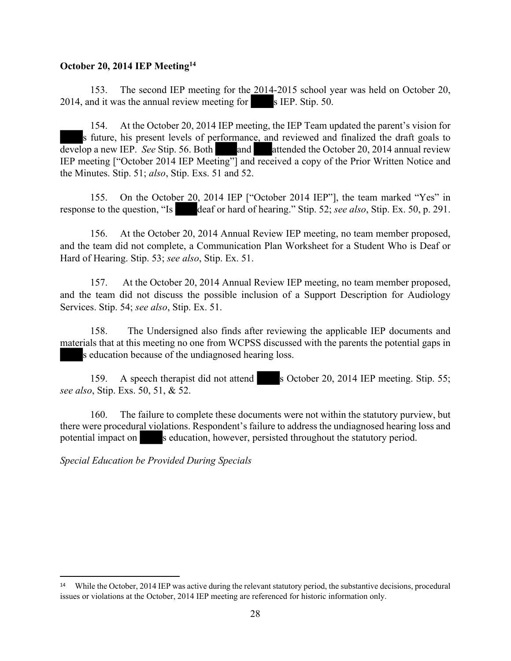#### **October 20, 2014 IEP Meeting<sup>14</sup>**

153. The second IEP meeting for the 2014-2015 school year was held on October 20,  $2014$ , and it was the annual review meeting for s IEP. Stip. 50.

154. At the October 20, 2014 IEP meeting, the IEP Team updated the parent's vision for s future, his present levels of performance, and reviewed and finalized the draft goals to develop a new IEP. *See* Stip. 56. Both and attended the October 20, 2014 annual review IEP meeting ["October 2014 IEP Meeting"] and received a copy of the Prior Written Notice and the Minutes. Stip. 51; *also*, Stip. Exs. 51 and 52.

155. On the October 20, 2014 IEP ["October 2014 IEP"], the team marked "Yes" in response to the question, "Is deaf or hard of hearing." Stip. 52; *see also*, Stip. Ex. 50, p. 291.

156. At the October 20, 2014 Annual Review IEP meeting, no team member proposed, and the team did not complete, a Communication Plan Worksheet for a Student Who is Deaf or Hard of Hearing. Stip. 53; *see also*, Stip. Ex. 51.

157. At the October 20, 2014 Annual Review IEP meeting, no team member proposed, and the team did not discuss the possible inclusion of a Support Description for Audiology Services. Stip. 54; *see also*, Stip. Ex. 51.

158. The Undersigned also finds after reviewing the applicable IEP documents and materials that at this meeting no one from WCPSS discussed with the parents the potential gaps in s education because of the undiagnosed hearing loss.

159. A speech therapist did not attend s October 20, 2014 IEP meeting. Stip. 55; *see also*, Stip. Exs. 50, 51, & 52.

160. The failure to complete these documents were not within the statutory purview, but there were procedural violations. Respondent's failure to address the undiagnosed hearing loss and potential impact on s education, however, persisted throughout the statutory period.

*Special Education be Provided During Specials*

<sup>&</sup>lt;sup>14</sup> While the October, 2014 IEP was active during the relevant statutory period, the substantive decisions, procedural issues or violations at the October, 2014 IEP meeting are referenced for historic information only.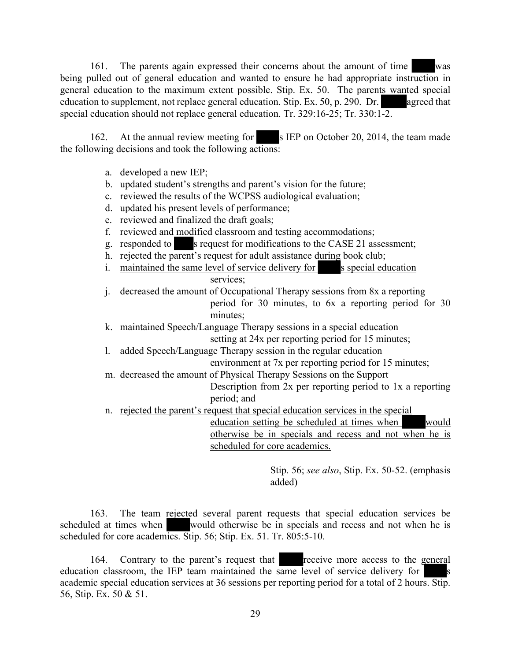161. The parents again expressed their concerns about the amount of time was being pulled out of general education and wanted to ensure he had appropriate instruction in general education to the maximum extent possible. Stip. Ex. 50. The parents wanted special education to supplement, not replace general education. Stip. Ex. 50, p. 290. Dr. agreed that special education should not replace general education. Tr. 329:16-25; Tr. 330:1-2.

162. At the annual review meeting for s IEP on October 20, 2014, the team made the following decisions and took the following actions:

- a. developed a new IEP;
- b. updated student's strengths and parent's vision for the future;
- c. reviewed the results of the WCPSS audiological evaluation;
- d. updated his present levels of performance;
- e. reviewed and finalized the draft goals;
- f. reviewed and modified classroom and testing accommodations;
- g. responded to s request for modifications to the CASE 21 assessment;
- h. rejected the parent's request for adult assistance during book club;
- i. maintained the same level of service delivery for s special education services;
- j. decreased the amount of Occupational Therapy sessions from 8x a reporting period for 30 minutes, to 6x a reporting period for 30 minutes;
- k. maintained Speech/Language Therapy sessions in a special education setting at 24x per reporting period for 15 minutes;
- l. added Speech/Language Therapy session in the regular education environment at 7x per reporting period for 15 minutes;
- m. decreased the amount of Physical Therapy Sessions on the Support
	- Description from 2x per reporting period to 1x a reporting period; and
- n. rejected the parent's request that special education services in the special

education setting be scheduled at times when would otherwise be in specials and recess and not when he is scheduled for core academics.

> Stip. 56; *see also*, Stip. Ex. 50-52. (emphasis added)

163. The team rejected several parent requests that special education services be scheduled at times when would otherwise be in specials and recess and not when he is scheduled for core academics. Stip. 56; Stip. Ex. 51. Tr. 805:5-10.

164. Contrary to the parent's request that receive more access to the general education classroom, the IEP team maintained the same level of service delivery for academic special education services at 36 sessions per reporting period for a total of 2 hours. Stip. 56, Stip. Ex. 50 & 51.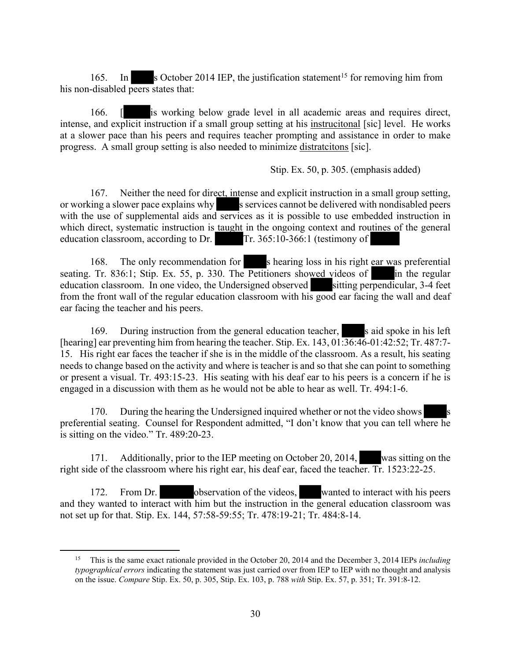165. In s October 2014 IEP, the justification statement<sup>15</sup> for removing him from his non-disabled peers states that:

166. [ is working below grade level in all academic areas and requires direct, intense, and explicit instruction if a small group setting at his instrucitonal [sic] level. He works at a slower pace than his peers and requires teacher prompting and assistance in order to make progress. A small group setting is also needed to minimize distratcitons [sic].

Stip. Ex. 50, p. 305. (emphasis added)

167. Neither the need for direct, intense and explicit instruction in a small group setting, or working a slower pace explains why s services cannot be delivered with nondisabled peers with the use of supplemental aids and services as it is possible to use embedded instruction in which direct, systematic instruction is **taught** in the ongoing context and routines of the general education classroom, according to Dr. Tr. 365:10-366:1 (testimony of

168. The only recommendation for s hearing loss in his right ear was preferential seating. Tr. 836:1; Stip. Ex. 55, p. 330. The Petitioners showed videos of in the regular education classroom. In one video, the Undersigned observed sitting perpendicular, 3-4 feet from the front wall of the regular education classroom with his good ear facing the wall and deaf ear facing the teacher and his peers.

169. During instruction from the general education teacher, s aid spoke in his left [hearing] ear preventing him from hearing the teacher. Stip. Ex. 143, 01:36:46-01:42:52; Tr. 487:7- 15. His right ear faces the teacher if she is in the middle of the classroom. As a result, his seating needs to change based on the activity and where is teacher is and so that she can point to something or present a visual. Tr. 493:15-23. His seating with his deaf ear to his peers is a concern if he is engaged in a discussion with them as he would not be able to hear as well. Tr. 494:1-6.

170. During the hearing the Undersigned inquired whether or not the video shows preferential seating. Counsel for Respondent admitted, "I don't know that you can tell where he is sitting on the video." Tr. 489:20-23.

171. Additionally, prior to the IEP meeting on October 20, 2014, was sitting on the right side of the classroom where his right ear, his deaf ear, faced the teacher. Tr. 1523:22-25.

172. From Dr. observation of the videos, wanted to interact with his peers and they wanted to interact with him but the instruction in the general education classroom was not set up for that. Stip. Ex. 144, 57:58-59:55; Tr. 478:19-21; Tr. 484:8-14.

<sup>15</sup> This is the same exact rationale provided in the October 20, 2014 and the December 3, 2014 IEPs *including typographical errors* indicating the statement was just carried over from IEP to IEP with no thought and analysis on the issue. *Compare* Stip. Ex. 50, p. 305, Stip. Ex. 103, p. 788 *with* Stip. Ex. 57, p. 351; Tr. 391:8-12.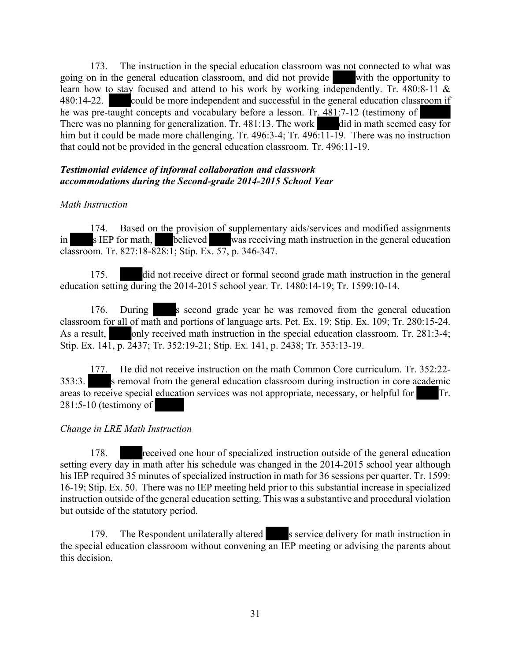173. The instruction in the special education classroom was not connected to what was going on in the general education classroom, and did not provide with the opportunity to learn how to stay focused and attend to his work by working independently. Tr. 480:8-11 & 480:14-22. could be more independent and successful in the general education classroom if he was pre-taught concepts and vocabulary before a lesson. Tr. 481:7-12 (testimony of There was no planning for generalization. Tr. 481:13. The work did in math seemed easy for him but it could be made more challenging. Tr. 496:3-4; Tr. 496:11-19. There was no instruction that could not be provided in the general education classroom. Tr. 496:11-19.

#### *Testimonial evidence of informal collaboration and classwork accommodations during the Second-grade 2014-2015 School Year*

# *Math Instruction*

174. Based on the provision of supplementary aids/services and modified assignments in s IEP for math, believed was receiving math instruction in the general education classroom. Tr. 827:18-828:1; Stip. Ex. 57, p. 346-347.

175. did not receive direct or formal second grade math instruction in the general education setting during the 2014-2015 school year. Tr. 1480:14-19; Tr. 1599:10-14.

176. During s second grade year he was removed from the general education classroom for all of math and portions of language arts. Pet. Ex. 19; Stip. Ex. 109; Tr. 280:15-24. As a result, only received math instruction in the special education classroom. Tr. 281:3-4; Stip. Ex. 141, p. 2437; Tr. 352:19-21; Stip. Ex. 141, p. 2438; Tr. 353:13-19.

177. He did not receive instruction on the math Common Core curriculum. Tr. 352:22- 353:3. s removal from the general education classroom during instruction in core academic areas to receive special education services was not appropriate, necessary, or helpful for Tr. 281:5-10 (testimony of

# *Change in LRE Math Instruction*

178. received one hour of specialized instruction outside of the general education setting every day in math after his schedule was changed in the  $2014-2015$  school year although his IEP required 35 minutes of specialized instruction in math for 36 sessions per quarter. Tr. 1599: 16-19; Stip. Ex. 50. There was no IEP meeting held prior to this substantial increase in specialized instruction outside of the general education setting. This was a substantive and procedural violation but outside of the statutory period.

179. The Respondent unilaterally altered s service delivery for math instruction in the special education classroom without convening an IEP meeting or advising the parents about this decision.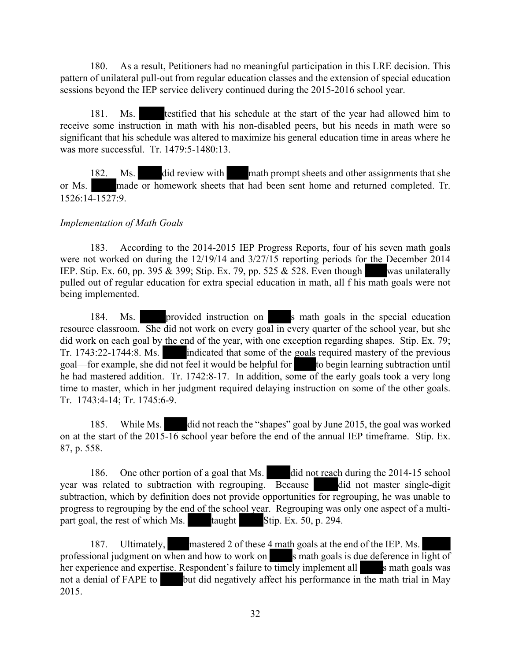180. As a result, Petitioners had no meaningful participation in this LRE decision. This pattern of unilateral pull-out from regular education classes and the extension of special education sessions beyond the IEP service delivery continued during the 2015-2016 school year.

181. Ms. testified that his schedule at the start of the year had allowed him to receive some instruction in math with his non-disabled peers, but his needs in math were so significant that his schedule was altered to maximize his general education time in areas where he was more successful. Tr. 1479:5-1480:13.

182. Ms. did review with math prompt sheets and other assignments that she or Ms. made or homework sheets that had been sent home and returned completed. Tr. 1526:14-1527:9.

#### *Implementation of Math Goals*

183. According to the 2014-2015 IEP Progress Reports, four of his seven math goals were not worked on during the 12/19/14 and 3/27/15 reporting periods for the December 2014 IEP. Stip. Ex. 60, pp. 395  $\&$  399; Stip. Ex. 79, pp. 525  $\&$  528. Even though was unilaterally pulled out of regular education for extra special education in math, all f his math goals were not being implemented.

184. Ms. provided instruction on s math goals in the special education resource classroom. She did not work on every goal in every quarter of the school year, but she did work on each goal by the end of the year, with one exception regarding shapes. Stip. Ex. 79; Tr. 1743:22-1744:8. Ms. indicated that some of the goals required mastery of the previous goal—for example, she did not feel it would be helpful for to begin learning subtraction until he had mastered addition. Tr. 1742:8-17. In addition, some of the early goals took a very long time to master, which in her judgment required delaying instruction on some of the other goals. Tr. 1743:4-14; Tr. 1745:6-9.

185. While Ms. did not reach the "shapes" goal by June 2015, the goal was worked on at the start of the 2015-16 school year before the end of the annual IEP timeframe. Stip. Ex. 87, p. 558.

186. One other portion of a goal that Ms. did not reach during the 2014-15 school year was related to subtraction with regrouping. Because did not master single-digit subtraction, which by definition does not provide opportunities for regrouping, he was unable to progress to regrouping by the end of the school year. Regrouping was only one aspect of a multipart goal, the rest of which Ms. taught Stip. Ex.  $50$ , p. 294.

187. Ultimately, mastered 2 of these 4 math goals at the end of the IEP. Ms. professional judgment on when and how to work on s math goals is due deference in light of her experience and expertise. Respondent's failure to timely implement all s math goals was not a denial of FAPE to but did negatively affect his performance in the math trial in May 2015.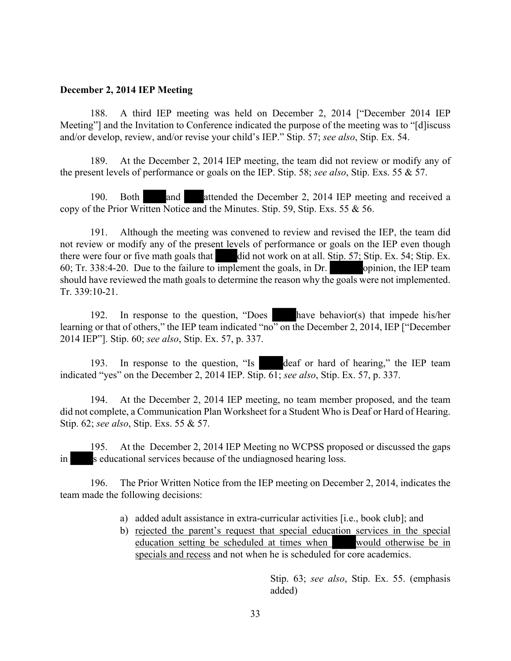#### **December 2, 2014 IEP Meeting**

188. A third IEP meeting was held on December 2, 2014 ["December 2014 IEP Meeting"] and the Invitation to Conference indicated the purpose of the meeting was to "[d]iscuss and/or develop, review, and/or revise your child's IEP." Stip. 57; *see also*, Stip. Ex. 54.

189. At the December 2, 2014 IEP meeting, the team did not review or modify any of the present levels of performance or goals on the IEP. Stip. 58; *see also*, Stip. Exs. 55 & 57.

190. Both and attended the December 2, 2014 IEP meeting and received a copy of the Prior Written Notice and the Minutes. Stip. 59, Stip. Exs. 55 & 56.

191. Although the meeting was convened to review and revised the IEP, the team did not review or modify any of the present levels of performance or goals on the IEP even though there were four or five math goals that  $\ddot{\theta}$  did not work on at all. Stip. 57; Stip. Ex. 54; Stip. Ex. 60; Tr. 338:4-20. Due to the failure to implement the goals, in Dr.  $\blacksquare$  opinion, the IEP team should have reviewed the math goals to determine the reason why the goals were not implemented. Tr. 339:10-21.

192. In response to the question, "Does have behavior(s) that impede his/her learning or that of others," the IEP team indicated "no" on the December 2, 2014, IEP ["December 2014 IEP"]. Stip. 60; *see also*, Stip. Ex. 57, p. 337.

193. In response to the question, "Is deaf or hard of hearing," the IEP team indicated "yes" on the December 2, 2014 IEP. Stip. 61; *see also*, Stip. Ex. 57, p. 337.

194. At the December 2, 2014 IEP meeting, no team member proposed, and the team did not complete, a Communication Plan Worksheet for a Student Who is Deaf or Hard of Hearing. Stip. 62; *see also*, Stip. Exs. 55 & 57.

195. At the December 2, 2014 IEP Meeting no WCPSS proposed or discussed the gaps in s educational services because of the undiagnosed hearing loss.

196. The Prior Written Notice from the IEP meeting on December 2, 2014, indicates the team made the following decisions:

- a) added adult assistance in extra-curricular activities [i.e., book club]; and
- b) rejected the parent's request that special education services in the special education setting be scheduled at times when would otherwise be in specials and recess and not when he is scheduled for core academics.

Stip. 63; *see also*, Stip. Ex. 55. (emphasis added)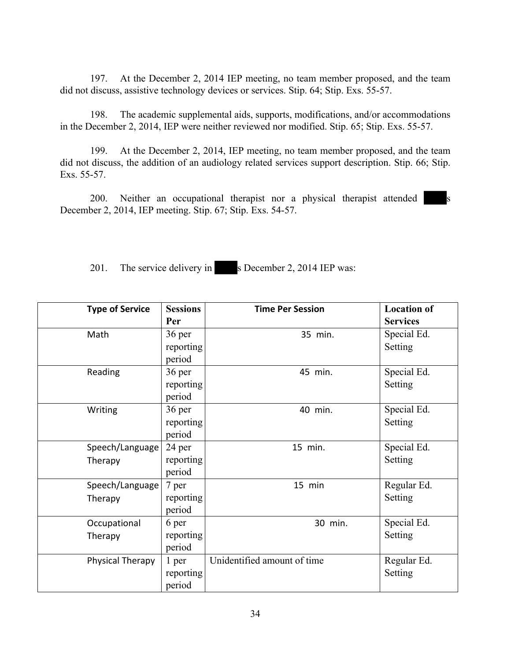197. At the December 2, 2014 IEP meeting, no team member proposed, and the team did not discuss, assistive technology devices or services. Stip. 64; Stip. Exs. 55-57.

198. The academic supplemental aids, supports, modifications, and/or accommodations in the December 2, 2014, IEP were neither reviewed nor modified. Stip. 65; Stip. Exs. 55-57.

199. At the December 2, 2014, IEP meeting, no team member proposed, and the team did not discuss, the addition of an audiology related services support description. Stip. 66; Stip. Exs. 55-57.

200. Neither an occupational therapist nor a physical therapist attended s December 2, 2014, IEP meeting. Stip. 67; Stip. Exs. 54-57.

201. The service delivery in s December 2, 2014 IEP was:

| <b>Type of Service</b> | <b>Sessions</b> | <b>Time Per Session</b>     | <b>Location of</b> |
|------------------------|-----------------|-----------------------------|--------------------|
|                        | Per             |                             | <b>Services</b>    |
| Math                   | 36 per          | 35 min.                     | Special Ed.        |
|                        | reporting       |                             | Setting            |
|                        | period          |                             |                    |
| Reading                | 36 per          | 45 min.                     | Special Ed.        |
|                        | reporting       |                             | Setting            |
|                        | period          |                             |                    |
| Writing                | 36 per          | 40 min.                     | Special Ed.        |
|                        | reporting       |                             | Setting            |
|                        | period          |                             |                    |
| Speech/Language        | 24 per          | 15 min.                     | Special Ed.        |
| Therapy                | reporting       |                             | Setting            |
|                        | period          |                             |                    |
| Speech/Language        | 7 per           | 15 min                      | Regular Ed.        |
| Therapy                | reporting       |                             | Setting            |
|                        | period          |                             |                    |
| Occupational           | 6 per           | 30 min.                     | Special Ed.        |
| Therapy                | reporting       |                             | Setting            |
|                        | period          |                             |                    |
| Physical Therapy       | 1 per           | Unidentified amount of time | Regular Ed.        |
|                        | reporting       |                             | Setting            |
|                        | period          |                             |                    |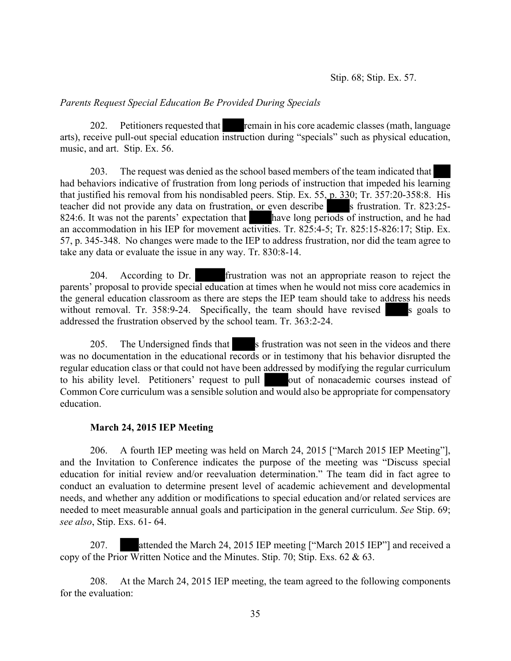#### *Parents Request Special Education Be Provided During Specials*

202. Petitioners requested that remain in his core academic classes (math, language arts), receive pull-out special education instruction during "specials" such as physical education, music, and art. Stip. Ex. 56.

203. The request was denied as the school based members of the team indicated that had behaviors indicative of frustration from long periods of instruction that impeded his learning that justified his removal from his nondisabled peers. Stip. Ex. 55, p. 330; Tr. 357:20-358:8. His teacher did not provide any data on frustration, or even describe s frustration. Tr. 823:25-824:6. It was not the parents' expectation that have long periods of instruction, and he had an accommodation in his IEP for movement activities. Tr. 825:4-5; Tr. 825:15-826:17; Stip. Ex. 57, p. 345-348. No changes were made to the IEP to address frustration, nor did the team agree to take any data or evaluate the issue in any way. Tr. 830:8-14.

204. According to Dr. frustration was not an appropriate reason to reject the parents' proposal to provide special education at times when he would not miss core academics in the general education classroom as there are steps the IEP team should take to address his needs without removal. Tr.  $358:9-24$ . Specifically, the team should have revised s goals to addressed the frustration observed by the school team. Tr. 363:2-24.

205. The Undersigned finds that s frustration was not seen in the videos and there was no documentation in the educational records or in testimony that his behavior disrupted the regular education class or that could not have been addressed by modifying the regular curriculum to his ability level. Petitioners' request to pull out of nonacademic courses instead of Common Core curriculum was a sensible solution and would also be appropriate for compensatory education.

# **March 24, 2015 IEP Meeting**

206. A fourth IEP meeting was held on March 24, 2015 ["March 2015 IEP Meeting"], and the Invitation to Conference indicates the purpose of the meeting was "Discuss special education for initial review and/or reevaluation determination." The team did in fact agree to conduct an evaluation to determine present level of academic achievement and developmental needs, and whether any addition or modifications to special education and/or related services are needed to meet measurable annual goals and participation in the general curriculum. *See* Stip. 69; *see also*, Stip. Exs. 61- 64.

207. attended the March 24, 2015 IEP meeting ["March 2015 IEP"] and received a copy of the Prior Written Notice and the Minutes. Stip. 70; Stip. Exs. 62 & 63.

208. At the March 24, 2015 IEP meeting, the team agreed to the following components for the evaluation: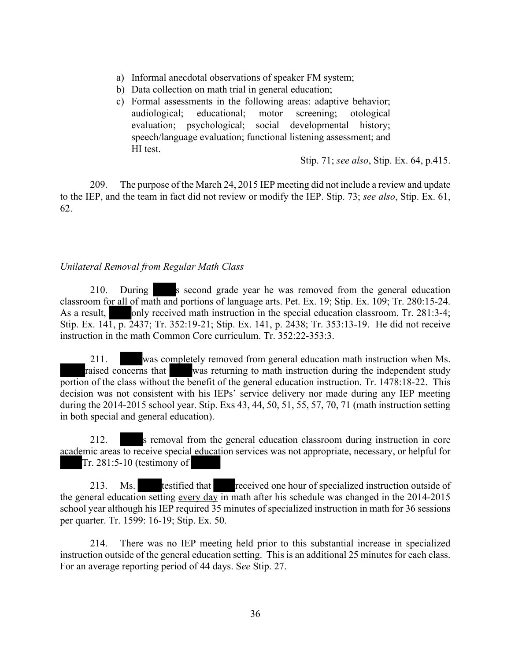- a) Informal anecdotal observations of speaker FM system;
- b) Data collection on math trial in general education;
- c) Formal assessments in the following areas: adaptive behavior; audiological; educational; motor screening; otological evaluation; psychological; social developmental history; speech/language evaluation; functional listening assessment; and HI test.

Stip. 71; *see also*, Stip. Ex. 64, p.415.

209. The purpose of the March 24, 2015 IEP meeting did not include a review and update to the IEP, and the team in fact did not review or modify the IEP. Stip. 73; *see also*, Stip. Ex. 61, 62.

#### *Unilateral Removal from Regular Math Class*

210. During s second grade year he was removed from the general education classroom for all of math and portions of language arts. Pet. Ex. 19; Stip. Ex. 109; Tr. 280:15-24. As a result, only received math instruction in the special education classroom. Tr. 281:3-4; Stip. Ex. 141, p. 2437; Tr. 352:19-21; Stip. Ex. 141, p. 2438; Tr. 353:13-19. He did not receive instruction in the math Common Core curriculum. Tr. 352:22-353:3.

211. was completely removed from general education math instruction when Ms. raised concerns that was returning to math instruction during the independent study portion of the class without the benefit of the general education instruction. Tr. 1478:18-22. This decision was not consistent with his IEPs' service delivery nor made during any IEP meeting during the 2014-2015 school year. Stip. Exs 43, 44, 50, 51, 55, 57, 70, 71 (math instruction setting in both special and general education).

212. s removal from the general education classroom during instruction in core academic areas to receive special education services was not appropriate, necessary, or helpful for Tr. 281:5-10 (testimony of

213. Ms. testified that received one hour of specialized instruction outside of the general education setting every day in math after his schedule was changed in the 2014-2015 school year although his IEP required 35 minutes of specialized instruction in math for 36 sessions per quarter. Tr. 1599: 16-19; Stip. Ex. 50.

214. There was no IEP meeting held prior to this substantial increase in specialized instruction outside of the general education setting. This is an additional 25 minutes for each class. For an average reporting period of 44 days. S*ee* Stip. 27.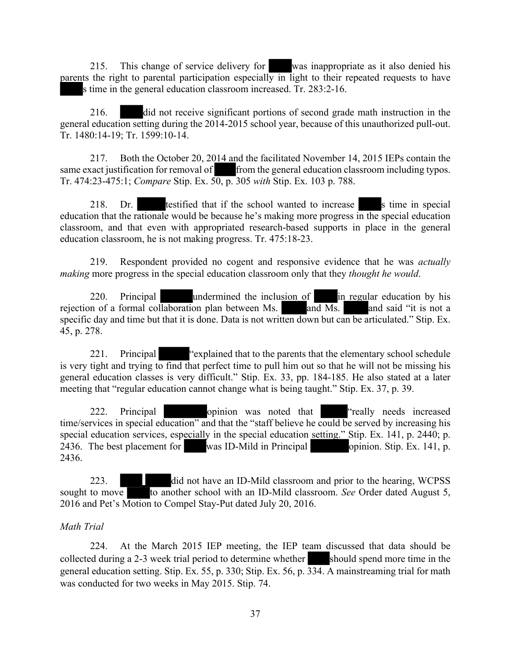215. This change of service delivery for was inappropriate as it also denied his parents the right to parental participation especially in light to their repeated requests to have s time in the general education classroom increased. Tr. 283:2-16.

216. did not receive significant portions of second grade math instruction in the general education setting during the 2014-2015 school year, because of this unauthorized pull-out. Tr. 1480:14-19; Tr. 1599:10-14.

217. Both the October 20, 2014 and the facilitated November 14, 2015 IEPs contain the same exact justification for removal of from the general education classroom including typos. Tr. 474:23-475:1; *Compare* Stip. Ex. 50, p. 305 *with* Stip. Ex. 103 p. 788.

218. Dr. testified that if the school wanted to increase s time in special education that the rationale would be because he's making more progress in the special education classroom, and that even with appropriated research-based supports in place in the general education classroom, he is not making progress. Tr. 475:18-23.

219. Respondent provided no cogent and responsive evidence that he was *actually making* more progress in the special education classroom only that they *thought he would*.

220. Principal undermined the inclusion of in regular education by his rejection of a formal collaboration plan between Ms. and Ms. and said "it is not a specific day and time but that it is done. Data is not written down but can be articulated." Stip. Ex. 45, p. 278.

221. Principal "explained that to the parents that the elementary school schedule is very tight and trying to find that perfect time to pull him out so that he will not be missing his general education classes is very difficult." Stip. Ex. 33, pp. 184-185. He also stated at a later meeting that "regular education cannot change what is being taught." Stip. Ex. 37, p. 39.

222. Principal opinion was noted that "really needs increased time/services in special education" and that the "staff believe he could be served by increasing his special education services, especially in the special education setting." Stip. Ex. 141, p. 2440; p. 2436. The best placement for was ID-Mild in Principal opinion. Stip. Ex. 141, p. 2436.

223. did not have an ID-Mild classroom and prior to the hearing, WCPSS sought to move to another school with an ID-Mild classroom. *See* Order dated August 5, 2016 and Pet's Motion to Compel Stay-Put dated July 20, 2016.

#### *Math Trial*

224. At the March 2015 IEP meeting, the IEP team discussed that data should be collected during a 2-3 week trial period to determine whether should spend more time in the general education setting. Stip. Ex. 55, p. 330; Stip. Ex. 56, p. 334. A mainstreaming trial for math was conducted for two weeks in May 2015. Stip. 74.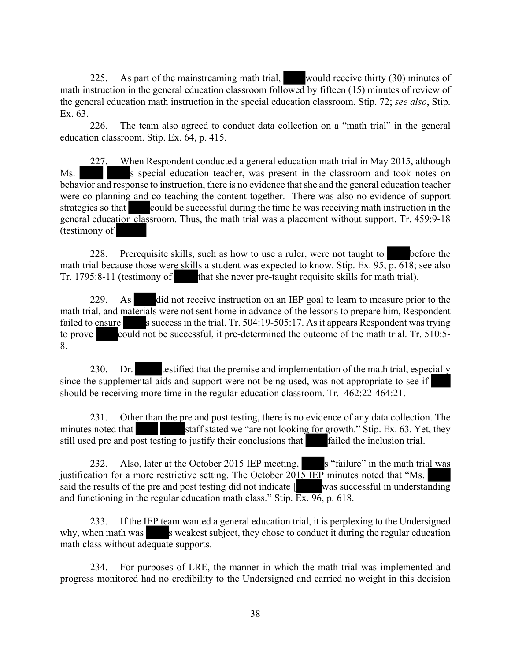225. As part of the mainstreaming math trial, would receive thirty (30) minutes of math instruction in the general education classroom followed by fifteen (15) minutes of review of the general education math instruction in the special education classroom. Stip. 72; *see also*, Stip. Ex. 63.

226. The team also agreed to conduct data collection on a "math trial" in the general education classroom. Stip. Ex. 64, p. 415.

227. When Respondent conducted a general education math trial in May 2015, although Ms. S special education teacher, was present in the classroom and took notes on behavior and response to instruction, there is no evidence that she and the general education teacher were co-planning and co-teaching the content together. There was also no evidence of support strategies so that could be successful during the time he was receiving math instruction in the general education classroom. Thus, the math trial was a placement without support. Tr. 459:9-18 (testimony of

228. Prerequisite skills, such as how to use a ruler, were not taught to **before** the math trial because those were skills a student was expected to know. Stip. Ex.  $95, p. 618$ ; see also Tr. 1795:8-11 (testimony of that she never pre-taught requisite skills for math trial).

229. As did not receive instruction on an IEP goal to learn to measure prior to the math trial, and materials were not sent home in advance of the lessons to prepare him, Respondent failed to ensure s success in the trial. Tr.  $504:19-505:17$ . As it appears Respondent was trying to prove could not be successful, it pre-determined the outcome of the math trial. Tr. 510:5-8.

230. Dr. testified that the premise and implementation of the math trial, especially since the supplemental aids and support were not being used, was not appropriate to see if should be receiving more time in the regular education classroom. Tr. 462:22-464:21.

231. Other than the pre and post testing, there is no evidence of any data collection. The minutes noted that staff stated we "are not looking for growth." Stip. Ex. 63. Yet, they still used pre and post testing to justify their conclusions that failed the inclusion trial.

232. Also, later at the October 2015 IEP meeting, s "failure" in the math trial was justification for a more restrictive setting. The October  $201\overline{5}$  IEP minutes noted that "Ms. said the results of the pre and post testing did not indicate  $\lceil$  was successful in understanding and functioning in the regular education math class." Stip.  $\overline{Ex}$ . 96, p. 618.

233. If the IEP team wanted a general education trial, it is perplexing to the Undersigned why, when math was s weakest subject, they chose to conduct it during the regular education math class without adequate supports.

234. For purposes of LRE, the manner in which the math trial was implemented and progress monitored had no credibility to the Undersigned and carried no weight in this decision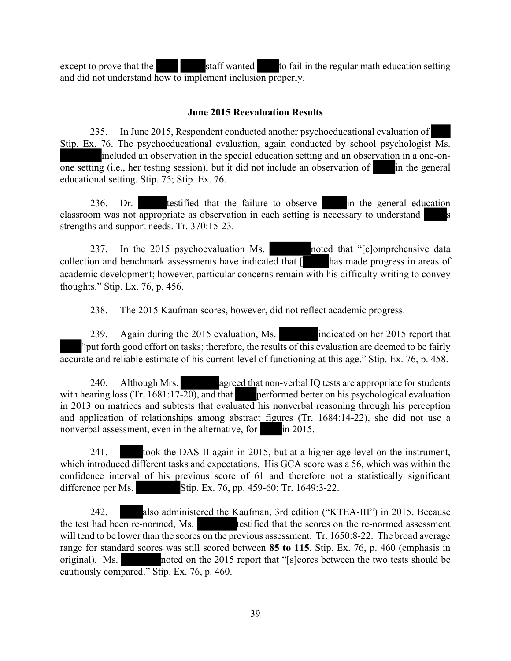except to prove that the staff wanted to fail in the regular math education setting and did not understand how to implement inclusion properly.

### **June 2015 Reevaluation Results**

235. In June 2015, Respondent conducted another psychoeducational evaluation of Stip. Ex. 76. The psychoeducational evaluation, again conducted by school psychologist Ms. included an observation in the special education setting and an observation in a one-on- $\overline{\text{one setting}}$  (i.e., her testing session), but it did not include an observation of in the general educational setting. Stip. 75; Stip. Ex. 76.

236. Dr. testified that the failure to observe in the general education classroom was not appropriate as observation in each setting is necessary to understand strengths and support needs. Tr. 370:15-23.

237. In the 2015 psychoevaluation Ms. noted that "[c]omprehensive data collection and benchmark assessments have indicated that  $\left\lceil \right\rceil$  has made progress in areas of academic development; however, particular concerns remain with his difficulty writing to convey thoughts." Stip. Ex. 76, p. 456.

238. The 2015 Kaufman scores, however, did not reflect academic progress.

239. Again during the 2015 evaluation, Ms. indicated on her 2015 report that "put forth good effort on tasks; therefore, the results of this evaluation are deemed to be fairly accurate and reliable estimate of his current level of functioning at this age." Stip. Ex. 76, p. 458.

240. Although Mrs. agreed that non-verbal IQ tests are appropriate for students with hearing loss (Tr. 1681:17-20), and that performed better on his psychological evaluation in 2013 on matrices and subtests that evaluated his nonverbal reasoning through his perception and application of relationships among abstract figures (Tr. 1684:14-22), she did not use a nonverbal assessment, even in the alternative, for in 2015.

241. took the DAS-II again in 2015, but at a higher age level on the instrument, which introduced different tasks and expectations. His GCA score was a 56, which was within the confidence interval of his previous score of 61 and therefore not a statistically significant difference per Ms. Stip. Ex. 76, pp. 459-60; Tr. 1649:3-22.

242. also administered the Kaufman, 3rd edition ("KTEA-III") in 2015. Because the test had been re-normed, Ms. testified that the scores on the re-normed assessment will tend to be lower than the scores on the previous assessment. Tr. 1650:8-22. The broad average range for standard scores was still scored between **85 to 115**. Stip. Ex. 76, p. 460 (emphasis in original). Ms. noted on the 2015 report that "[s]cores between the two tests should be cautiously compared." Stip. Ex. 76, p. 460.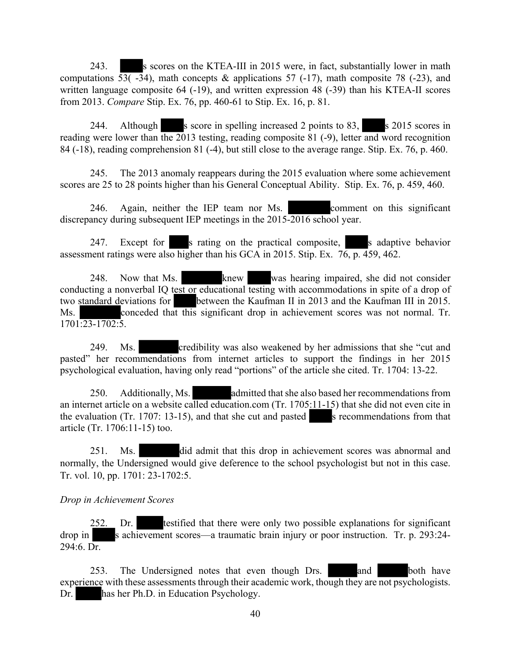243. S scores on the KTEA-III in 2015 were, in fact, substantially lower in math computations 53( $-34$ ), math concepts & applications 57 ( $-17$ ), math composite 78 ( $-23$ ), and written language composite 64 (-19), and written expression 48 (-39) than his KTEA-II scores from 2013. *Compare* Stip. Ex. 76, pp. 460-61 to Stip. Ex. 16, p. 81.

244. Although s score in spelling increased 2 points to 83, s 2015 scores in reading were lower than the 2013 testing, reading composite 81 (-9), letter and word recognition 84 (-18), reading comprehension 81 (-4), but still close to the average range. Stip. Ex. 76, p. 460.

245. The 2013 anomaly reappears during the 2015 evaluation where some achievement scores are 25 to 28 points higher than his General Conceptual Ability. Stip. Ex. 76, p. 459, 460.

246. Again, neither the IEP team nor Ms. comment on this significant discrepancy during subsequent IEP meetings in the 2015-2016 school year.

247. Except for s rating on the practical composite, s adaptive behavior assessment ratings were also higher than his GCA in 2015. Stip. Ex. 76, p. 459, 462.

248. Now that Ms. knew was hearing impaired, she did not consider conducting a nonverbal IQ test or educational testing with accommodations in spite of a drop of two standard deviations for between the Kaufman II in 2013 and the Kaufman III in 2015. Ms. conceded that this significant drop in achievement scores was not normal. Tr.  $1701:23-1702:5$ .

249. Ms. credibility was also weakened by her admissions that she "cut and pasted" her recommendations from internet articles to support the findings in her 2015 psychological evaluation, having only read "portions" of the article she cited. Tr. 1704: 13-22.

250. Additionally, Ms. admitted that she also based her recommendations from an internet article on a website called education.com (Tr. 1705:11-15) that she did not even cite in the evaluation (Tr. 1707: 13-15), and that she cut and pasted s recommendations from that article (Tr. 1706:11-15) too.

251. Ms. did admit that this drop in achievement scores was abnormal and normally, the Undersigned would give deference to the school psychologist but not in this case. Tr. vol. 10, pp. 1701: 23-1702:5.

*Drop in Achievement Scores*

Dr. testified that there were only two possible explanations for significant drop in s achievement scores—a traumatic brain injury or poor instruction. Tr. p. 293:24- $294:6.$  Dr.

253. The Undersigned notes that even though Drs. and both have experience with these assessments through their academic work, though they are not psychologists. Dr. has her Ph.D. in Education Psychology.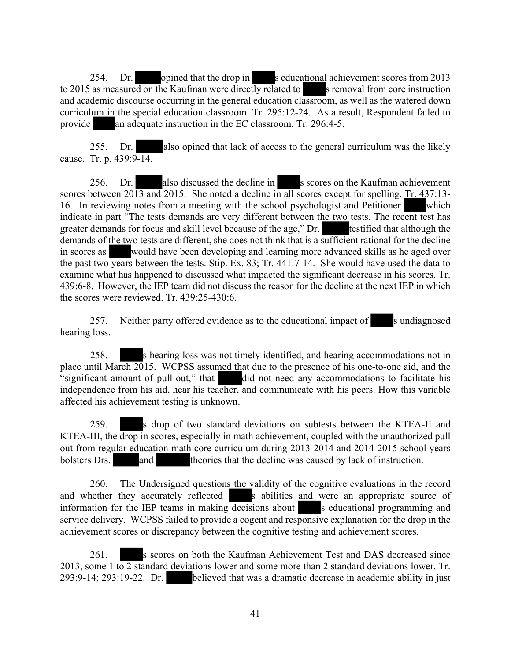254. Dr. opined that the drop in seducational achievement scores from 2013 to 2015 as measured on the Kaufman were directly related to s removal from core instruction and academic discourse occurring in the general education classroom, as well as the watered down curriculum in the special education classroom. Tr. 295:12-24. As a result, Respondent failed to provide an adequate instruction in the EC classroom. Tr. 296:4-5.

255. Dr. also opined that lack of access to the general curriculum was the likely cause. Tr. p. 439:9-14.

256. Dr. also discussed the decline in s scores on the Kaufman achievement scores between 2013 and 2015. She noted a decline in all scores except for spelling. Tr. 437:13-16. In reviewing notes from a meeting with the school psychologist and Petitioner which indicate in part "The tests demands are very different between the two tests. The recent test has greater demands for focus and skill level because of the age," Dr. testified that although the demands of the two tests are different, she does not think that is a sufficient rational for the decline in scores as would have been developing and learning more advanced skills as he aged over the past two years between the tests. Stip. Ex. 83; Tr. 441:7-14. She would have used the data to examine what has happened to discussed what impacted the significant decrease in his scores. Tr. 439:6-8. However, the IEP team did not discuss the reason for the decline at the next IEP in which the scores were reviewed. Tr. 439:25-430:6.

257. Neither party offered evidence as to the educational impact of sundiagnosed hearing loss.

258. s hearing loss was not timely identified, and hearing accommodations not in place until March 2015. WCPSS assumed that due to the presence of his one-to-one aid, and the  $\alpha$  significant amount of pull-out," that did not need any accommodations to facilitate his independence from his aid, hear his teacher, and communicate with his peers. How this variable affected his achievement testing is unknown.

259. s drop of two standard deviations on subtests between the KTEA-II and KTEA-III, the drop in scores, especially in math achievement, coupled with the unauthorized pull out from regular education math core curriculum during 2013-2014 and 2014-2015 school years bolsters Drs. and theories that the decline was caused by lack of instruction.

260. The Undersigned questions the validity of the cognitive evaluations in the record and whether they accurately reflected s abilities and were an appropriate source of information for the IEP teams in making decisions about s educational programming and service delivery. WCPSS failed to provide a cogent and responsive explanation for the drop in the achievement scores or discrepancy between the cognitive testing and achievement scores.

261. s scores on both the Kaufman Achievement Test and DAS decreased since 2013, some 1 to  $\overline{2}$  standard deviations lower and some more than 2 standard deviations lower. Tr. 293:9-14; 293:19-22. Dr. believed that was a dramatic decrease in academic ability in just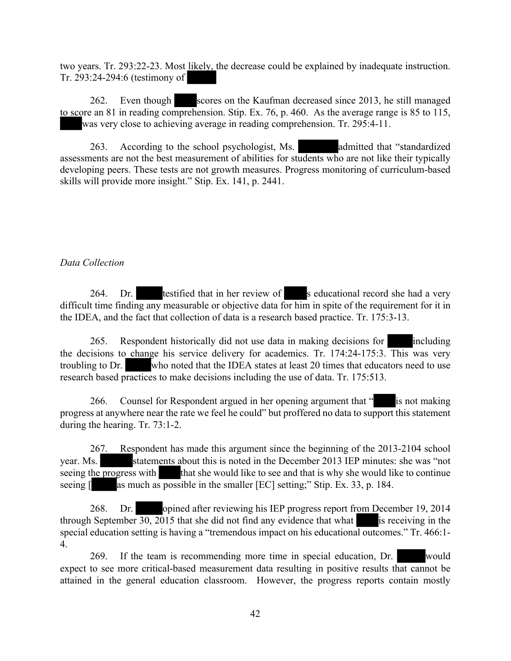two years. Tr. 293:22-23. Most likely, the decrease could be explained by inadequate instruction. Tr. 293:24-294:6 (testimony of

262. Even though scores on the Kaufman decreased since 2013, he still managed to score an 81 in reading comprehension. Stip. Ex. 76, p. 460. As the average range is 85 to 115, was very close to achieving average in reading comprehension. Tr. 295:4-11.

263. According to the school psychologist, Ms. admitted that "standardized assessments are not the best measurement of abilities for students who are not like their typically developing peers. These tests are not growth measures. Progress monitoring of curriculum-based skills will provide more insight." Stip. Ex. 141, p. 2441.

#### *Data Collection*

264. Dr. testified that in her review of seducational record she had a very difficult time finding any measurable or objective data for him in spite of the requirement for it in the IDEA, and the fact that collection of data is a research based practice. Tr. 175:3-13.

265. Respondent historically did not use data in making decisions for including the decisions to change his service delivery for academics. Tr. 174:24-175:3. This was very troubling to Dr. who noted that the IDEA states at least 20 times that educators need to use research based practices to make decisions including the use of data. Tr. 175:513.

266. Counsel for Respondent argued in her opening argument that " is not making progress at anywhere near the rate we feel he could" but proffered no data to support this statement during the hearing. Tr. 73:1-2.

267. Respondent has made this argument since the beginning of the 2013-2104 school year. Ms. statements about this is noted in the December 2013 IEP minutes: she was "not seeing the progress with that she would like to see and that is why she would like to continue seeing [ as much as possible in the smaller [EC] setting;" Stip. Ex. 33, p. 184.

268. Dr. opined after reviewing his IEP progress report from December 19, 2014 through September  $\overline{30, 2015}$  that she did not find any evidence that what is receiving in the special education setting is having a "tremendous impact on his educational outcomes." Tr. 466:1- 4.

269. If the team is recommending more time in special education, Dr. would expect to see more critical-based measurement data resulting in positive results that cannot be attained in the general education classroom. However, the progress reports contain mostly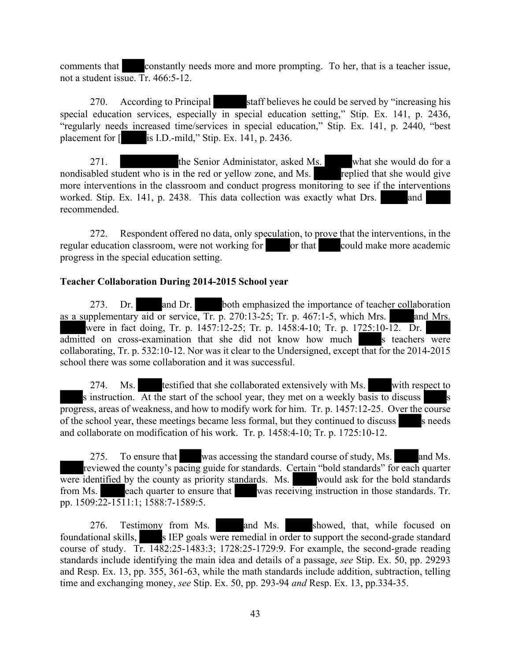comments that **constantly needs more and more prompting**. To her, that is a teacher issue, not a student issue. Tr. 466:5-12.

270. According to Principal staff believes he could be served by "increasing his special education services, especially in special education setting," Stip. Ex. 141, p. 2436, "regularly needs increased time/services in special education," Stip. Ex. 141, p. 2440, "best placement for [ is I.D.-mild," Stip. Ex. 141, p. 2436.

271. the Senior Administator, asked Ms. what she would do for a nondisabled student who is in the red or yellow zone, and Ms. **replied that she would give** more interventions in the classroom and conduct progress monitoring to see if the interventions worked. Stip. Ex. 141, p. 2438. This data collection was exactly what Drs. and recommended.

272. Respondent offered no data, only speculation, to prove that the interventions, in the regular education classroom, were not working for or that could make more academic progress in the special education setting.

#### **Teacher Collaboration During 2014-2015 School year**

273. Dr. and Dr. both emphasized the importance of teacher collaboration as a supplementary aid or service, Tr. p. 270:13-25; Tr. p.  $467:1-5$ , which Mrs. and Mrs. were in fact doing, Tr. p. 1457:12-25; Tr. p. 1458:4-10; Tr. p. 1725:10-12. Dr. admitted on cross-examination that she did not know how much s teachers were collaborating, Tr. p. 532:10-12. Nor was it clear to the Undersigned, except that for the 2014-2015 school there was some collaboration and it was successful.

274. Ms. testified that she collaborated extensively with Ms. with respect to s instruction. At the start of the school year, they met on a weekly basis to discuss progress, areas of weakness, and how to modify work for him. Tr. p. 1457:12-25. Over the course of the school year, these meetings became less formal, but they continued to discuss s needs and collaborate on modification of his work. Tr. p. 1458:4-10; Tr. p. 1725:10-12.

275. To ensure that was accessing the standard course of study, Ms. and Ms. reviewed the county's pacing guide for standards. Certain "bold standards" for each quarter were identified by the county as priority standards. Ms. would ask for the bold standards from Ms. each quarter to ensure that was receiving instruction in those standards. Tr. pp. 1509:22-1511:1; 1588:7-1589:5.

276. Testimony from Ms. and Ms. showed, that, while focused on foundational skills, s IEP goals were remedial in order to support the second-grade standard course of study. Tr.  $1482:25-1483:3$ ; 1728:25-1729:9. For example, the second-grade reading standards include identifying the main idea and details of a passage, *see* Stip. Ex. 50, pp. 29293 and Resp. Ex. 13, pp. 355, 361-63, while the math standards include addition, subtraction, telling time and exchanging money, *see* Stip. Ex. 50, pp. 293-94 *and* Resp. Ex. 13, pp.334-35.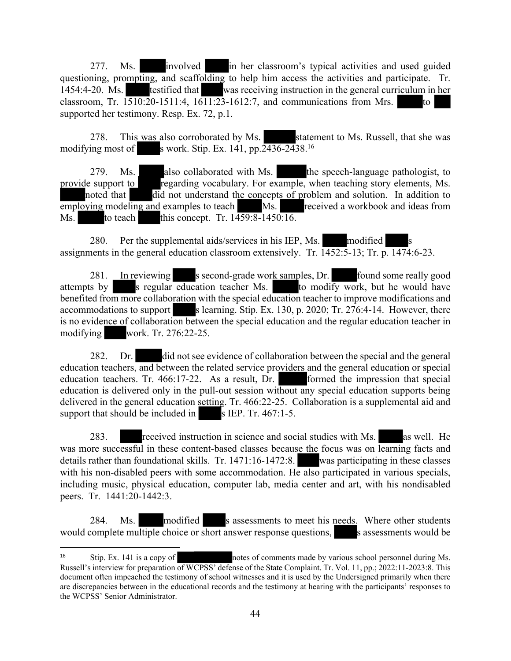277. Ms. involved in her classroom's typical activities and used guided questioning, prompting, and scaffolding to help him access the activities and participate. Tr. 1454:4-20. Ms. testified that was receiving instruction in the general curriculum in her classroom, Tr.  $1510:20-1511:4$ ,  $1611:23-1612:7$ , and communications from Mrs. to supported her testimony. Resp. Ex. 72, p.1.

278. This was also corroborated by Ms. Statement to Ms. Russell, that she was modifying most of s work. Stip. Ex. 141, pp.  $2436-2438$ <sup>16</sup>

279. Ms. also collaborated with Ms. the speech-language pathologist, to provide support to regarding vocabulary. For example, when teaching story elements, Ms. noted that  $\overline{di}$  did not understand the concepts of problem and solution. In addition to employing modeling and examples to teach Ms. received a workbook and ideas from Ms. to teach this concept. Tr. 1459:8-1450:16.

280. Per the supplemental aids/services in his IEP, Ms. modified assignments in the general education classroom extensively. Tr. 1452:5-13; Tr. p. 1474:6-23.

281. In reviewing s second-grade work samples, Dr. found some really good attempts by s regular education teacher Ms. to modify work, but he would have benefited from more collaboration with the special education teacher to improve modifications and accommodations to support s learning. Stip. Ex. 130, p. 2020; Tr. 276:4-14. However, there is no evidence of collaboration between the special education and the regular education teacher in modifying work. Tr. 276:22-25.

282. Dr. did not see evidence of collaboration between the special and the general education teachers, and between the related service providers and the general education or special education teachers. Tr. 466:17-22. As a result, Dr. formed the impression that special education is delivered only in the pull-out session without any special education supports being delivered in the general education setting. Tr. 466:22-25. Collaboration is a supplemental aid and support that should be included in  $s$  IEP. Tr. 467:1-5.

283. received instruction in science and social studies with Ms. as well. He was more successful in these content-based classes because the focus was on learning facts and details rather than foundational skills. Tr. 1471:16-1472:8. was participating in these classes with his non-disabled peers with some accommodation. He also participated in various specials, including music, physical education, computer lab, media center and art, with his nondisabled peers. Tr. 1441:20-1442:3.

284. Ms. modified s assessments to meet his needs. Where other students would complete multiple choice or short answer response questions, s assessments would be

<sup>&</sup>lt;sup>16</sup> Stip. Ex. 141 is a copy of notes of comments made by various school personnel during Ms. Russell's interview for preparation of WCPSS' defense of the State Complaint. Tr. Vol. 11, pp.; 2022:11-2023:8. This document often impeached the testimony of school witnesses and it is used by the Undersigned primarily when there are discrepancies between in the educational records and the testimony at hearing with the participants' responses to the WCPSS' Senior Administrator.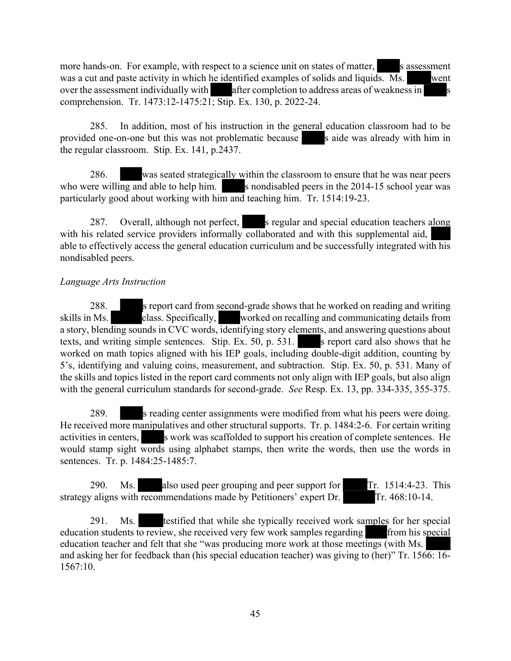more hands-on. For example, with respect to a science unit on states of matter, s assessment was a cut and paste activity in which he identified examples of solids and liquids. Ms. went over the assessment individually with after completion to address areas of weakness in comprehension. Tr. 1473:12-1475:21; Stip. Ex. 130, p. 2022-24.

285. In addition, most of his instruction in the general education classroom had to be provided one-on-one but this was not problematic because s aide was already with him in the regular classroom. Stip. Ex. 141, p.2437.

286. was seated strategically within the classroom to ensure that he was near peers who were willing and able to help him.  $\blacksquare$  s nondisabled peers in the 2014-15 school year was particularly good about working with him and teaching him. Tr. 1514:19-23.

287. Overall, although not perfect, s regular and special education teachers along with his related service providers informally collaborated and with this supplemental aid, able to effectively access the general education curriculum and be successfully integrated with his nondisabled peers.

#### *Language Arts Instruction*

288. s report card from second-grade shows that he worked on reading and writing skills in Ms. class. Specifically, worked on recalling and communicating details from a story, blending sounds in CVC words, identifying story elements, and answering questions about texts, and writing simple sentences. Stip. Ex.  $50$ , p.  $531$ . s report card also shows that he worked on math topics aligned with his IEP goals, including double-digit addition, counting by 5's, identifying and valuing coins, measurement, and subtraction. Stip. Ex. 50, p. 531. Many of the skills and topics listed in the report card comments not only align with IEP goals, but also align with the general curriculum standards for second-grade. *See* Resp. Ex. 13, pp. 334-335, 355-375.

289. s reading center assignments were modified from what his peers were doing. He received more manipulatives and other structural supports. Tr. p. 1484:2-6. For certain writing activities in centers, s work was scaffolded to support his creation of complete sentences. He would stamp sight words using alphabet stamps, then write the words, then use the words in sentences. Tr. p. 1484:25-1485:7.

290. Ms. also used peer grouping and peer support for Tr. 1514:4-23. This strategy aligns with recommendations made by Petitioners' expert Dr. Tr. 468:10-14.

291. Ms. testified that while she typically received work samples for her special education students to review, she received very few work samples regarding from his special education teacher and felt that she "was producing more work at those meetings (with Ms. and asking her for feedback than (his special education teacher) was giving to (her)" Tr. 1566: 16- 1567:10.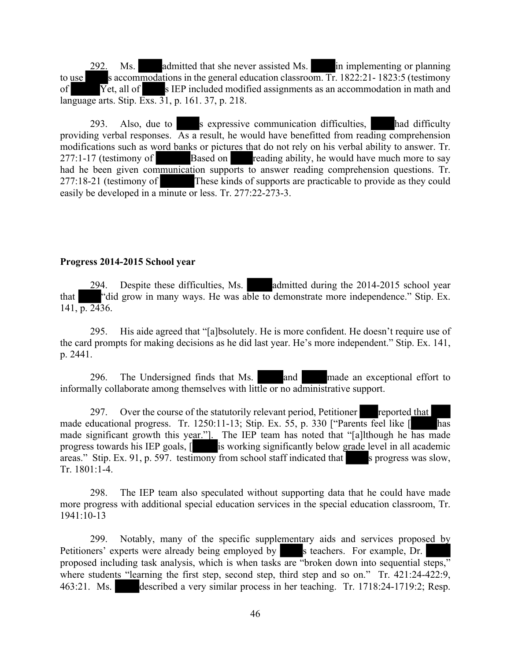292. Ms. admitted that she never assisted Ms. in implementing or planning to use s accommodations in the general education classroom. Tr.  $1822:21 - 1823:5$  (testimony of  $\overline{Y}$ et, all of s IEP included modified assignments as an accommodation in math and language arts. Stip. Exs. 31, p. 161. 37, p. 218.

293. Also, due to s expressive communication difficulties, had difficulty providing verbal responses. As a result, he would have benefitted from reading comprehension modifications such as word banks or pictures that do not rely on his verbal ability to answer. Tr. 277:1-17 (testimony of Based on reading ability, he would have much more to say had he been given communication supports to answer reading comprehension questions. Tr. 277:18-21 (testimony of These kinds of supports are practicable to provide as they could easily be developed in a minute or less. Tr. 277:22-273-3.

#### **Progress 2014-2015 School year**

294. Despite these difficulties, Ms. admitted during the 2014-2015 school year that "did grow in many ways. He was able to demonstrate more independence." Stip. Ex.  $141, p. 2436.$ 

295. His aide agreed that "[a]bsolutely. He is more confident. He doesn't require use of the card prompts for making decisions as he did last year. He's more independent." Stip. Ex. 141, p. 2441.

296. The Undersigned finds that Ms. and made an exceptional effort to informally collaborate among themselves with little or no administrative support.

297. Over the course of the statutorily relevant period, Petitioner reported that made educational progress. Tr. 1250:11-13; Stip. Ex. 55, p. 330 ["Parents feel like [ has made significant growth this year."]. The IEP team has noted that "[a]lthough he has made progress towards his IEP goals, [ is working significantly below grade level in all academic areas." Stip. Ex. 91, p. 597. testimony from school staff indicated that s progress was slow, Tr. 1801:1-4.

298. The IEP team also speculated without supporting data that he could have made more progress with additional special education services in the special education classroom, Tr. 1941:10-13

299. Notably, many of the specific supplementary aids and services proposed by Petitioners' experts were already being employed by s teachers. For example, Dr. proposed including task analysis, which is when tasks are "broken down into sequential steps," where students "learning the first step, second step, third step and so on." Tr. 421:24-422:9, 463:21. Ms. described a very similar process in her teaching. Tr. 1718:24-1719:2; Resp.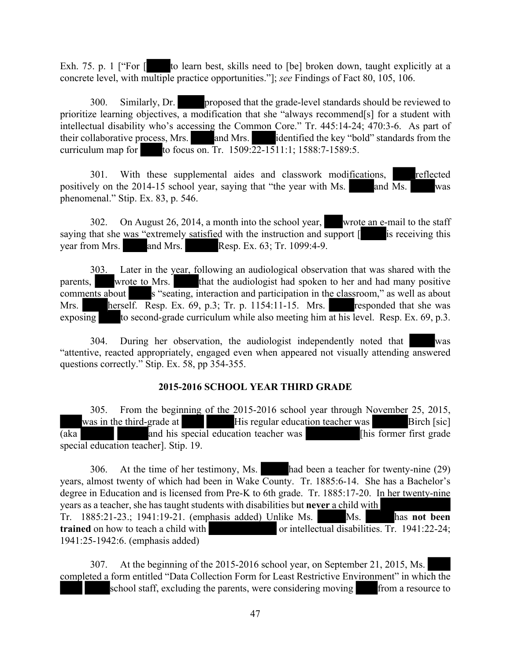Exh. 75. p. 1 ["For [ to learn best, skills need to [be] broken down, taught explicitly at a concrete level, with multiple practice opportunities."]; *see* Findings of Fact 80, 105, 106.

300. Similarly, Dr. proposed that the grade-level standards should be reviewed to prioritize learning objectives, a modification that she "always recommend[s] for a student with intellectual disability who's accessing the Common Core." Tr. 445:14-24; 470:3-6. As part of their collaborative process, Mrs. and Mrs. identified the key "bold" standards from the curriculum map for to focus on. Tr.  $1509:22-1511:1$ ;  $1588:7-1589:5$ .

301. With these supplemental aides and classwork modifications, reflected positively on the 2014-15 school year, saying that "the year with Ms.  $\overline{\text{Ms}}$  and  $\overline{\text{Ms}}$  was phenomenal." Stip. Ex. 83, p. 546.

302. On August 26, 2014, a month into the school year, wrote an e-mail to the staff saying that she was "extremely satisfied with the instruction and support  $\lceil$  is receiving this year from Mrs. and Mrs. Resp. Ex. 63; Tr. 1099:4-9.

303. Later in the year, following an audiological observation that was shared with the parents, wrote to Mrs. that the audiologist had spoken to her and had many positive comments about s "seating, interaction and participation in the classroom," as well as about Mrs. herself. Resp. Ex. 69, p.3; Tr. p. 1154:11-15. Mrs. responded that she was exposing to second-grade curriculum while also meeting him at his level. Resp. Ex.  $69$ , p.3.

304. During her observation, the audiologist independently noted that was "attentive, reacted appropriately, engaged even when appeared not visually attending answered questions correctly." Stip. Ex. 58, pp 354-355.

#### **2015-2016 SCHOOL YEAR THIRD GRADE**

305. From the beginning of the 2015-2016 school year through November 25, 2015, was in the third-grade at His regular education teacher was Birch [sic] (aka and his special education teacher was [his former first grade special education teacher]. Stip. 19.

306. At the time of her testimony, Ms. had been a teacher for twenty-nine (29) years, almost twenty of which had been in Wake County. Tr. 1885:6-14. She has a Bachelor's degree in Education and is licensed from Pre-K to 6th grade. Tr. 1885:17-20. In her twenty-nine years as a teacher, she has taught students with disabilities but **never** a child with Tr. 1885:21-23.; 1941:19-21. (emphasis added) Unlike Ms. Ms. has **not been trained** on how to teach a child with or intellectual disabilities. Tr. 1941:22-24; 1941:25-1942:6. (emphasis added)

307. At the beginning of the 2015-2016 school year, on September 21, 2015, Ms. completed a form entitled "Data Collection Form for Least Restrictive Environment" in which the school staff, excluding the parents, were considering moving from a resource to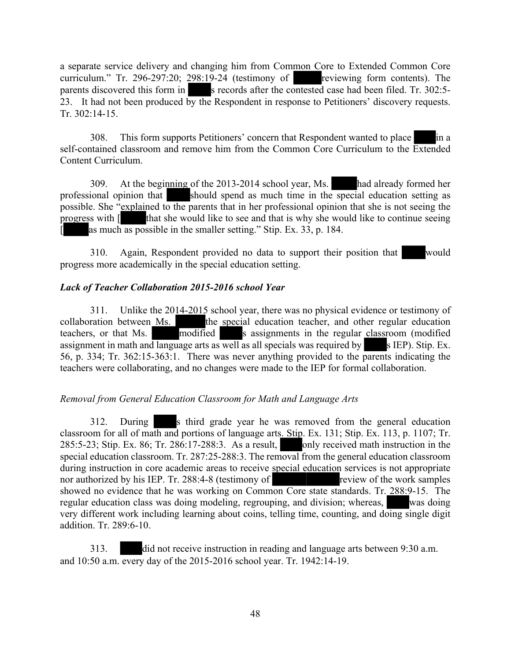a separate service delivery and changing him from Common Core to Extended Common Core curriculum." Tr. 296-297:20; 298:19-24 (testimony of reviewing form contents). The parents discovered this form in s records after the contested case had been filed. Tr. 302:5-23. It had not been produced by the Respondent in response to Petitioners' discovery requests. Tr. 302:14-15.

308. This form supports Petitioners' concern that Respondent wanted to place in a self-contained classroom and remove him from the Common Core Curriculum to the Extended Content Curriculum.

309. At the beginning of the 2013-2014 school year, Ms. had already formed her professional opinion that should spend as much time in the special education setting as possible. She "explained to the parents that in her professional opinion that she is not seeing the progress with [ that she would like to see and that is why she would like to continue seeing [ as much as possible in the smaller setting." Stip. Ex. 33, p. 184.

310. Again, Respondent provided no data to support their position that would progress more academically in the special education setting.

## *Lack of Teacher Collaboration 2015-2016 school Year*

311. Unlike the 2014-2015 school year, there was no physical evidence or testimony of collaboration between Ms. the special education teacher, and other regular education teachers, or that Ms. modified s assignments in the regular classroom (modified assignment in math and language arts as well as all specials was required by s IEP). Stip. Ex. 56, p. 334; Tr. 362:15-363:1. There was never anything provided to the parents indicating the teachers were collaborating, and no changes were made to the IEP for formal collaboration.

#### *Removal from General Education Classroom for Math and Language Arts*

312. During s third grade year he was removed from the general education classroom for all of math and portions of language arts. Stip. Ex. 131; Stip. Ex. 113, p. 1107; Tr. 285:5-23; Stip. Ex. 86; Tr. 286:17-288:3. As a result, only received math instruction in the special education classroom. Tr. 287:25-288:3. The removal from the general education classroom during instruction in core academic areas to receive special education services is not appropriate nor authorized by his IEP. Tr. 288:4-8 (testimony of review of the work samples showed no evidence that he was working on Common Core state standards. Tr. 288:9-15. The regular education class was doing modeling, regrouping, and division; whereas, was doing very different work including learning about coins, telling time, counting, and doing single digit addition. Tr. 289:6-10.

313. did not receive instruction in reading and language arts between 9:30 a.m. and 10:50 a.m. every day of the 2015-2016 school year. Tr. 1942:14-19.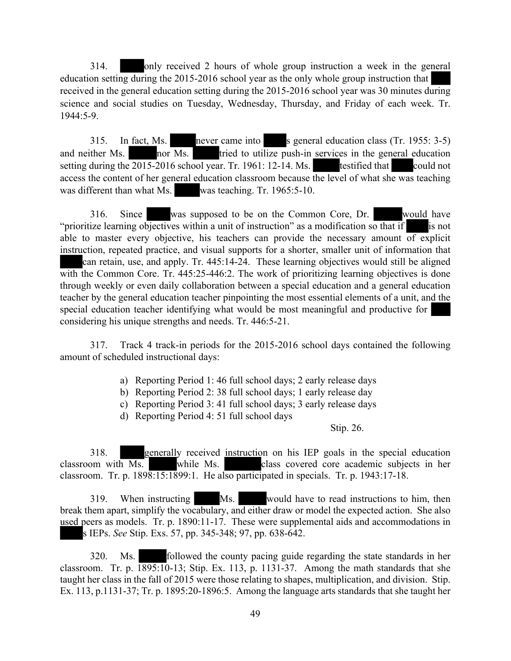314. only received 2 hours of whole group instruction a week in the general education setting during the 2015-2016 school year as the only whole group instruction that received in the general education setting during the 2015-2016 school year was 30 minutes during science and social studies on Tuesday, Wednesday, Thursday, and Friday of each week. Tr. 1944:5-9.

315. In fact, Ms. never came into s general education class (Tr. 1955: 3-5) and neither Ms.  $\overline{\text{nor}}$  Ms. tried to utilize push-in services in the general education setting during the  $\overline{2015}$ -2016 school year. Tr. 1961: 12-14. Ms. testified that could not access the content of her general education classroom because the level of what she was teaching was different than what Ms. was teaching. Tr. 1965:5-10.

316. Since was supposed to be on the Common Core, Dr. would have "prioritize learning objectives within a unit of instruction" as a modification so that if is not able to master every objective, his teachers can provide the necessary amount of explicit instruction, repeated practice, and visual supports for a shorter, smaller unit of information that can retain, use, and apply. Tr. 445:14-24. These learning objectives would still be aligned with the Common Core. Tr. 445:25-446:2. The work of prioritizing learning objectives is done through weekly or even daily collaboration between a special education and a general education teacher by the general education teacher pinpointing the most essential elements of a unit, and the special education teacher identifying what would be most meaningful and productive for considering his unique strengths and needs. Tr. 446:5-21.

317. Track 4 track-in periods for the 2015-2016 school days contained the following amount of scheduled instructional days:

- a) Reporting Period 1: 46 full school days; 2 early release days
- b) Reporting Period 2: 38 full school days; 1 early release day
- c) Reporting Period 3: 41 full school days; 3 early release days
- d) Reporting Period 4: 51 full school days

Stip. 26.

318. generally received instruction on his IEP goals in the special education classroom with Ms. while Ms. class covered core academic subjects in her classroom. Tr. p. 1898:15:1899:1. He also participated in specials. Tr. p. 1943:17-18.

319. When instructing Ms. would have to read instructions to him, then break them apart, simplify the vocabulary, and either draw or model the expected action. She also used peers as models. Tr. p. 1890:11-17. These were supplemental aids and accommodations in s IEPs. *See* Stip. Exs. 57, pp. 345-348; 97, pp. 638-642.

320. Ms. followed the county pacing guide regarding the state standards in her classroom. Tr. p.  $1895:10-13$ ; Stip. Ex. 113, p. 1131-37. Among the math standards that she taught her class in the fall of 2015 were those relating to shapes, multiplication, and division. Stip. Ex. 113, p.1131-37; Tr. p. 1895:20-1896:5. Among the language arts standards that she taught her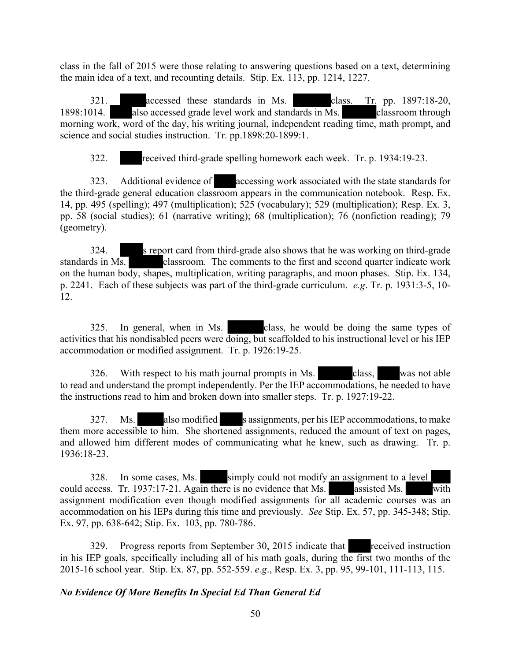class in the fall of 2015 were those relating to answering questions based on a text, determining the main idea of a text, and recounting details. Stip. Ex. 113, pp. 1214, 1227.

321. accessed these standards in Ms. class. Tr. pp. 1897:18-20, 1898:1014. also accessed grade level work and standards in Ms. classroom through morning work, word of the day, his writing journal, independent reading time, math prompt, and science and social studies instruction. Tr. pp.1898:20-1899:1.

322. received third-grade spelling homework each week. Tr. p. 1934:19-23.

323. Additional evidence of accessing work associated with the state standards for the third-grade general education classroom appears in the communication notebook. Resp. Ex. 14, pp. 495 (spelling); 497 (multiplication); 525 (vocabulary); 529 (multiplication); Resp. Ex. 3, pp. 58 (social studies); 61 (narrative writing); 68 (multiplication); 76 (nonfiction reading); 79 (geometry).

324. s report card from third-grade also shows that he was working on third-grade standards in Ms. classroom. The comments to the first and second quarter indicate work on the human body, shapes, multiplication, writing paragraphs, and moon phases. Stip. Ex. 134, p. 2241. Each of these subjects was part of the third-grade curriculum. *e.g*. Tr. p. 1931:3-5, 10- 12.

325. In general, when in Ms. class, he would be doing the same types of activities that his nondisabled peers were doing, but scaffolded to his instructional level or his IEP accommodation or modified assignment. Tr. p. 1926:19-25.

326. With respect to his math journal prompts in Ms. class, was not able to read and understand the prompt independently. Per the IEP accommodations, he needed to have the instructions read to him and broken down into smaller steps. Tr. p. 1927:19-22.

327. Ms. also modified s assignments, per his IEP accommodations, to make them more accessible to him. She shortened assignments, reduced the amount of text on pages, and allowed him different modes of communicating what he knew, such as drawing. Tr. p. 1936:18-23.

328. In some cases, Ms. simply could not modify an assignment to a level could access. Tr. 1937:17-21. Again there is no evidence that Ms. assisted Ms. with assignment modification even though modified assignments for all academic courses was an accommodation on his IEPs during this time and previously. *See* Stip. Ex. 57, pp. 345-348; Stip. Ex. 97, pp. 638-642; Stip. Ex. 103, pp. 780-786.

329. Progress reports from September 30, 2015 indicate that received instruction in his IEP goals, specifically including all of his math goals, during the first two months of the 2015-16 school year. Stip. Ex. 87, pp. 552-559. *e.g*., Resp. Ex. 3, pp. 95, 99-101, 111-113, 115.

#### *No Evidence Of More Benefits In Special Ed Than General Ed*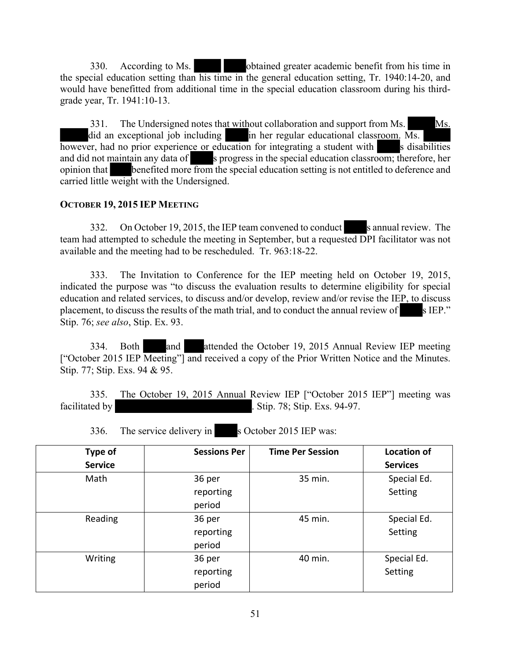330. According to Ms. obtained greater academic benefit from his time in the special education setting than his time in the general education setting, Tr. 1940:14-20, and would have benefitted from additional time in the special education classroom during his thirdgrade year, Tr. 1941:10-13.

331. The Undersigned notes that without collaboration and support from Ms. Ms. did an exceptional job including in her regular educational classroom.  $\overline{Ms}$ . however, had no prior experience or education for integrating a student with s disabilities and did not maintain any data of s progress in the special education classroom; therefore, her opinion that benefited more from the special education setting is not entitled to deference and carried little weight with the Undersigned.

#### **OCTOBER 19, 2015 IEP MEETING**

332. On October 19, 2015, the IEP team convened to conduct s annual review. The team had attempted to schedule the meeting in September, but a requested DPI facilitator was not available and the meeting had to be rescheduled. Tr. 963:18-22.

333. The Invitation to Conference for the IEP meeting held on October 19, 2015, indicated the purpose was "to discuss the evaluation results to determine eligibility for special education and related services, to discuss and/or develop, review and/or revise the IEP, to discuss placement, to discuss the results of the math trial, and to conduct the annual review of s IEP." Stip. 76; *see also*, Stip. Ex. 93.

334. Both and attended the October 19, 2015 Annual Review IEP meeting ["October 2015 IEP Meeting"] and received a copy of the Prior Written Notice and the Minutes. Stip. 77; Stip. Exs. 94 & 95.

335. The October 19, 2015 Annual Review IEP ["October 2015 IEP"] meeting was facilitated by **.** Stip. 78; Stip. Exs. 94-97.

| Type of<br><b>Service</b> | <b>Sessions Per</b>           | <b>Time Per Session</b> | <b>Location of</b><br><b>Services</b> |
|---------------------------|-------------------------------|-------------------------|---------------------------------------|
| Math                      | 36 per<br>reporting<br>period | 35 min.                 | Special Ed.<br>Setting                |
| Reading                   | 36 per<br>reporting<br>period | 45 min.                 | Special Ed.<br>Setting                |
| Writing                   | 36 per<br>reporting<br>period | 40 min.                 | Special Ed.<br>Setting                |

336. The service delivery in s October 2015 IEP was: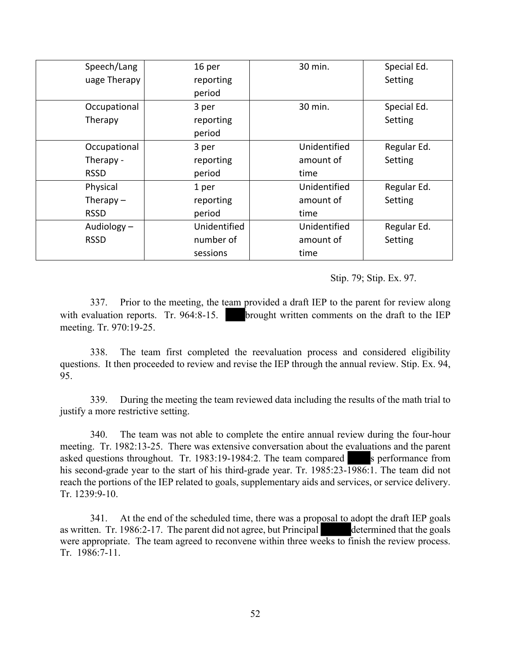| Speech/Lang   | 16 per       | 30 min.      | Special Ed. |
|---------------|--------------|--------------|-------------|
| uage Therapy  | reporting    |              | Setting     |
|               | period       |              |             |
| Occupational  | 3 per        | 30 min.      | Special Ed. |
| Therapy       | reporting    |              | Setting     |
|               | period       |              |             |
| Occupational  | 3 per        | Unidentified | Regular Ed. |
| Therapy -     | reporting    | amount of    | Setting     |
| <b>RSSD</b>   | period       | time         |             |
| Physical      | 1 per        | Unidentified | Regular Ed. |
| Therapy $-$   | reporting    | amount of    | Setting     |
| <b>RSSD</b>   | period       | time         |             |
| Audiology $-$ | Unidentified | Unidentified | Regular Ed. |
| <b>RSSD</b>   | number of    | amount of    | Setting     |
|               | sessions     | time         |             |

#### Stip. 79; Stip. Ex. 97.

337. Prior to the meeting, the team provided a draft IEP to the parent for review along with evaluation reports. Tr. 964:8-15. **brought written comments on the draft to the IEP** meeting. Tr. 970:19-25.

338. The team first completed the reevaluation process and considered eligibility questions. It then proceeded to review and revise the IEP through the annual review. Stip. Ex. 94, 95.

339. During the meeting the team reviewed data including the results of the math trial to justify a more restrictive setting.

340. The team was not able to complete the entire annual review during the four-hour meeting. Tr. 1982:13-25. There was extensive conversation about the evaluations and the parent asked questions throughout. Tr. 1983:19-1984:2. The team compared s performance from his second-grade year to the start of his third-grade year. Tr. 1985:23-1986:1. The team did not reach the portions of the IEP related to goals, supplementary aids and services, or service delivery. Tr. 1239:9-10.

341. At the end of the scheduled time, there was a proposal to adopt the draft IEP goals as written. Tr. 1986:2-17. The parent did not agree, but Principal determined that the goals were appropriate. The team agreed to reconvene within three weeks to finish the review process. Tr. 1986:7-11.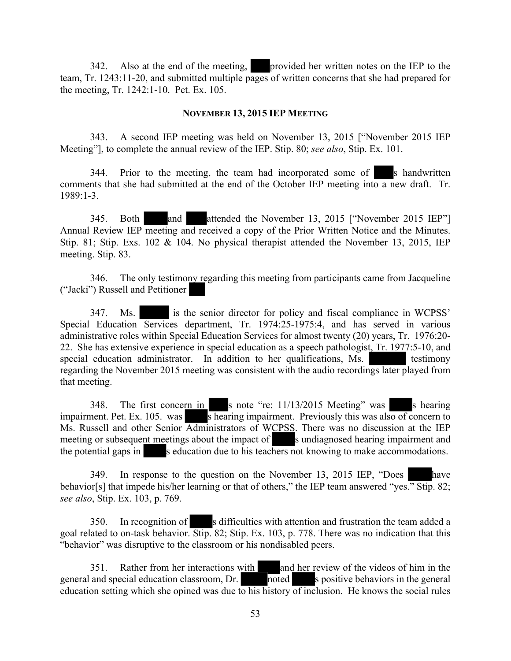342. Also at the end of the meeting, provided her written notes on the IEP to the team, Tr. 1243:11-20, and submitted multiple pages of written concerns that she had prepared for the meeting, Tr. 1242:1-10. Pet. Ex. 105.

#### **NOVEMBER 13, 2015 IEP MEETING**

343. A second IEP meeting was held on November 13, 2015 ["November 2015 IEP Meeting"], to complete the annual review of the IEP. Stip. 80; *see also*, Stip. Ex. 101.

344. Prior to the meeting, the team had incorporated some of s handwritten comments that she had submitted at the end of the October IEP meeting into a new draft. Tr. 1989:1-3.

345. Both and attended the November 13, 2015 ["November 2015 IEP"] Annual Review IEP meeting and received a copy of the Prior Written Notice and the Minutes. Stip. 81; Stip. Exs. 102 & 104. No physical therapist attended the November 13, 2015, IEP meeting. Stip. 83.

346. The only testimony regarding this meeting from participants came from Jacqueline ("Jacki") Russell and Petitioner

347. Ms. is the senior director for policy and fiscal compliance in WCPSS' Special Education Services department, Tr. 1974:25-1975:4, and has served in various administrative roles within Special Education Services for almost twenty (20) years, Tr. 1976:20- 22. She has extensive experience in special education as a speech pathologist, Tr. 1977:5-10, and special education administrator. In addition to her qualifications, Ms. testimony regarding the November 2015 meeting was consistent with the audio recordings later played from that meeting.

348. The first concern in s note "re: 11/13/2015 Meeting" was s hearing impairment. Pet. Ex. 105. was shearing impairment. Previously this was also of concern to Ms. Russell and other Senior Administrators of WCPSS. There was no discussion at the IEP meeting or subsequent meetings about the impact of s undiagnosed hearing impairment and the potential gaps in seducation due to his teachers not knowing to make accommodations.

349. In response to the question on the November 13, 2015 IEP, "Does have behavior[s] that impede his/her learning or that of others," the IEP team answered "yes." Stip. 82; *see also*, Stip. Ex. 103, p. 769.

350. In recognition of s difficulties with attention and frustration the team added a goal related to on-task behavior. Stip. 82; Stip. Ex. 103, p. 778. There was no indication that this "behavior" was disruptive to the classroom or his nondisabled peers.

351. Rather from her interactions with and her review of the videos of him in the general and special education classroom,  $Dr.$  noted s positive behaviors in the general education setting which she opined was due to his history of inclusion. He knows the social rules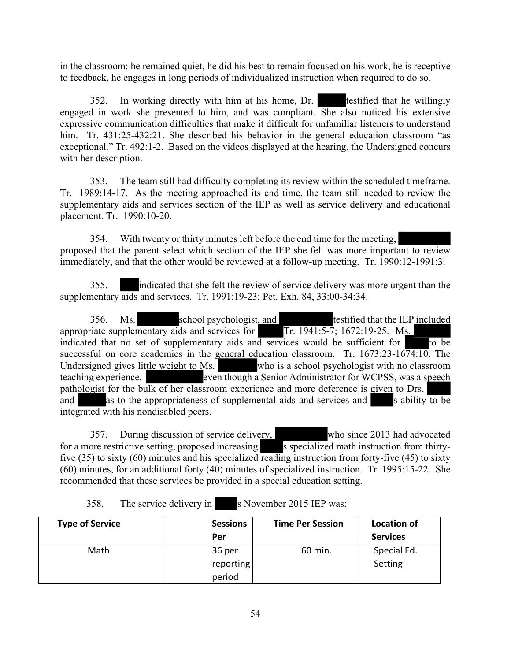in the classroom: he remained quiet, he did his best to remain focused on his work, he is receptive to feedback, he engages in long periods of individualized instruction when required to do so.

352. In working directly with him at his home, Dr. testified that he willingly engaged in work she presented to him, and was compliant. She also noticed his extensive expressive communication difficulties that make it difficult for unfamiliar listeners to understand him. Tr. 431:25-432:21. She described his behavior in the general education classroom "as exceptional." Tr. 492:1-2. Based on the videos displayed at the hearing, the Undersigned concurs with her description.

353. The team still had difficulty completing its review within the scheduled timeframe. Tr. 1989:14-17. As the meeting approached its end time, the team still needed to review the supplementary aids and services section of the IEP as well as service delivery and educational placement. Tr. 1990:10-20.

354. With twenty or thirty minutes left before the end time for the meeting, proposed that the parent select which section of the IEP she felt was more important to review immediately, and that the other would be reviewed at a follow-up meeting. Tr. 1990:12-1991:3.

355. indicated that she felt the review of service delivery was more urgent than the supplementary aids and services. Tr. 1991:19-23; Pet. Exh. 84, 33:00-34:34.

356. Ms. school psychologist, and testified that the IEP included appropriate supplementary aids and services for Tr. 1941:5-7; 1672:19-25. Ms. indicated that no set of supplementary aids and services would be sufficient for  $\overline{a}$  to be successful on core academics in the general education classroom. Tr.  $1673:23-1674:10$ . The Undersigned gives little weight to Ms. who is a school psychologist with no classroom teaching experience. even though a Senior Administrator for WCPSS, was a speech pathologist for the bulk of her classroom experience and more deference is given to Drs. and as to the appropriateness of supplemental aids and services and s ability to be integrated with his nondisabled peers.

357. During discussion of service delivery, who since 2013 had advocated for a more restrictive setting, proposed increasing s specialized math instruction from thirtyfive (35) to sixty (60) minutes and his specialized reading instruction from forty-five (45) to sixty (60) minutes, for an additional forty (40) minutes of specialized instruction. Tr. 1995:15-22. She recommended that these services be provided in a special education setting.

358. The service delivery in s November 2015 IEP was:

| <b>Type of Service</b> | <b>Sessions</b> | <b>Time Per Session</b> | <b>Location of</b> |
|------------------------|-----------------|-------------------------|--------------------|
|                        | Per             |                         | <b>Services</b>    |
| Math                   | 36 per          | 60 min.                 | Special Ed.        |
|                        | reporting       |                         | Setting            |
|                        | period          |                         |                    |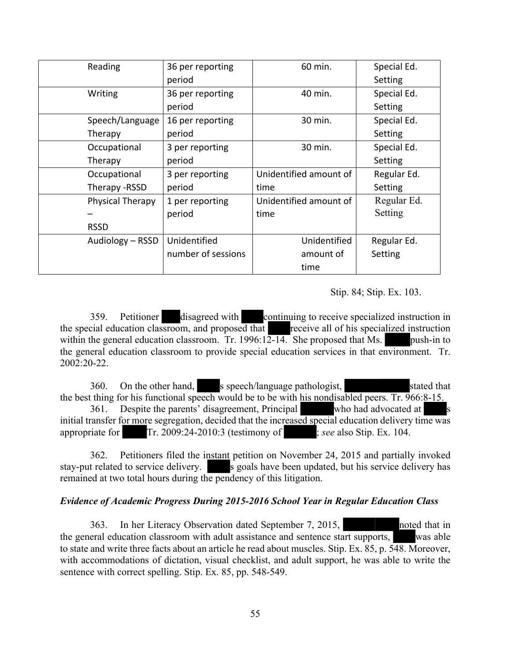| Reading          | 36 per reporting   | 60 min.                | Special Ed. |
|------------------|--------------------|------------------------|-------------|
|                  | period             |                        | Setting     |
| Writing          | 36 per reporting   | 40 min.                | Special Ed. |
|                  | period             |                        | Setting     |
| Speech/Language  | 16 per reporting   | 30 min.                | Special Ed. |
| Therapy          | period             |                        | Setting     |
| Occupational     | 3 per reporting    | 30 min.                | Special Ed. |
| Therapy          | period             |                        | Setting     |
| Occupational     | 3 per reporting    | Unidentified amount of | Regular Ed. |
| Therapy - RSSD   | period             | time                   | Setting     |
| Physical Therapy | 1 per reporting    | Unidentified amount of | Regular Ed. |
|                  | period             | time                   | Setting     |
| <b>RSSD</b>      |                    |                        |             |
| Audiology - RSSD | Unidentified       | Unidentified           | Regular Ed. |
|                  | number of sessions | amount of              | Setting     |
|                  |                    | time                   |             |

#### Stip. 84; Stip. Ex. 103.

359. Petitioner disagreed with continuing to receive specialized instruction in the special education classroom, and proposed that receive all of his specialized instruction within the general education classroom. Tr. 1996:1 $\overline{2-14}$ . She proposed that Ms. push-in to the general education classroom to provide special education services in that environment. Tr. 2002:20-22.

360. On the other hand, s speech/language pathologist, stated that the best thing for his functional speech would be to be with his nondisabled peers. Tr. 966:8-15. 361. Despite the parents' disagreement, Principal who had advocated at initial transfer for more segregation, decided that the increased special education delivery time was appropriate for Tr. 2009:24-2010:3 (testimony of ; *see* also Stip. Ex. 104.

362. Petitioners filed the instant petition on November 24, 2015 and partially invoked stay-put related to service delivery. s goals have been updated, but his service delivery has remained at two total hours during the pendency of this litigation.

#### *Evidence of Academic Progress During 2015-2016 School Year in Regular Education Class*

363. In her Literacy Observation dated September 7, 2015, noted that in the general education classroom with adult assistance and sentence start supports, was able to state and write three facts about an article he read about muscles. Stip. Ex. 85, p. 548. Moreover, with accommodations of dictation, visual checklist, and adult support, he was able to write the sentence with correct spelling. Stip. Ex. 85, pp. 548-549.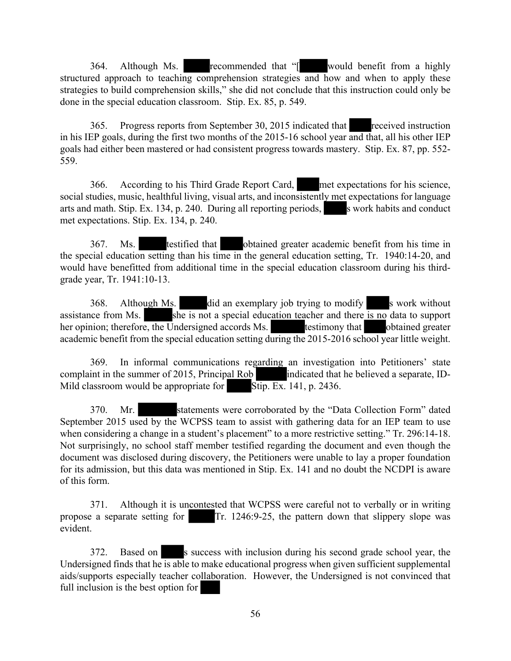364. Although Ms. recommended that "[ would benefit from a highly structured approach to teaching comprehension strategies and how and when to apply these strategies to build comprehension skills," she did not conclude that this instruction could only be done in the special education classroom. Stip. Ex. 85, p. 549.

365. Progress reports from September 30, 2015 indicated that received instruction in his IEP goals, during the first two months of the 2015-16 school year and that, all his other IEP goals had either been mastered or had consistent progress towards mastery. Stip. Ex. 87, pp. 552- 559.

366. According to his Third Grade Report Card, met expectations for his science, social studies, music, healthful living, visual arts, and inconsistently met expectations for language arts and math. Stip. Ex. 134, p. 240. During all reporting periods, s work habits and conduct met expectations. Stip. Ex. 134, p. 240.

367. Ms. testified that obtained greater academic benefit from his time in the special education setting than his time in the general education setting, Tr. 1940:14-20, and would have benefitted from additional time in the special education classroom during his thirdgrade year, Tr. 1941:10-13.

368. Although Ms. did an exemplary job trying to modify s work without assistance from Ms.  $s$  she is not a special education teacher and there is no data to support her opinion; therefore, the Undersigned accords Ms. testimony that obtained greater academic benefit from the special education setting during the 2015-2016 school year little weight.

369. In informal communications regarding an investigation into Petitioners' state complaint in the summer of 2015, Principal Rob indicated that he believed a separate, ID-Mild classroom would be appropriate for Stip. Ex. 141, p. 2436.

370. Mr. statements were corroborated by the "Data Collection Form" dated September 2015 used by the WCPSS team to assist with gathering data for an IEP team to use when considering a change in a student's placement" to a more restrictive setting." Tr. 296:14-18. Not surprisingly, no school staff member testified regarding the document and even though the document was disclosed during discovery, the Petitioners were unable to lay a proper foundation for its admission, but this data was mentioned in Stip. Ex. 141 and no doubt the NCDPI is aware of this form.

371. Although it is uncontested that WCPSS were careful not to verbally or in writing propose a separate setting for Tr. 1246:9-25, the pattern down that slippery slope was evident.

372. Based on s success with inclusion during his second grade school year, the Undersigned finds that he is able to make educational progress when given sufficient supplemental aids/supports especially teacher collaboration. However, the Undersigned is not convinced that full inclusion is the best option for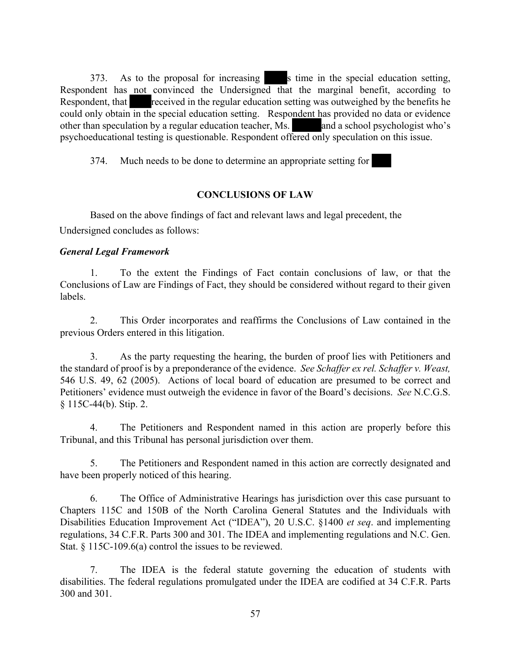373. As to the proposal for increasing s time in the special education setting, Respondent has not convinced the Undersigned that the marginal benefit, according to Respondent, that received in the regular education setting was outweighed by the benefits he could only obtain in the special education setting. Respondent has provided no data or evidence other than speculation by a regular education teacher, Ms. and a school psychologist who's psychoeducational testing is questionable. Respondent offered only speculation on this issue.

374. Much needs to be done to determine an appropriate setting for

## **CONCLUSIONS OF LAW**

Based on the above findings of fact and relevant laws and legal precedent, the Undersigned concludes as follows:

## *General Legal Framework*

1. To the extent the Findings of Fact contain conclusions of law, or that the Conclusions of Law are Findings of Fact, they should be considered without regard to their given labels.

2. This Order incorporates and reaffirms the Conclusions of Law contained in the previous Orders entered in this litigation.

3. As the party requesting the hearing, the burden of proof lies with Petitioners and the standard of proof is by a preponderance of the evidence. *See Schaffer ex rel. Schaffer v. Weast,* 546 U.S. 49, 62 (2005). Actions of local board of education are presumed to be correct and Petitioners' evidence must outweigh the evidence in favor of the Board's decisions. *See* N.C.G.S. § 115C-44(b). Stip. 2.

4. The Petitioners and Respondent named in this action are properly before this Tribunal, and this Tribunal has personal jurisdiction over them.

5. The Petitioners and Respondent named in this action are correctly designated and have been properly noticed of this hearing.

6. The Office of Administrative Hearings has jurisdiction over this case pursuant to Chapters 115C and 150B of the North Carolina General Statutes and the Individuals with Disabilities Education Improvement Act ("IDEA"), 20 U.S.C. §1400 *et seq*. and implementing regulations, 34 C.F.R. Parts 300 and 301. The IDEA and implementing regulations and N.C. Gen. Stat. § 115C-109.6(a) control the issues to be reviewed.

7. The IDEA is the federal statute governing the education of students with disabilities. The federal regulations promulgated under the IDEA are codified at 34 C.F.R. Parts 300 and 301.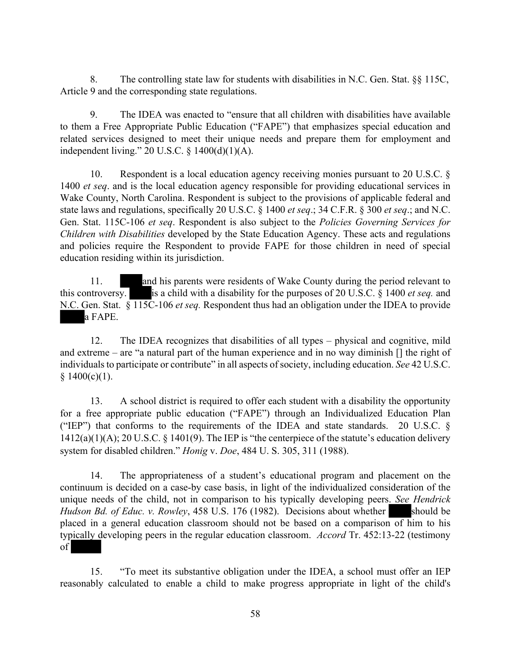8. The controlling state law for students with disabilities in N.C. Gen. Stat. §§ 115C, Article 9 and the corresponding state regulations.

9. The IDEA was enacted to "ensure that all children with disabilities have available to them a Free Appropriate Public Education ("FAPE") that emphasizes special education and related services designed to meet their unique needs and prepare them for employment and independent living." 20 U.S.C. § 1400(d)(1)(A).

10. Respondent is a local education agency receiving monies pursuant to 20 U.S.C. § 1400 *et seq*. and is the local education agency responsible for providing educational services in Wake County, North Carolina. Respondent is subject to the provisions of applicable federal and state laws and regulations, specifically 20 U.S.C. § 1400 *et seq*.; 34 C.F.R. § 300 *et seq*.; and N.C. Gen. Stat. 115C-106 *et seq*. Respondent is also subject to the *Policies Governing Services for Children with Disabilities* developed by the State Education Agency. These acts and regulations and policies require the Respondent to provide FAPE for those children in need of special education residing within its jurisdiction.

11. and his parents were residents of Wake County during the period relevant to this controversy. is a child with a disability for the purposes of 20 U.S.C. § 1400 *et seq.* and N.C. Gen. Stat. § 115C-106 *et seq.* Respondent thus had an obligation under the IDEA to provide a FAPE.

12. The IDEA recognizes that disabilities of all types – physical and cognitive, mild and extreme – are "a natural part of the human experience and in no way diminish [] the right of individuals to participate or contribute" in all aspects of society, including education. *See* 42 U.S.C.  $§ 1400(c)(1).$ 

13. A school district is required to offer each student with a disability the opportunity for a free appropriate public education ("FAPE") through an Individualized Education Plan ("IEP") that conforms to the requirements of the IDEA and state standards. 20 U.S.C. §  $1412(a)(1)(A)$ ; 20 U.S.C. § 1401(9). The IEP is "the centerpiece of the statute's education delivery system for disabled children." *Honig* v. *Doe*, 484 U. S. 305, 311 (1988).

14. The appropriateness of a student's educational program and placement on the continuum is decided on a case-by case basis, in light of the individualized consideration of the unique needs of the child, not in comparison to his typically developing peers. *See Hendrick Hudson Bd. of Educ. v. Rowley*, 458 U.S. 176 (1982). Decisions about whether should be placed in a general education classroom should not be based on a comparison of him to his typically developing peers in the regular education classroom. *Accord* Tr. 452:13-22 (testimony of

15. "To meet its substantive obligation under the IDEA, a school must offer an IEP reasonably calculated to enable a child to make progress appropriate in light of the child's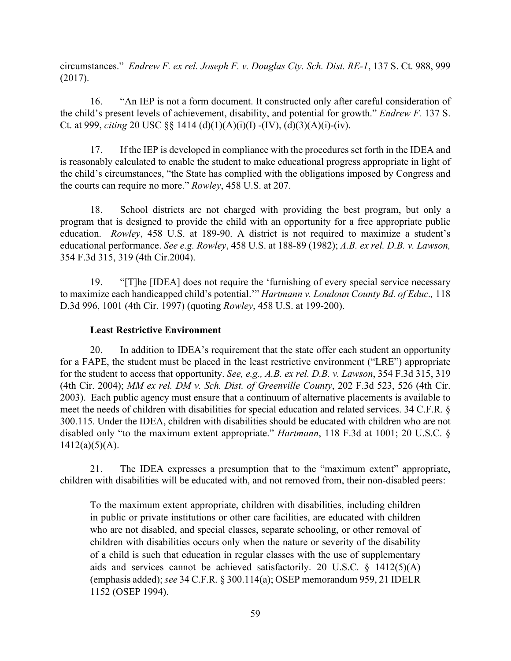circumstances." *Endrew F. ex rel. Joseph F. v. Douglas Cty. Sch. Dist. RE-1*, 137 S. Ct. 988, 999 (2017).

16. "An IEP is not a form document. It constructed only after careful consideration of the child's present levels of achievement, disability, and potential for growth." *Endrew F.* 137 S. Ct. at 999, *citing* 20 USC §§ 1414 (d)(1)(A)(i)(I) -(IV), (d)(3)(A)(i)-(iv).

17. If the IEP is developed in compliance with the procedures set forth in the IDEA and is reasonably calculated to enable the student to make educational progress appropriate in light of the child's circumstances, "the State has complied with the obligations imposed by Congress and the courts can require no more." *Rowley*, 458 U.S. at 207.

18. School districts are not charged with providing the best program, but only a program that is designed to provide the child with an opportunity for a free appropriate public education. *Rowley*, 458 U.S. at 189-90. A district is not required to maximize a student's educational performance. *See e.g. Rowley*, 458 U.S. at 188-89 (1982); *A.B. ex rel. D.B. v. Lawson,* 354 F.3d 315, 319 (4th Cir.2004).

19. "[T]he [IDEA] does not require the 'furnishing of every special service necessary to maximize each handicapped child's potential.'" *Hartmann v. Loudoun County Bd. of Educ.,* 118 D.3d 996, 1001 (4th Cir. 1997) (quoting *Rowley*, 458 U.S. at 199-200).

### **Least Restrictive Environment**

20. In addition to IDEA's requirement that the state offer each student an opportunity for a FAPE, the student must be placed in the least restrictive environment ("LRE") appropriate for the student to access that opportunity. *See, e.g., A.B. ex rel. D.B. v. Lawson*, 354 F.3d 315, 319 (4th Cir. 2004); *MM ex rel. DM v. Sch. Dist. of Greenville County*, 202 F.3d 523, 526 (4th Cir. 2003). Each public agency must ensure that a continuum of alternative placements is available to meet the needs of children with disabilities for special education and related services. 34 C.F.R. § 300.115. Under the IDEA, children with disabilities should be educated with children who are not disabled only "to the maximum extent appropriate." *Hartmann*, 118 F.3d at 1001; 20 U.S.C. §  $1412(a)(5)(A)$ .

21. The IDEA expresses a presumption that to the "maximum extent" appropriate, children with disabilities will be educated with, and not removed from, their non-disabled peers:

To the maximum extent appropriate, children with disabilities, including children in public or private institutions or other care facilities, are educated with children who are not disabled, and special classes, separate schooling, or other removal of children with disabilities occurs only when the nature or severity of the disability of a child is such that education in regular classes with the use of supplementary aids and services cannot be achieved satisfactorily. 20 U.S.C. § 1412(5)(A) (emphasis added); *see* 34 C.F.R. § 300.114(a); OSEP memorandum 959, 21 IDELR 1152 (OSEP 1994).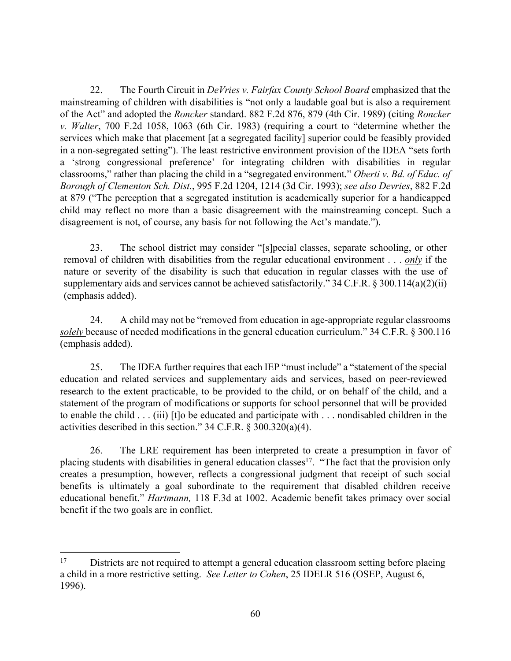22. The Fourth Circuit in *DeVries v. Fairfax County School Board* emphasized that the mainstreaming of children with disabilities is "not only a laudable goal but is also a requirement of the Act" and adopted the *Roncker* standard. 882 F.2d 876, 879 (4th Cir. 1989) (citing *Roncker v. Walter*, 700 F.2d 1058, 1063 (6th Cir. 1983) (requiring a court to "determine whether the services which make that placement [at a segregated facility] superior could be feasibly provided in a non-segregated setting"). The least restrictive environment provision of the IDEA "sets forth a 'strong congressional preference' for integrating children with disabilities in regular classrooms," rather than placing the child in a "segregated environment." *Oberti v. Bd. of Educ. of Borough of Clementon Sch. Dist.*, 995 F.2d 1204, 1214 (3d Cir. 1993); *see also Devries*, 882 F.2d at 879 ("The perception that a segregated institution is academically superior for a handicapped child may reflect no more than a basic disagreement with the mainstreaming concept. Such a disagreement is not, of course, any basis for not following the Act's mandate.").

23. The school district may consider "[s]pecial classes, separate schooling, or other removal of children with disabilities from the regular educational environment . . . *only* if the nature or severity of the disability is such that education in regular classes with the use of supplementary aids and services cannot be achieved satisfactorily." 34 C.F.R. § 300.114(a)(2)(ii) (emphasis added).

24. A child may not be "removed from education in age-appropriate regular classrooms *solely* because of needed modifications in the general education curriculum." 34 C.F.R. § 300.116 (emphasis added).

25. The IDEA further requires that each IEP "must include" a "statement of the special education and related services and supplementary aids and services, based on peer-reviewed research to the extent practicable, to be provided to the child, or on behalf of the child, and a statement of the program of modifications or supports for school personnel that will be provided to enable the child . . . (iii) [t]o be educated and participate with . . . nondisabled children in the activities described in this section." 34 C.F.R. § 300.320(a)(4).

26. The LRE requirement has been interpreted to create a presumption in favor of placing students with disabilities in general education classes<sup>17</sup>. "The fact that the provision only creates a presumption, however, reflects a congressional judgment that receipt of such social benefits is ultimately a goal subordinate to the requirement that disabled children receive educational benefit." *Hartmann,* 118 F.3d at 1002. Academic benefit takes primacy over social benefit if the two goals are in conflict.

<sup>&</sup>lt;sup>17</sup> Districts are not required to attempt a general education classroom setting before placing a child in a more restrictive setting. *See Letter to Cohen*, 25 IDELR 516 (OSEP, August 6, 1996).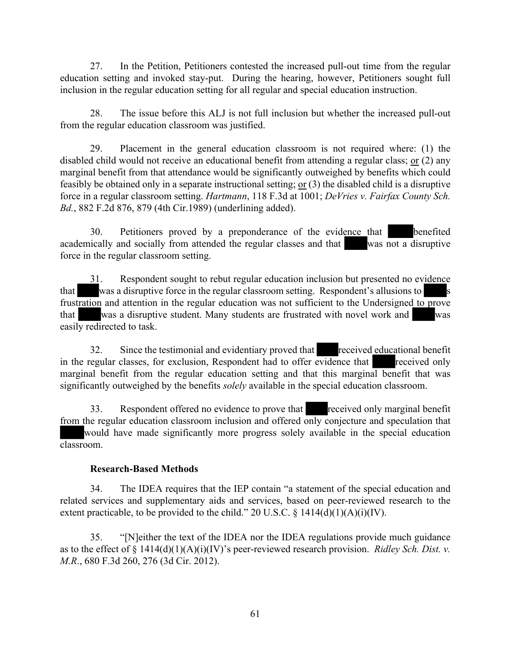27. In the Petition, Petitioners contested the increased pull-out time from the regular education setting and invoked stay-put. During the hearing, however, Petitioners sought full inclusion in the regular education setting for all regular and special education instruction.

28. The issue before this ALJ is not full inclusion but whether the increased pull-out from the regular education classroom was justified.

29. Placement in the general education classroom is not required where: (1) the disabled child would not receive an educational benefit from attending a regular class; or (2) any marginal benefit from that attendance would be significantly outweighed by benefits which could feasibly be obtained only in a separate instructional setting; or (3) the disabled child is a disruptive force in a regular classroom setting. *Hartmann*, 118 F.3d at 1001; *DeVries v. Fairfax County Sch. Bd.*, 882 F.2d 876, 879 (4th Cir.1989) (underlining added).

30. Petitioners proved by a preponderance of the evidence that benefited academically and socially from attended the regular classes and that was not a disruptive force in the regular classroom setting.

31. Respondent sought to rebut regular education inclusion but presented no evidence that was a disruptive force in the regular classroom setting. Respondent's allusions to frustration and attention in the regular education was not sufficient to the Undersigned to prove that was a disruptive student. Many students are frustrated with novel work and was easily redirected to task.

32. Since the testimonial and evidentiary proved that received educational benefit in the regular classes, for exclusion, Respondent had to offer evidence that received only marginal benefit from the regular education setting and that this marginal benefit that was significantly outweighed by the benefits *solely* available in the special education classroom.

33. Respondent offered no evidence to prove that received only marginal benefit from the regular education classroom inclusion and offered only conjecture and speculation that would have made significantly more progress solely available in the special education classroom.

#### **Research-Based Methods**

34. The IDEA requires that the IEP contain "a statement of the special education and related services and supplementary aids and services, based on peer-reviewed research to the extent practicable, to be provided to the child." 20 U.S.C.  $\S$  1414(d)(1)(A)(i)(IV).

35. "[N]either the text of the IDEA nor the IDEA regulations provide much guidance as to the effect of § 1414(d)(1)(A)(i)(IV)'s peer-reviewed research provision. *Ridley Sch. Dist. v. M.R*., 680 F.3d 260, 276 (3d Cir. 2012).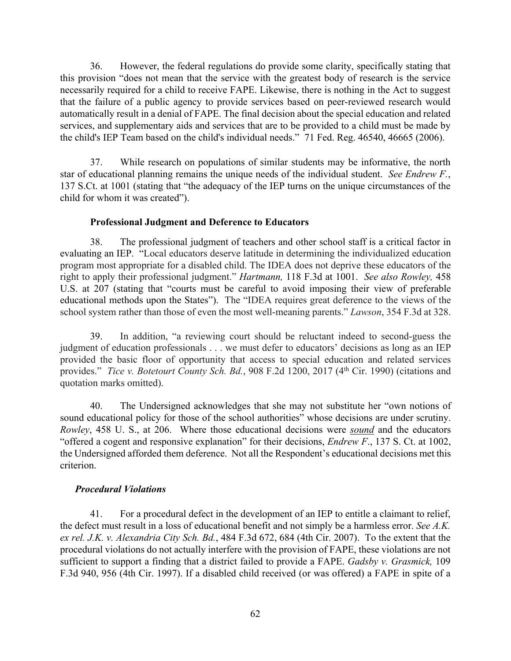36. However, the federal regulations do provide some clarity, specifically stating that this provision "does not mean that the service with the greatest body of research is the service necessarily required for a child to receive FAPE. Likewise, there is nothing in the Act to suggest that the failure of a public agency to provide services based on peer-reviewed research would automatically result in a denial of FAPE. The final decision about the special education and related services, and supplementary aids and services that are to be provided to a child must be made by the child's IEP Team based on the child's individual needs." 71 Fed. Reg. 46540, 46665 (2006).

37. While research on populations of similar students may be informative, the north star of educational planning remains the unique needs of the individual student. *See Endrew F.*, 137 S.Ct. at 1001 (stating that "the adequacy of the IEP turns on the unique circumstances of the child for whom it was created").

#### **Professional Judgment and Deference to Educators**

38. The professional judgment of teachers and other school staff is a critical factor in evaluating an IEP. "Local educators deserve latitude in determining the individualized education program most appropriate for a disabled child. The IDEA does not deprive these educators of the right to apply their professional judgment." *Hartmann,* 118 F.3d at 1001. *See also Rowley,* 458 U.S. at 207 (stating that "courts must be careful to avoid imposing their view of preferable educational methods upon the States"). The "IDEA requires great deference to the views of the school system rather than those of even the most well-meaning parents." *Lawson*, 354 F.3d at 328.

39. In addition, "a reviewing court should be reluctant indeed to second-guess the judgment of education professionals . . . we must defer to educators' decisions as long as an IEP provided the basic floor of opportunity that access to special education and related services provides." *Tice v. Botetourt County Sch. Bd.*, 908 F.2d 1200, 2017 (4th Cir. 1990) (citations and quotation marks omitted).

40. The Undersigned acknowledges that she may not substitute her "own notions of sound educational policy for those of the school authorities" whose decisions are under scrutiny. *Rowley*, 458 U. S., at 206. Where those educational decisions were *sound* and the educators "offered a cogent and responsive explanation" for their decisions, *Endrew F*., 137 S. Ct. at 1002, the Undersigned afforded them deference. Not all the Respondent's educational decisions met this criterion.

#### *Procedural Violations*

41. For a procedural defect in the development of an IEP to entitle a claimant to relief, the defect must result in a loss of educational benefit and not simply be a harmless error. *See A.K. ex rel. J.K. v. Alexandria City Sch. Bd.*, 484 F.3d 672, 684 (4th Cir. 2007). To the extent that the procedural violations do not actually interfere with the provision of FAPE, these violations are not sufficient to support a finding that a district failed to provide a FAPE. *Gadsby v. Grasmick,* 109 F.3d 940, 956 (4th Cir. 1997). If a disabled child received (or was offered) a FAPE in spite of a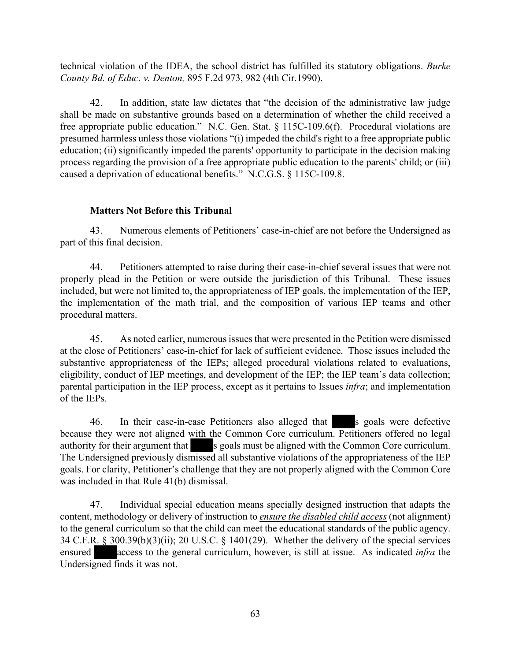technical violation of the IDEA, the school district has fulfilled its statutory obligations. *Burke County Bd. of Educ. v. Denton,* 895 F.2d 973, 982 (4th Cir.1990).

42. In addition, state law dictates that "the decision of the administrative law judge shall be made on substantive grounds based on a determination of whether the child received a free appropriate public education." N.C. Gen. Stat. § 115C-109.6(f). Procedural violations are presumed harmless unless those violations "(i) impeded the child's right to a free appropriate public education; (ii) significantly impeded the parents' opportunity to participate in the decision making process regarding the provision of a free appropriate public education to the parents' child; or (iii) caused a deprivation of educational benefits." N.C.G.S. § 115C-109.8.

## **Matters Not Before this Tribunal**

43. Numerous elements of Petitioners' case-in-chief are not before the Undersigned as part of this final decision.

44. Petitioners attempted to raise during their case-in-chief several issues that were not properly plead in the Petition or were outside the jurisdiction of this Tribunal. These issues included, but were not limited to, the appropriateness of IEP goals, the implementation of the IEP, the implementation of the math trial, and the composition of various IEP teams and other procedural matters.

45. As noted earlier, numerous issues that were presented in the Petition were dismissed at the close of Petitioners' case-in-chief for lack of sufficient evidence. Those issues included the substantive appropriateness of the IEPs; alleged procedural violations related to evaluations, eligibility, conduct of IEP meetings, and development of the IEP; the IEP team's data collection; parental participation in the IEP process, except as it pertains to Issues *infra*; and implementation of the IEPs.

46. In their case-in-case Petitioners also alleged that s goals were defective because they were not aligned with the Common Core curriculum. Petitioners offered no legal authority for their argument that s goals must be aligned with the Common Core curriculum. The Undersigned previously dismissed all substantive violations of the appropriateness of the IEP goals. For clarity, Petitioner's challenge that they are not properly aligned with the Common Core was included in that Rule 41(b) dismissal.

47. Individual special education means specially designed instruction that adapts the content, methodology or delivery of instruction to *ensure the disabled child access* (not alignment) to the general curriculum so that the child can meet the educational standards of the public agency. 34 C.F.R. § 300.39(b)(3)(ii); 20 U.S.C. § 1401(29). Whether the delivery of the special services ensured access to the general curriculum, however, is still at issue. As indicated *infra* the Undersigned finds it was not.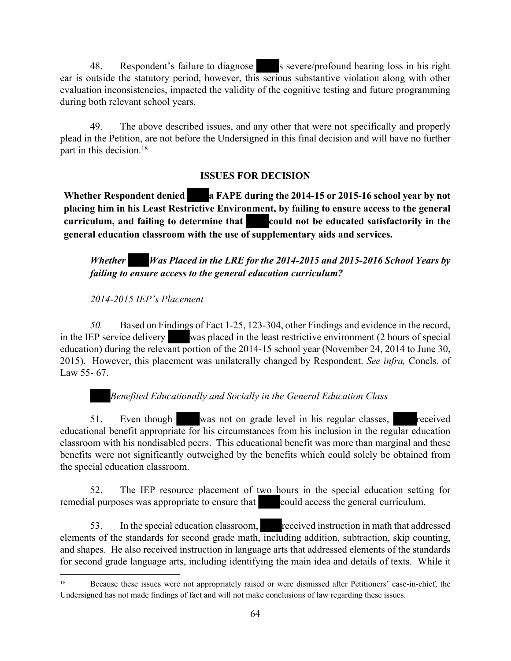48. Respondent's failure to diagnose s severe/profound hearing loss in his right ear is outside the statutory period, however, this serious substantive violation along with other evaluation inconsistencies, impacted the validity of the cognitive testing and future programming during both relevant school years.

49. The above described issues, and any other that were not specifically and properly plead in the Petition, are not before the Undersigned in this final decision and will have no further part in this decision.<sup>18</sup>

# **ISSUES FOR DECISION**

**Whether Respondent denied a FAPE during the 2014-15 or 2015-16 school year by not placing him in his Least Restrictive Environment, by failing to ensure access to the general curriculum, and failing to determine that could not be educated satisfactorily in the general education classroom with the use of supplementary aids and services.**

*Whether Was Placed in the LRE for the 2014-2015 and 2015-2016 School Years by failing to ensure access to the general education curriculum?*

# *2014-2015 IEP's Placement*

*50.* Based on Findings of Fact 1-25, 123-304, other Findings and evidence in the record, in the IEP service delivery was placed in the least restrictive environment (2 hours of special education) during the relevant portion of the 2014-15 school year (November 24, 2014 to June 30, 2015). However, this placement was unilaterally changed by Respondent. *See infra,* Concls. of Law 55- 67.

# *Benefited Educationally and Socially in the General Education Class*

51. Even though was not on grade level in his regular classes, received educational benefit appropriate for his circumstances from his inclusion in the regular education classroom with his nondisabled peers. This educational benefit was more than marginal and these benefits were not significantly outweighed by the benefits which could solely be obtained from the special education classroom.

52. The IEP resource placement of two hours in the special education setting for remedial purposes was appropriate to ensure that could access the general curriculum.

53. In the special education classroom, received instruction in math that addressed elements of the standards for second grade math, including addition, subtraction, skip counting, and shapes. He also received instruction in language arts that addressed elements of the standards for second grade language arts, including identifying the main idea and details of texts. While it

<sup>18</sup> Because these issues were not appropriately raised or were dismissed after Petitioners' case-in-chief, the Undersigned has not made findings of fact and will not make conclusions of law regarding these issues.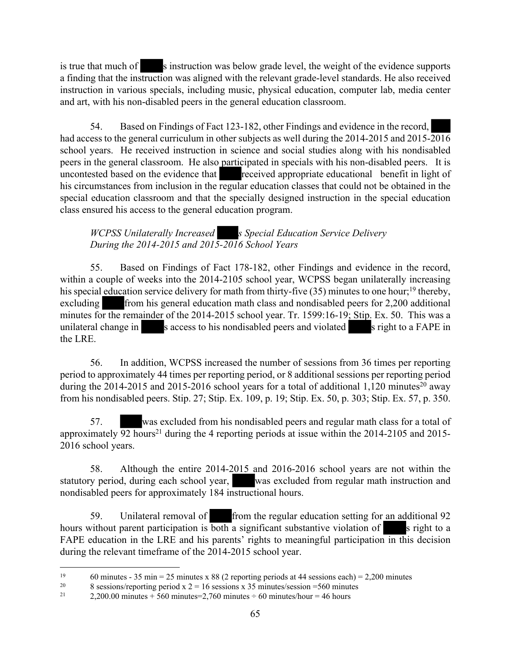is true that much of s instruction was below grade level, the weight of the evidence supports a finding that the instruction was aligned with the relevant grade-level standards. He also received instruction in various specials, including music, physical education, computer lab, media center and art, with his non-disabled peers in the general education classroom.

54. Based on Findings of Fact 123-182, other Findings and evidence in the record, had access to the general curriculum in other subjects as well during the 2014-2015 and 2015-2016 school years. He received instruction in science and social studies along with his nondisabled peers in the general classroom. He also participated in specials with his non-disabled peers. It is uncontested based on the evidence that received appropriate educational benefit in light of his circumstances from inclusion in the regular education classes that could not be obtained in the special education classroom and that the specially designed instruction in the special education class ensured his access to the general education program.

*WCPSS Unilaterally Increased* s Special Education Service Delivery *During the 2014-2015 and 2015-2016 School Years*

55. Based on Findings of Fact 178-182, other Findings and evidence in the record, within a couple of weeks into the 2014-2105 school year, WCPSS began unilaterally increasing his special education service delivery for math from thirty-five (35) minutes to one hour;<sup>19</sup> thereby, excluding from his general education math class and nondisabled peers for 2,200 additional minutes for the remainder of the 2014-2015 school year. Tr. 1599:16-19; Stip. Ex. 50. This was a unilateral change in s access to his nondisabled peers and violated s right to a FAPE in the LRE.

56. In addition, WCPSS increased the number of sessions from 36 times per reporting period to approximately 44 times per reporting period, or 8 additional sessions per reporting period during the 2014-2015 and 2015-2016 school years for a total of additional 1,120 minutes<sup>20</sup> away from his nondisabled peers. Stip. 27; Stip. Ex. 109, p. 19; Stip. Ex. 50, p. 303; Stip. Ex. 57, p. 350.

57. was excluded from his nondisabled peers and regular math class for a total of approximately  $\overline{92}$  hours<sup>21</sup> during the 4 reporting periods at issue within the 2014-2105 and 2015-2016 school years.

58. Although the entire 2014-2015 and 2016-2016 school years are not within the statutory period, during each school year, was excluded from regular math instruction and nondisabled peers for approximately 184 instructional hours.

59. Unilateral removal of from the regular education setting for an additional 92 hours without parent participation is both a significant substantive violation of s right to a FAPE education in the LRE and his parents' rights to meaningful participation in this decision during the relevant timeframe of the 2014-2015 school year.

<sup>&</sup>lt;sup>19</sup> 60 minutes - 35 min = 25 minutes x 88 (2 reporting periods at 44 sessions each) = 2,200 minutes

<sup>&</sup>lt;sup>20</sup> 8 sessions/reporting period x  $2 = 16$  sessions x 35 minutes/session =560 minutes<br><sup>21</sup> 2 200.00 minutes + 560 minutes = 2.760 minutes + 60 minutes/hour = 46 hours

 $2,200.00$  minutes + 560 minutes=2,760 minutes ÷ 60 minutes/hour = 46 hours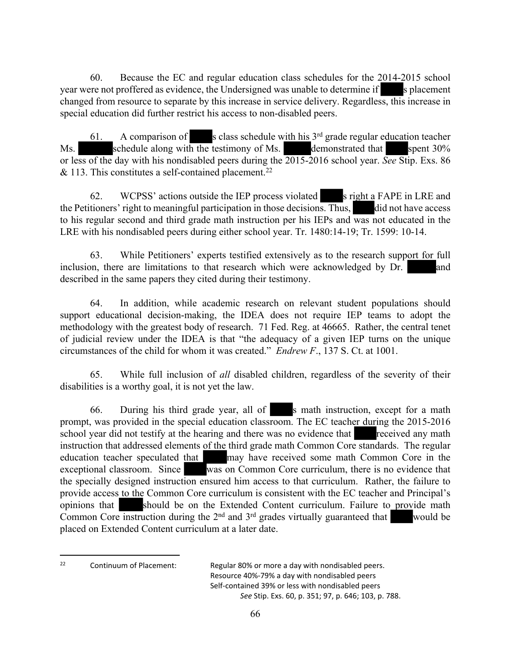60. Because the EC and regular education class schedules for the 2014-2015 school year were not proffered as evidence, the Undersigned was unable to determine if s placement changed from resource to separate by this increase in service delivery. Regardless, this increase in special education did further restrict his access to non-disabled peers.

61. A comparison of s class schedule with his  $3<sup>rd</sup>$  grade regular education teacher Ms. schedule along with the testimony of Ms. demonstrated that spent  $30\%$ or less of the day with his nondisabled peers during the 2015-2016 school year. *See* Stip. Exs. 86  $& 113$ . This constitutes a self-contained placement.<sup>22</sup>

62. WCPSS' actions outside the IEP process violated s right a FAPE in LRE and the Petitioners' right to meaningful participation in those decisions. Thus, did not have access to his regular second and third grade math instruction per his IEPs and was not educated in the LRE with his nondisabled peers during either school year. Tr. 1480:14-19; Tr. 1599: 10-14.

63. While Petitioners' experts testified extensively as to the research support for full inclusion, there are limitations to that research which were acknowledged by Dr. and described in the same papers they cited during their testimony.

64. In addition, while academic research on relevant student populations should support educational decision-making, the IDEA does not require IEP teams to adopt the methodology with the greatest body of research. 71 Fed. Reg. at 46665. Rather, the central tenet of judicial review under the IDEA is that "the adequacy of a given IEP turns on the unique circumstances of the child for whom it was created." *Endrew F*., 137 S. Ct. at 1001.

65. While full inclusion of *all* disabled children, regardless of the severity of their disabilities is a worthy goal, it is not yet the law.

66. During his third grade year, all of s math instruction, except for a math prompt, was provided in the special education classroom. The EC teacher during the 2015-2016 school year did not testify at the hearing and there was no evidence that received any math instruction that addressed elements of the third grade math Common Core standards. The regular education teacher speculated that may have received some math Common Core in the exceptional classroom. Since was on Common Core curriculum, there is no evidence that the specially designed instruction ensured him access to that curriculum. Rather, the failure to provide access to the Common Core curriculum is consistent with the EC teacher and Principal's opinions that should be on the Extended Content curriculum. Failure to provide math Common Core instruction during the  $2<sup>nd</sup>$  and  $3<sup>rd</sup>$  grades virtually guaranteed that would be placed on Extended Content curriculum at a later date.

<sup>22</sup> Continuum of Placement: Regular 80% or more a day with nondisabled peers. Resource 40%-79% a day with nondisabled peers Self-contained 39% or less with nondisabled peers *See* Stip. Exs. 60, p. 351; 97, p. 646; 103, p. 788.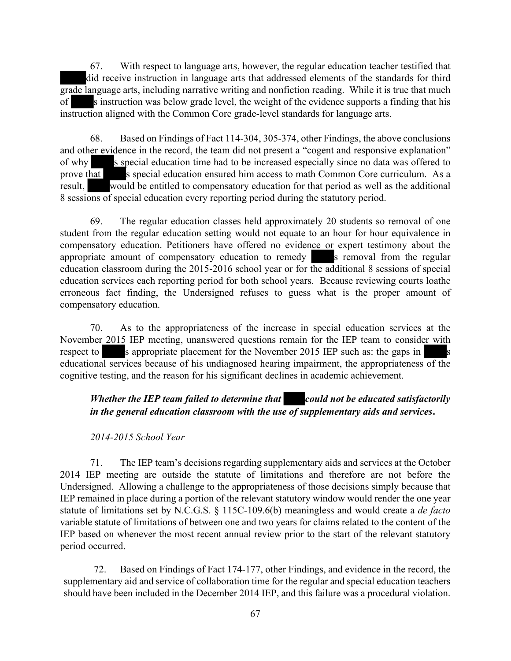67. With respect to language arts, however, the regular education teacher testified that did receive instruction in language arts that addressed elements of the standards for third grade language arts, including narrative writing and nonfiction reading. While it is true that much of s instruction was below grade level, the weight of the evidence supports a finding that his instruction aligned with the Common Core grade-level standards for language arts.

68. Based on Findings of Fact 114-304, 305-374, other Findings, the above conclusions and other evidence in the record, the team did not present a "cogent and responsive explanation" of why s special education time had to be increased especially since no data was offered to prove that s special education ensured him access to math Common Core curriculum. As a result, would be entitled to compensatory education for that period as well as the additional 8 sessions of special education every reporting period during the statutory period.

69. The regular education classes held approximately 20 students so removal of one student from the regular education setting would not equate to an hour for hour equivalence in compensatory education. Petitioners have offered no evidence or expert testimony about the appropriate amount of compensatory education to remedy s removal from the regular education classroom during the 2015-2016 school year or for the additional 8 sessions of special education services each reporting period for both school years. Because reviewing courts loathe erroneous fact finding, the Undersigned refuses to guess what is the proper amount of compensatory education.

70. As to the appropriateness of the increase in special education services at the November 2015 IEP meeting, unanswered questions remain for the IEP team to consider with respect to s appropriate placement for the November 2015 IEP such as: the gaps in s educational services because of his undiagnosed hearing impairment, the appropriateness of the cognitive testing, and the reason for his significant declines in academic achievement.

# *Whether the IEP team failed to determine that* could not be educated satisfactorily *in the general education classroom with the use of supplementary aids and services***.**

#### *2014-2015 School Year*

71. The IEP team's decisions regarding supplementary aids and services at the October 2014 IEP meeting are outside the statute of limitations and therefore are not before the Undersigned. Allowing a challenge to the appropriateness of those decisions simply because that IEP remained in place during a portion of the relevant statutory window would render the one year statute of limitations set by N.C.G.S. § 115C-109.6(b) meaningless and would create a *de facto* variable statute of limitations of between one and two years for claims related to the content of the IEP based on whenever the most recent annual review prior to the start of the relevant statutory period occurred.

72. Based on Findings of Fact 174-177, other Findings, and evidence in the record, the supplementary aid and service of collaboration time for the regular and special education teachers should have been included in the December 2014 IEP, and this failure was a procedural violation.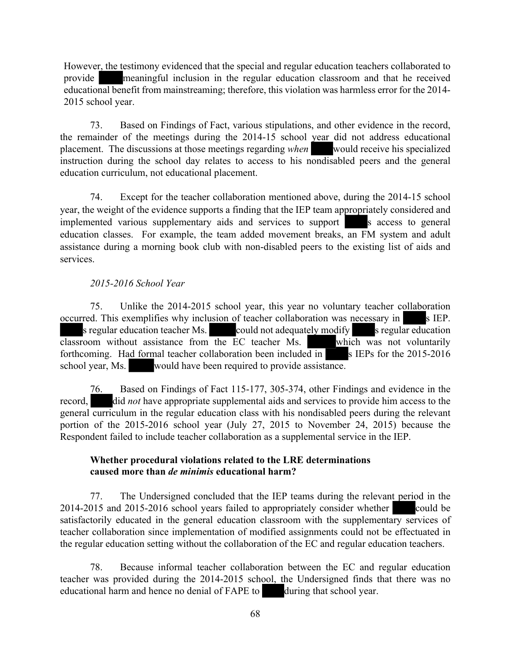However, the testimony evidenced that the special and regular education teachers collaborated to provide meaningful inclusion in the regular education classroom and that he received educational benefit from mainstreaming; therefore, this violation was harmless error for the 2014- 2015 school year.

73. Based on Findings of Fact, various stipulations, and other evidence in the record, the remainder of the meetings during the 2014-15 school year did not address educational placement. The discussions at those meetings regarding *when* would receive his specialized instruction during the school day relates to access to his nondisabled peers and the general education curriculum, not educational placement.

74. Except for the teacher collaboration mentioned above, during the 2014-15 school year, the weight of the evidence supports a finding that the IEP team appropriately considered and implemented various supplementary aids and services to support s access to general education classes. For example, the team added movement breaks, an FM system and adult assistance during a morning book club with non-disabled peers to the existing list of aids and services.

#### *2015-2016 School Year*

75. Unlike the 2014-2015 school year, this year no voluntary teacher collaboration occurred. This exemplifies why inclusion of teacher collaboration was necessary in s IEP. s regular education teacher Ms. could not adequately modify s regular education classroom without assistance from the EC teacher Ms. which was not voluntarily forthcoming. Had formal teacher collaboration been included in  $\blacksquare$  s IEPs for the 2015-2016 school year, Ms. would have been required to provide assistance.

76. Based on Findings of Fact 115-177, 305-374, other Findings and evidence in the record, did *not* have appropriate supplemental aids and services to provide him access to the general curriculum in the regular education class with his nondisabled peers during the relevant portion of the 2015-2016 school year (July 27, 2015 to November 24, 2015) because the Respondent failed to include teacher collaboration as a supplemental service in the IEP.

#### **Whether procedural violations related to the LRE determinations caused more than** *de minimis* **educational harm?**

77. The Undersigned concluded that the IEP teams during the relevant period in the 2014-2015 and 2015-2016 school years failed to appropriately consider whether could be satisfactorily educated in the general education classroom with the supplementary services of teacher collaboration since implementation of modified assignments could not be effectuated in the regular education setting without the collaboration of the EC and regular education teachers.

78. Because informal teacher collaboration between the EC and regular education teacher was provided during the 2014-2015 school, the Undersigned finds that there was no educational harm and hence no denial of FAPE to during that school year.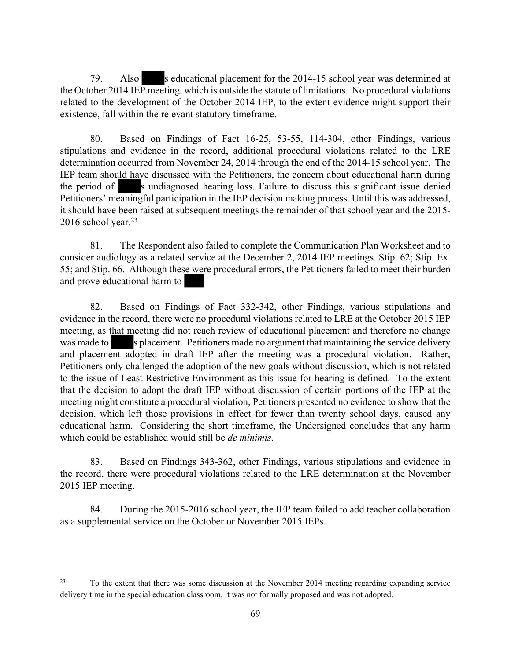79. Also s educational placement for the 2014-15 school year was determined at the October 2014 IEP meeting, which is outside the statute of limitations. No procedural violations related to the development of the October 2014 IEP, to the extent evidence might support their existence, fall within the relevant statutory timeframe.

80. Based on Findings of Fact 16-25, 53-55, 114-304, other Findings, various stipulations and evidence in the record, additional procedural violations related to the LRE determination occurred from November 24, 2014 through the end of the 2014-15 school year. The IEP team should have discussed with the Petitioners, the concern about educational harm during the period of s undiagnosed hearing loss. Failure to discuss this significant issue denied Petitioners' meaningful participation in the IEP decision making process. Until this was addressed, it should have been raised at subsequent meetings the remainder of that school year and the 2015-  $2016$  school year.<sup>23</sup>

81. The Respondent also failed to complete the Communication Plan Worksheet and to consider audiology as a related service at the December 2, 2014 IEP meetings. Stip. 62; Stip. Ex. 55; and Stip. 66. Although these were procedural errors, the Petitioners failed to meet their burden and prove educational harm to

82. Based on Findings of Fact 332-342, other Findings, various stipulations and evidence in the record, there were no procedural violations related to LRE at the October 2015 IEP meeting, as that meeting did not reach review of educational placement and therefore no change was made to s placement. Petitioners made no argument that maintaining the service delivery and placement adopted in draft IEP after the meeting was a procedural violation. Rather, Petitioners only challenged the adoption of the new goals without discussion, which is not related to the issue of Least Restrictive Environment as this issue for hearing is defined. To the extent that the decision to adopt the draft IEP without discussion of certain portions of the IEP at the meeting might constitute a procedural violation, Petitioners presented no evidence to show that the decision, which left those provisions in effect for fewer than twenty school days, caused any educational harm. Considering the short timeframe, the Undersigned concludes that any harm which could be established would still be *de minimis*.

83. Based on Findings 343-362, other Findings, various stipulations and evidence in the record, there were procedural violations related to the LRE determination at the November 2015 IEP meeting.

84. During the 2015-2016 school year, the IEP team failed to add teacher collaboration as a supplemental service on the October or November 2015 IEPs.

<sup>&</sup>lt;sup>23</sup> To the extent that there was some discussion at the November 2014 meeting regarding expanding service delivery time in the special education classroom, it was not formally proposed and was not adopted.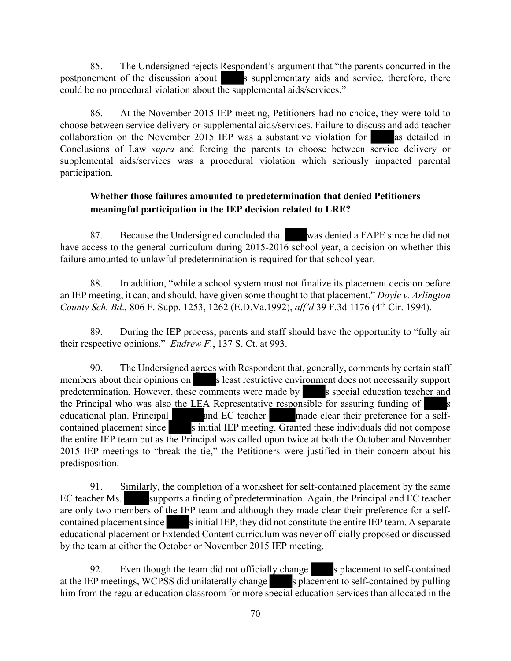85. The Undersigned rejects Respondent's argument that "the parents concurred in the postponement of the discussion about s supplementary aids and service, therefore, there could be no procedural violation about the supplemental aids/services."

86. At the November 2015 IEP meeting, Petitioners had no choice, they were told to choose between service delivery or supplemental aids/services. Failure to discuss and add teacher collaboration on the November 2015 IEP was a substantive violation for as detailed in Conclusions of Law *supra* and forcing the parents to choose between service delivery or supplemental aids/services was a procedural violation which seriously impacted parental participation.

## **Whether those failures amounted to predetermination that denied Petitioners meaningful participation in the IEP decision related to LRE?**

87. Because the Undersigned concluded that was denied a FAPE since he did not have access to the general curriculum during 2015-2016 school year, a decision on whether this failure amounted to unlawful predetermination is required for that school year.

88. In addition, "while a school system must not finalize its placement decision before an IEP meeting, it can, and should, have given some thought to that placement." *Doyle v. Arlington County Sch. Bd*., 806 F. Supp. 1253, 1262 (E.D.Va.1992), *aff'd* 39 F.3d 1176 (4th Cir. 1994).

89. During the IEP process, parents and staff should have the opportunity to "fully air their respective opinions." *Endrew F.*, 137 S. Ct. at 993.

90. The Undersigned agrees with Respondent that, generally, comments by certain staff members about their opinions on s least restrictive environment does not necessarily support predetermination. However, these comments were made by s special education teacher and the Principal who was also the LEA Representative responsible for assuring funding of educational plan. Principal and EC teacher made clear their preference for a selfcontained placement since s initial IEP meeting. Granted these individuals did not compose the entire IEP team but as the Principal was called upon twice at both the October and November 2015 IEP meetings to "break the tie," the Petitioners were justified in their concern about his predisposition.

91. Similarly, the completion of a worksheet for self-contained placement by the same EC teacher Ms. supports a finding of predetermination. Again, the Principal and EC teacher are only two members of the IEP team and although they made clear their preference for a selfcontained placement since s initial IEP, they did not constitute the entire IEP team. A separate educational placement or Extended Content curriculum was never officially proposed or discussed by the team at either the October or November 2015 IEP meeting.

92. Even though the team did not officially change s placement to self-contained at the IEP meetings, WCPSS did unilaterally change s placement to self-contained by pulling him from the regular education classroom for more special education services than allocated in the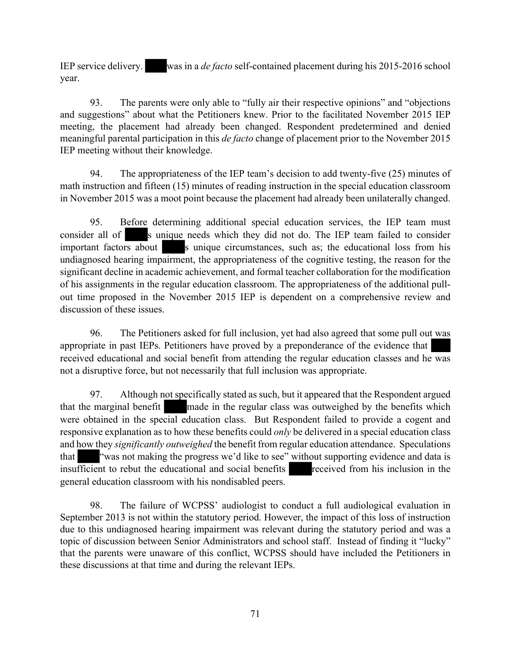IEP service delivery. was in a *de facto* self-contained placement during his 2015-2016 school year.

93. The parents were only able to "fully air their respective opinions" and "objections and suggestions" about what the Petitioners knew. Prior to the facilitated November 2015 IEP meeting, the placement had already been changed. Respondent predetermined and denied meaningful parental participation in this *de facto* change of placement prior to the November 2015 IEP meeting without their knowledge.

94. The appropriateness of the IEP team's decision to add twenty-five (25) minutes of math instruction and fifteen (15) minutes of reading instruction in the special education classroom in November 2015 was a moot point because the placement had already been unilaterally changed.

95. Before determining additional special education services, the IEP team must consider all of s unique needs which they did not do. The IEP team failed to consider important factors about s unique circumstances, such as; the educational loss from his undiagnosed hearing impairment, the appropriateness of the cognitive testing, the reason for the significant decline in academic achievement, and formal teacher collaboration for the modification of his assignments in the regular education classroom. The appropriateness of the additional pullout time proposed in the November 2015 IEP is dependent on a comprehensive review and discussion of these issues.

96. The Petitioners asked for full inclusion, yet had also agreed that some pull out was appropriate in past IEPs. Petitioners have proved by a preponderance of the evidence that received educational and social benefit from attending the regular education classes and he was not a disruptive force, but not necessarily that full inclusion was appropriate.

97. Although not specifically stated as such, but it appeared that the Respondent argued that the marginal benefit made in the regular class was outweighed by the benefits which were obtained in the special education class. But Respondent failed to provide a cogent and responsive explanation as to how these benefits could *only* be delivered in a special education class and how they *significantly outweighed* the benefit from regular education attendance. Speculations that "was not making the progress we'd like to see" without supporting evidence and data is insufficient to rebut the educational and social benefits received from his inclusion in the general education classroom with his nondisabled peers.

98. The failure of WCPSS' audiologist to conduct a full audiological evaluation in September 2013 is not within the statutory period. However, the impact of this loss of instruction due to this undiagnosed hearing impairment was relevant during the statutory period and was a topic of discussion between Senior Administrators and school staff. Instead of finding it "lucky" that the parents were unaware of this conflict, WCPSS should have included the Petitioners in these discussions at that time and during the relevant IEPs.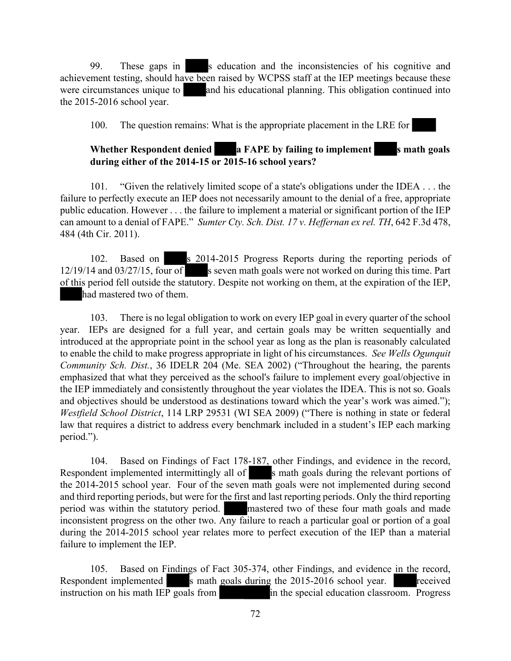99. These gaps in s education and the inconsistencies of his cognitive and achievement testing, should have been raised by WCPSS staff at the IEP meetings because these were circumstances unique to and his educational planning. This obligation continued into the 2015-2016 school year.

100. The question remains: What is the appropriate placement in the LRE for

## **Whether Respondent denied a FAPE by failing to implement s math goals during either of the 2014-15 or 2015-16 school years?**

101. "Given the relatively limited scope of a state's obligations under the IDEA . . . the failure to perfectly execute an IEP does not necessarily amount to the denial of a free, appropriate public education. However . . . the failure to implement a material or significant portion of the IEP can amount to a denial of FAPE." *Sumter Cty. Sch. Dist. 17 v. Heffernan ex rel. TH*, 642 F.3d 478, 484 (4th Cir. 2011).

102. Based on s 2014-2015 Progress Reports during the reporting periods of  $12/19/14$  and  $03/27/15$ , four of s seven math goals were not worked on during this time. Part of this period fell outside the statutory. Despite not working on them, at the expiration of the IEP, had mastered two of them.

103. There is no legal obligation to work on every IEP goal in every quarter of the school year. IEPs are designed for a full year, and certain goals may be written sequentially and introduced at the appropriate point in the school year as long as the plan is reasonably calculated to enable the child to make progress appropriate in light of his circumstances. *See Wells Ogunquit Community Sch. Dist.*, 36 IDELR 204 (Me. SEA 2002) ("Throughout the hearing, the parents emphasized that what they perceived as the school's failure to implement every goal/objective in the IEP immediately and consistently throughout the year violates the IDEA. This is not so. Goals and objectives should be understood as destinations toward which the year's work was aimed."); *Westfield School District*, 114 LRP 29531 (WI SEA 2009) ("There is nothing in state or federal law that requires a district to address every benchmark included in a student's IEP each marking period.").

104. Based on Findings of Fact 178-187, other Findings, and evidence in the record, Respondent implemented intermittingly all of s math goals during the relevant portions of the 2014-2015 school year. Four of the seven math goals were not implemented during second and third reporting periods, but were for the first and last reporting periods. Only the third reporting period was within the statutory period. mastered two of these four math goals and made inconsistent progress on the other two. Any failure to reach a particular goal or portion of a goal during the 2014-2015 school year relates more to perfect execution of the IEP than a material failure to implement the IEP.

105. Based on Findings of Fact 305-374, other Findings, and evidence in the record, Respondent implemented s math goals during the 2015-2016 school year. received instruction on his math IEP goals from  $\frac{1}{2}$  in the special education classroom. Progress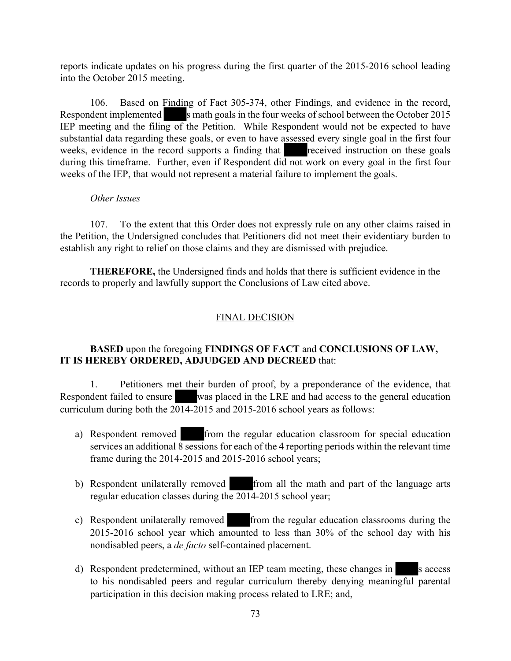reports indicate updates on his progress during the first quarter of the 2015-2016 school leading into the October 2015 meeting.

106. Based on Finding of Fact 305-374, other Findings, and evidence in the record, Respondent implemented s math goals in the four weeks of school between the October 2015 IEP meeting and the filing of the Petition. While Respondent would not be expected to have substantial data regarding these goals, or even to have assessed every single goal in the first four weeks, evidence in the record supports a finding that received instruction on these goals during this timeframe. Further, even if Respondent did not work on every goal in the first four weeks of the IEP, that would not represent a material failure to implement the goals.

## *Other Issues*

107. To the extent that this Order does not expressly rule on any other claims raised in the Petition, the Undersigned concludes that Petitioners did not meet their evidentiary burden to establish any right to relief on those claims and they are dismissed with prejudice.

**THEREFORE,** the Undersigned finds and holds that there is sufficient evidence in the records to properly and lawfully support the Conclusions of Law cited above.

# FINAL DECISION

## **BASED** upon the foregoing **FINDINGS OF FACT** and **CONCLUSIONS OF LAW, IT IS HEREBY ORDERED, ADJUDGED AND DECREED** that:

1. Petitioners met their burden of proof, by a preponderance of the evidence, that Respondent failed to ensure was placed in the LRE and had access to the general education curriculum during both the  $2014-2015$  and 2015-2016 school years as follows:

- a) Respondent removed from the regular education classroom for special education services an additional 8 sessions for each of the 4 reporting periods within the relevant time frame during the 2014-2015 and 2015-2016 school years;
- b) Respondent unilaterally removed from all the math and part of the language arts regular education classes during the 2014-2015 school year;
- c) Respondent unilaterally removed from the regular education classrooms during the 2015-2016 school year which amounted to less than 30% of the school day with his nondisabled peers, a *de facto* self-contained placement.
- d) Respondent predetermined, without an IEP team meeting, these changes in s access to his nondisabled peers and regular curriculum thereby denying meaningful parental participation in this decision making process related to LRE; and,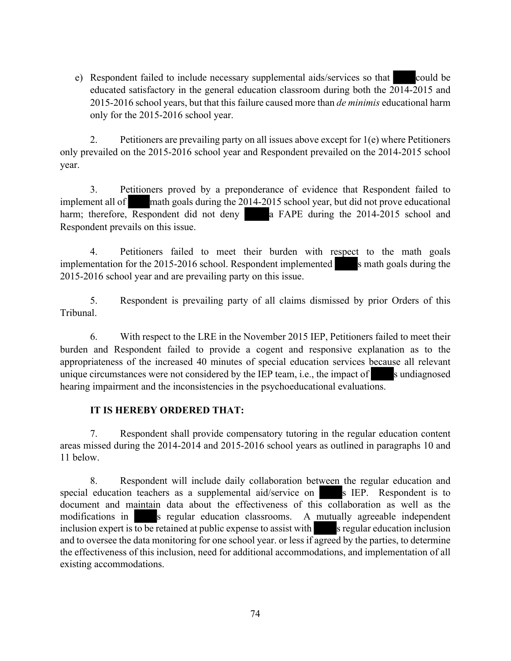e) Respondent failed to include necessary supplemental aids/services so that could be educated satisfactory in the general education classroom during both the 2014-2015 and 2015-2016 school years, but that this failure caused more than *de minimis* educational harm only for the 2015-2016 school year.

2. Petitioners are prevailing party on all issues above except for 1(e) where Petitioners only prevailed on the 2015-2016 school year and Respondent prevailed on the 2014-2015 school year.

3. Petitioners proved by a preponderance of evidence that Respondent failed to implement all of math goals during the 2014-2015 school year, but did not prove educational harm; therefore, Respondent did not deny a FAPE during the 2014-2015 school and Respondent prevails on this issue.

4. Petitioners failed to meet their burden with respect to the math goals implementation for the 2015-2016 school. Respondent implemented s math goals during the 2015-2016 school year and are prevailing party on this issue.

5. Respondent is prevailing party of all claims dismissed by prior Orders of this Tribunal.

6. With respect to the LRE in the November 2015 IEP, Petitioners failed to meet their burden and Respondent failed to provide a cogent and responsive explanation as to the appropriateness of the increased 40 minutes of special education services because all relevant unique circumstances were not considered by the IEP team, i.e., the impact of s undiagnosed hearing impairment and the inconsistencies in the psychoeducational evaluations.

# **IT IS HEREBY ORDERED THAT:**

7. Respondent shall provide compensatory tutoring in the regular education content areas missed during the 2014-2014 and 2015-2016 school years as outlined in paragraphs 10 and 11 below.

8. Respondent will include daily collaboration between the regular education and special education teachers as a supplemental aid/service on s IEP. Respondent is to document and maintain data about the effectiveness of this collaboration as well as the modifications in s regular education classrooms. A mutually agreeable independent inclusion expert is  $\overline{to}$  be retained at public expense to assist with s regular education inclusion and to oversee the data monitoring for one school year. or less if agreed by the parties, to determine the effectiveness of this inclusion, need for additional accommodations, and implementation of all existing accommodations.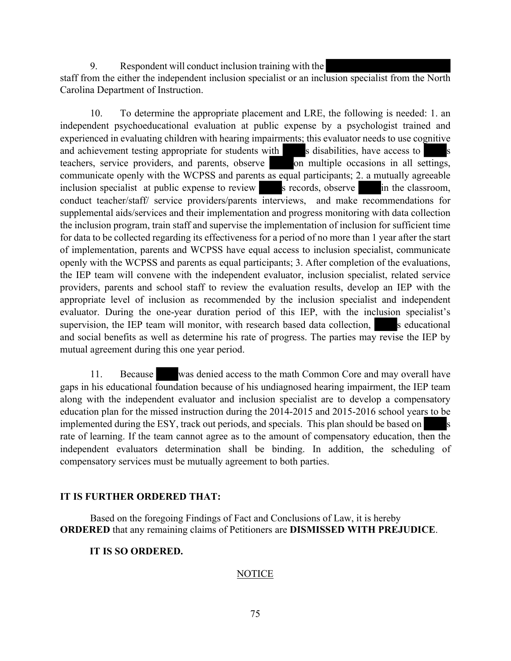9. Respondent will conduct inclusion training with the

staff from the either the independent inclusion specialist or an inclusion specialist from the North Carolina Department of Instruction.

10. To determine the appropriate placement and LRE, the following is needed: 1. an independent psychoeducational evaluation at public expense by a psychologist trained and experienced in evaluating children with hearing impairments; this evaluator needs to use cognitive and achievement testing appropriate for students with s disabilities, have access to s teachers, service providers, and parents, observe on multiple occasions in all settings, communicate openly with the WCPSS and parents as equal participants; 2. a mutually agreeable inclusion specialist at public expense to review s records, observe in the classroom, conduct teacher/staff/ service providers/parents interviews, and make recommendations for supplemental aids/services and their implementation and progress monitoring with data collection the inclusion program, train staff and supervise the implementation of inclusion for sufficient time for data to be collected regarding its effectiveness for a period of no more than 1 year after the start of implementation, parents and WCPSS have equal access to inclusion specialist, communicate openly with the WCPSS and parents as equal participants; 3. After completion of the evaluations, the IEP team will convene with the independent evaluator, inclusion specialist, related service providers, parents and school staff to review the evaluation results, develop an IEP with the appropriate level of inclusion as recommended by the inclusion specialist and independent evaluator. During the one-year duration period of this IEP, with the inclusion specialist's supervision, the IEP team will monitor, with research based data collection, seeducational and social benefits as well as determine his rate of progress. The parties may revise the IEP by mutual agreement during this one year period.

11. Because was denied access to the math Common Core and may overall have gaps in his educational foundation because of his undiagnosed hearing impairment, the IEP team along with the independent evaluator and inclusion specialist are to develop a compensatory education plan for the missed instruction during the 2014-2015 and 2015-2016 school years to be implemented during the ESY, track out periods, and specials. This plan should be based on rate of learning. If the team cannot agree as to the amount of compensatory education, then the independent evaluators determination shall be binding. In addition, the scheduling of compensatory services must be mutually agreement to both parties.

#### **IT IS FURTHER ORDERED THAT:**

Based on the foregoing Findings of Fact and Conclusions of Law, it is hereby **ORDERED** that any remaining claims of Petitioners are **DISMISSED WITH PREJUDICE**.

#### **IT IS SO ORDERED.**

## **NOTICE**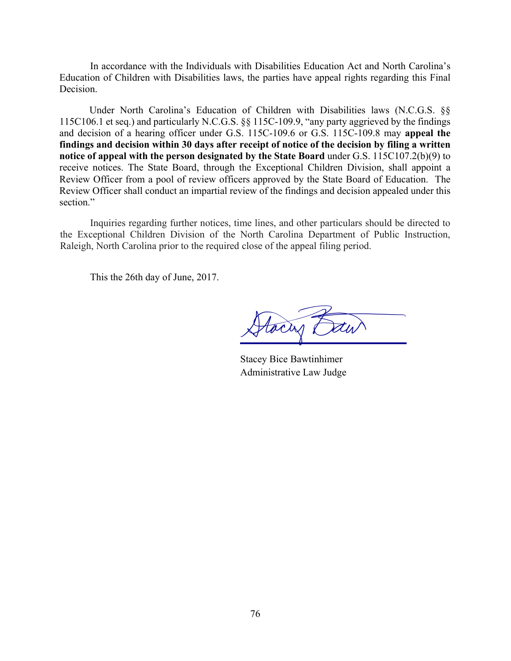In accordance with the Individuals with Disabilities Education Act and North Carolina's Education of Children with Disabilities laws, the parties have appeal rights regarding this Final Decision.

 Under North Carolina's Education of Children with Disabilities laws (N.C.G.S. §§ 115C106.1 et seq.) and particularly N.C.G.S. §§ 115C-109.9, "any party aggrieved by the findings and decision of a hearing officer under G.S. 115C-109.6 or G.S. 115C-109.8 may **appeal the findings and decision within 30 days after receipt of notice of the decision by filing a written notice of appeal with the person designated by the State Board** under G.S. 115C107.2(b)(9) to receive notices. The State Board, through the Exceptional Children Division, shall appoint a Review Officer from a pool of review officers approved by the State Board of Education. The Review Officer shall conduct an impartial review of the findings and decision appealed under this section."

Inquiries regarding further notices, time lines, and other particulars should be directed to the Exceptional Children Division of the North Carolina Department of Public Instruction, Raleigh, North Carolina prior to the required close of the appeal filing period.

This the 26th day of June, 2017.

toan a

Stacey Bice Bawtinhimer Administrative Law Judge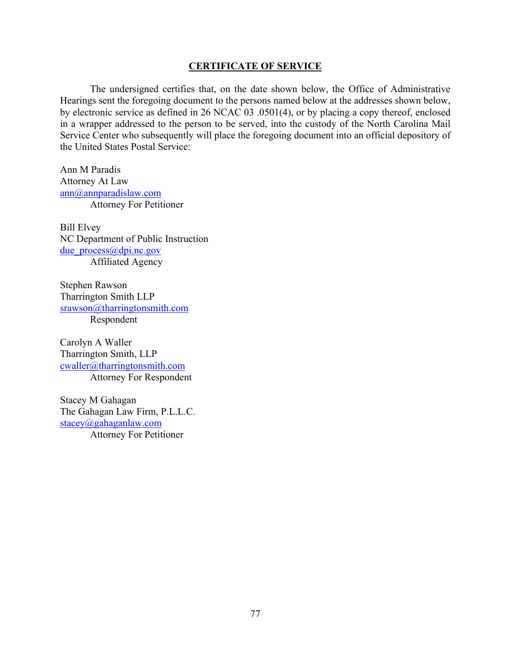#### **CERTIFICATE OF SERVICE**

The undersigned certifies that, on the date shown below, the Office of Administrative Hearings sent the foregoing document to the persons named below at the addresses shown below, by electronic service as defined in 26 NCAC 03 .0501(4), or by placing a copy thereof, enclosed in a wrapper addressed to the person to be served, into the custody of the North Carolina Mail Service Center who subsequently will place the foregoing document into an official depository of the United States Postal Service:

Ann M Paradis Attorney At Law ann@annparadislaw.com Attorney For Petitioner

Bill Elvey NC Department of Public Instruction due process@dpi.nc.gov Affiliated Agency

Stephen Rawson Tharrington Smith LLP srawson@tharringtonsmith.com Respondent

Carolyn A Waller Tharrington Smith, LLP cwaller@tharringtonsmith.com Attorney For Respondent

Stacey M Gahagan The Gahagan Law Firm, P.L.L.C. stacey@gahaganlaw.com Attorney For Petitioner